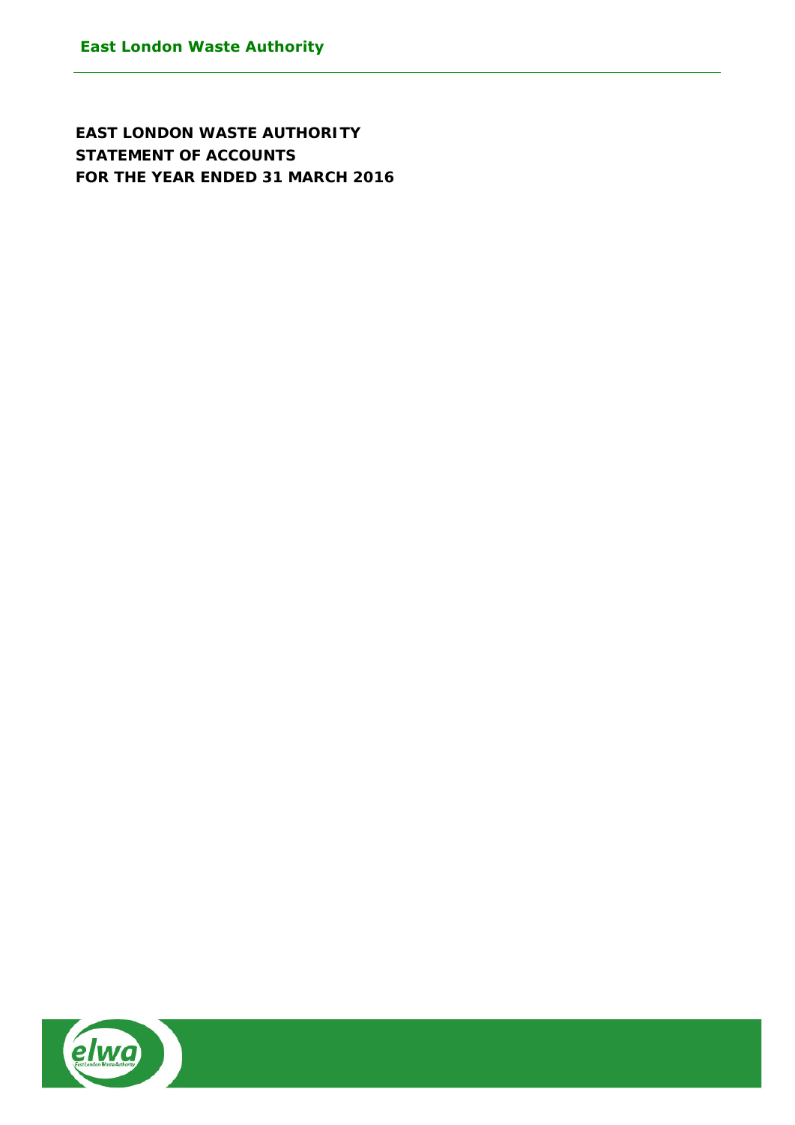**EAST LONDON WASTE AUTHORITY STATEMENT OF ACCOUNTS FOR THE YEAR ENDED 31 MARCH 2016** 

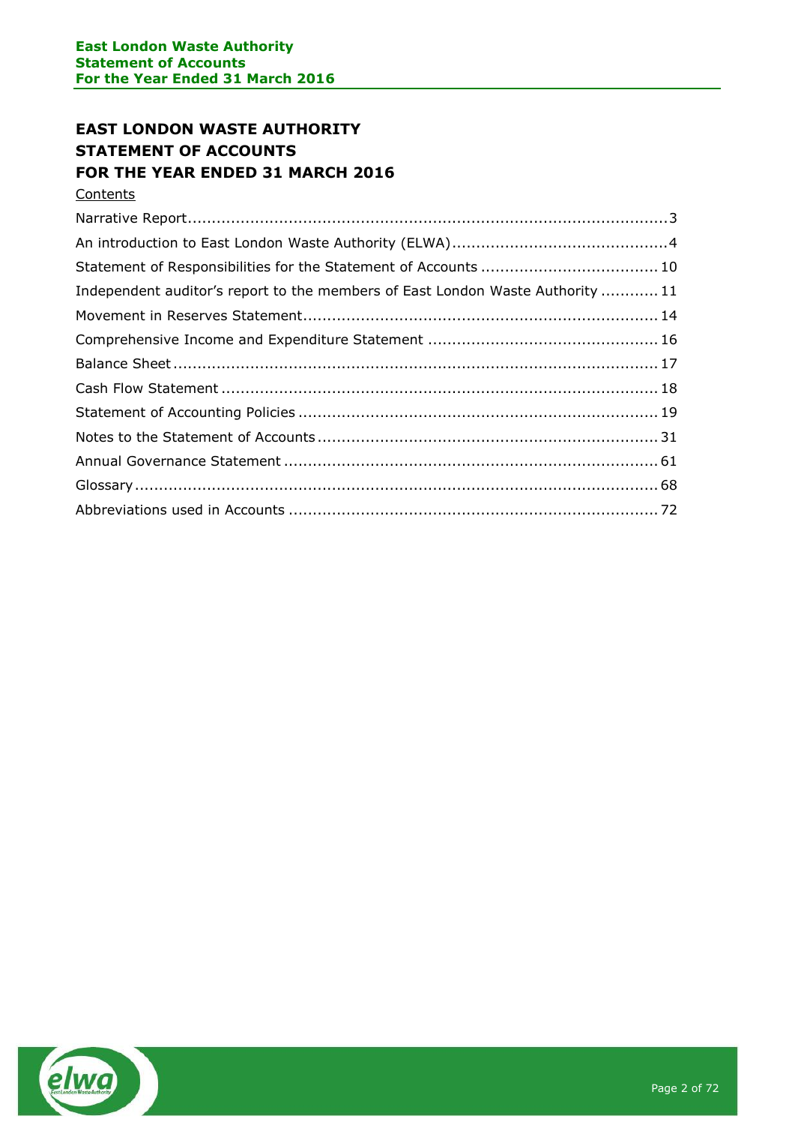# **EAST LONDON WASTE AUTHORITY STATEMENT OF ACCOUNTS FOR THE YEAR ENDED 31 MARCH 2016**

**Contents** 

| Independent auditor's report to the members of East London Waste Authority  11 |  |
|--------------------------------------------------------------------------------|--|
|                                                                                |  |
|                                                                                |  |
|                                                                                |  |
|                                                                                |  |
|                                                                                |  |
|                                                                                |  |
|                                                                                |  |
|                                                                                |  |
|                                                                                |  |

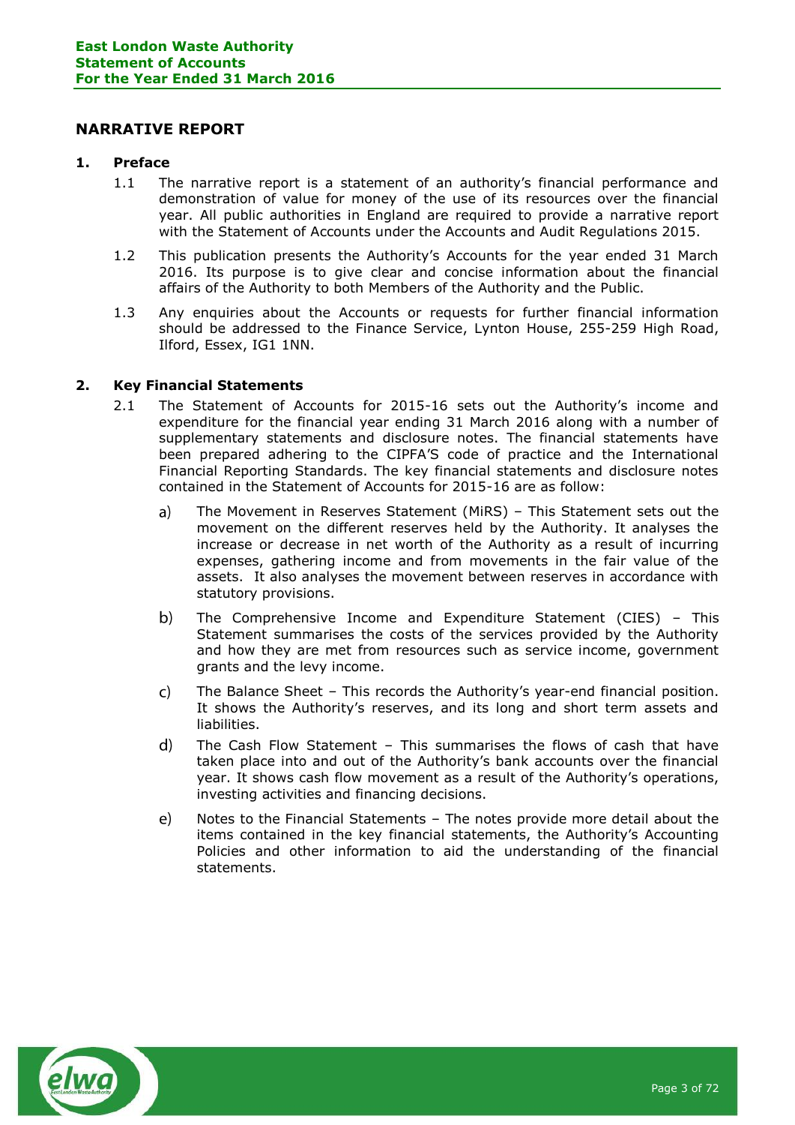### <span id="page-2-0"></span>**NARRATIVE REPORT**

#### **1. Preface**

- 1.1 The narrative report is a statement of an authority's financial performance and demonstration of value for money of the use of its resources over the financial year. All public authorities in England are required to provide a narrative report with the Statement of Accounts under the Accounts and Audit Regulations 2015.
- 1.2 This publication presents the Authority's Accounts for the year ended 31 March 2016. Its purpose is to give clear and concise information about the financial affairs of the Authority to both Members of the Authority and the Public.
- 1.3 Any enquiries about the Accounts or requests for further financial information should be addressed to the Finance Service, Lynton House, 255-259 High Road, Ilford, Essex, IG1 1NN.

### **2. Key Financial Statements**

- 2.1 The Statement of Accounts for 2015-16 sets out the Authority's income and expenditure for the financial year ending 31 March 2016 along with a number of supplementary statements and disclosure notes. The financial statements have been prepared adhering to the CIPFA'S code of practice and the International Financial Reporting Standards. The key financial statements and disclosure notes contained in the Statement of Accounts for 2015-16 are as follow:
	- The Movement in Reserves Statement (MiRS) This Statement sets out the  $a)$ movement on the different reserves held by the Authority. It analyses the increase or decrease in net worth of the Authority as a result of incurring expenses, gathering income and from movements in the fair value of the assets. It also analyses the movement between reserves in accordance with statutory provisions.
	- $b)$ The Comprehensive Income and Expenditure Statement (CIES) – This Statement summarises the costs of the services provided by the Authority and how they are met from resources such as service income, government grants and the levy income.
	- $\mathsf{C}$ The Balance Sheet – This records the Authority's year-end financial position. It shows the Authority's reserves, and its long and short term assets and liabilities.
	- $\mathbf{d}$ The Cash Flow Statement – This summarises the flows of cash that have taken place into and out of the Authority's bank accounts over the financial year. It shows cash flow movement as a result of the Authority's operations, investing activities and financing decisions.
	- $\epsilon$ ) Notes to the Financial Statements – The notes provide more detail about the items contained in the key financial statements, the Authority's Accounting Policies and other information to aid the understanding of the financial statements.

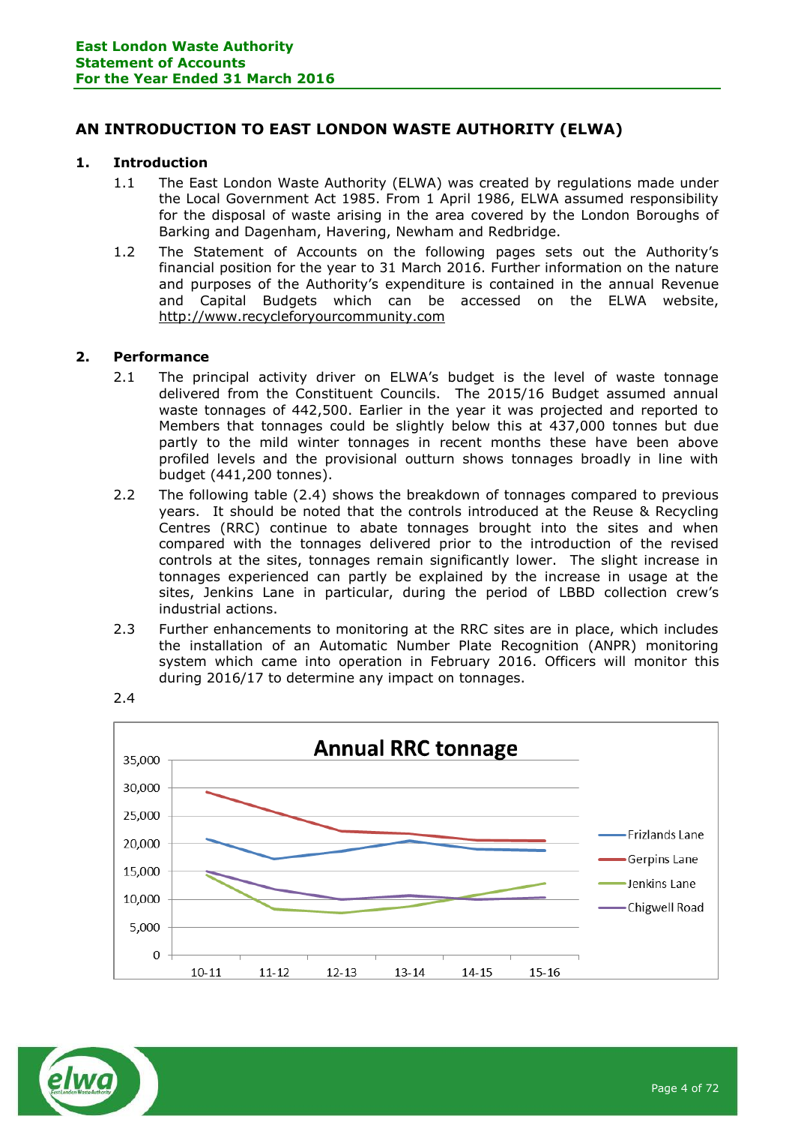# <span id="page-3-0"></span>**AN INTRODUCTION TO EAST LONDON WASTE AUTHORITY (ELWA)**

### **1. Introduction**

- 1.1 The East London Waste Authority (ELWA) was created by regulations made under the Local Government Act 1985. From 1 April 1986, ELWA assumed responsibility for the disposal of waste arising in the area covered by the London Boroughs of Barking and Dagenham, Havering, Newham and Redbridge.
- 1.2 The Statement of Accounts on the following pages sets out the Authority's financial position for the year to 31 March 2016. Further information on the nature and purposes of the Authority's expenditure is contained in the annual Revenue and Capital Budgets which can be accessed on the ELWA website, [http://www.recycleforyourcommunity.com](http://www.recycleforyourcommunity.com/)

### **2. Performance**

- 2.1 The principal activity driver on ELWA's budget is the level of waste tonnage delivered from the Constituent Councils. The 2015/16 Budget assumed annual waste tonnages of 442,500. Earlier in the year it was projected and reported to Members that tonnages could be slightly below this at 437,000 tonnes but due partly to the mild winter tonnages in recent months these have been above profiled levels and the provisional outturn shows tonnages broadly in line with budget (441,200 tonnes).
- 2.2 The following table (2.4) shows the breakdown of tonnages compared to previous years. It should be noted that the controls introduced at the Reuse & Recycling Centres (RRC) continue to abate tonnages brought into the sites and when compared with the tonnages delivered prior to the introduction of the revised controls at the sites, tonnages remain significantly lower. The slight increase in tonnages experienced can partly be explained by the increase in usage at the sites, Jenkins Lane in particular, during the period of LBBD collection crew's industrial actions.
- 2.3 Further enhancements to monitoring at the RRC sites are in place, which includes the installation of an Automatic Number Plate Recognition (ANPR) monitoring system which came into operation in February 2016. Officers will monitor this during 2016/17 to determine any impact on tonnages.





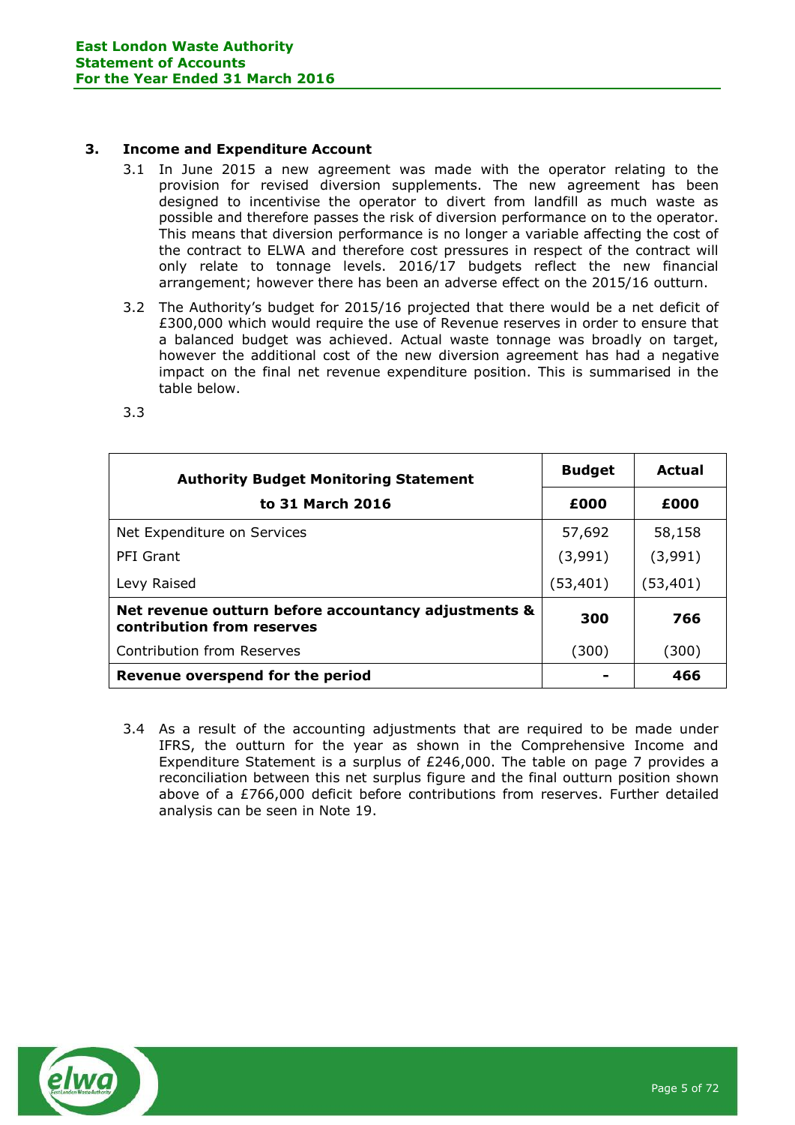### **3. Income and Expenditure Account**

- 3.1 In June 2015 a new agreement was made with the operator relating to the provision for revised diversion supplements. The new agreement has been designed to incentivise the operator to divert from landfill as much waste as possible and therefore passes the risk of diversion performance on to the operator. This means that diversion performance is no longer a variable affecting the cost of the contract to ELWA and therefore cost pressures in respect of the contract will only relate to tonnage levels. 2016/17 budgets reflect the new financial arrangement; however there has been an adverse effect on the 2015/16 outturn.
- 3.2 The Authority's budget for 2015/16 projected that there would be a net deficit of £300,000 which would require the use of Revenue reserves in order to ensure that a balanced budget was achieved. Actual waste tonnage was broadly on target, however the additional cost of the new diversion agreement has had a negative impact on the final net revenue expenditure position. This is summarised in the table below.

3.3

| <b>Authority Budget Monitoring Statement</b>                                       | <b>Budget</b> | Actual   |
|------------------------------------------------------------------------------------|---------------|----------|
| to 31 March 2016                                                                   | £000          | £000     |
| Net Expenditure on Services                                                        | 57,692        | 58,158   |
| PFI Grant                                                                          | (3,991)       | (3,991)  |
| Levy Raised                                                                        | (53,401)      | (53,401) |
| Net revenue outturn before accountancy adjustments &<br>contribution from reserves | 300           | 766      |
| Contribution from Reserves                                                         | (300)         | (300)    |
| Revenue overspend for the period                                                   |               | 466      |

3.4 As a result of the accounting adjustments that are required to be made under IFRS, the outturn for the year as shown in the Comprehensive Income and Expenditure Statement is a surplus of £246,000. The table on page 7 provides a reconciliation between this net surplus figure and the final outturn position shown above of a £766,000 deficit before contributions from reserves. Further detailed analysis can be seen in Note 19.

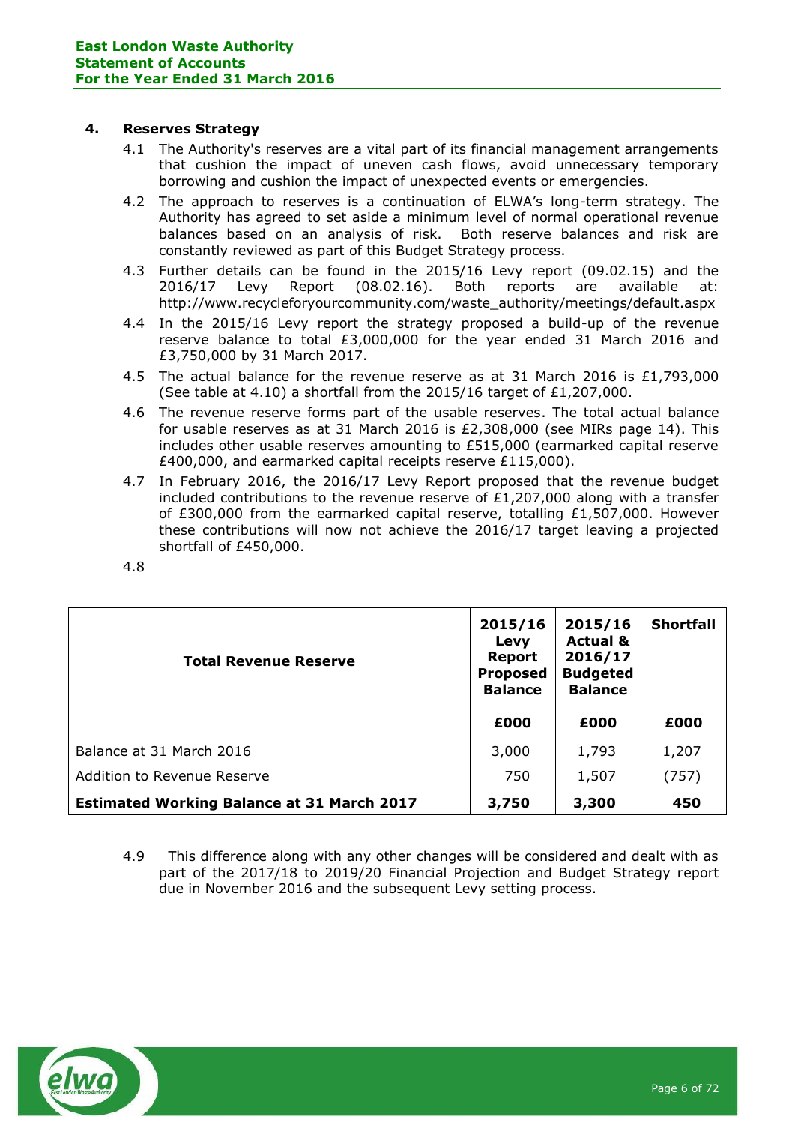### **4. Reserves Strategy**

- 4.1 The Authority's reserves are a vital part of its financial management arrangements that cushion the impact of uneven cash flows, avoid unnecessary temporary borrowing and cushion the impact of unexpected events or emergencies.
- 4.2 The approach to reserves is a continuation of ELWA's long-term strategy. The Authority has agreed to set aside a minimum level of normal operational revenue balances based on an analysis of risk. Both reserve balances and risk are constantly reviewed as part of this Budget Strategy process.
- 4.3 Further details can be found in the 2015/16 Levy report (09.02.15) and the 2016/17 Levy Report (08.02.16). Both reports are available at: http://www.recycleforyourcommunity.com/waste\_authority/meetings/default.aspx
- 4.4 In the 2015/16 Levy report the strategy proposed a build-up of the revenue reserve balance to total £3,000,000 for the year ended 31 March 2016 and £3,750,000 by 31 March 2017.
- 4.5 The actual balance for the revenue reserve as at 31 March 2016 is £1,793,000 (See table at 4.10) a shortfall from the 2015/16 target of  $£1,207,000$ .
- 4.6 The revenue reserve forms part of the usable reserves. The total actual balance for usable reserves as at 31 March 2016 is £2,308,000 (see MIRs page 14). This includes other usable reserves amounting to £515,000 (earmarked capital reserve £400,000, and earmarked capital receipts reserve £115,000).
- 4.7 In February 2016, the 2016/17 Levy Report proposed that the revenue budget included contributions to the revenue reserve of  $£1,207,000$  along with a transfer of £300,000 from the earmarked capital reserve, totalling £1,507,000. However these contributions will now not achieve the 2016/17 target leaving a projected shortfall of £450,000.
- 4.8

| <b>Total Revenue Reserve</b>                      | 2015/16<br>Levy<br>Report<br><b>Proposed</b><br><b>Balance</b> | 2015/16<br><b>Actual &amp;</b><br>2016/17<br><b>Budgeted</b><br><b>Balance</b> | <b>Shortfall</b> |  |
|---------------------------------------------------|----------------------------------------------------------------|--------------------------------------------------------------------------------|------------------|--|
|                                                   | £000                                                           | £000                                                                           | £000             |  |
| Balance at 31 March 2016                          | 3,000                                                          | 1,793                                                                          | 1,207            |  |
| Addition to Revenue Reserve                       | 750                                                            | 1,507                                                                          | (757)            |  |
| <b>Estimated Working Balance at 31 March 2017</b> | 3,750                                                          | 3,300                                                                          | 450              |  |

4.9 This difference along with any other changes will be considered and dealt with as part of the 2017/18 to 2019/20 Financial Projection and Budget Strategy report due in November 2016 and the subsequent Levy setting process.

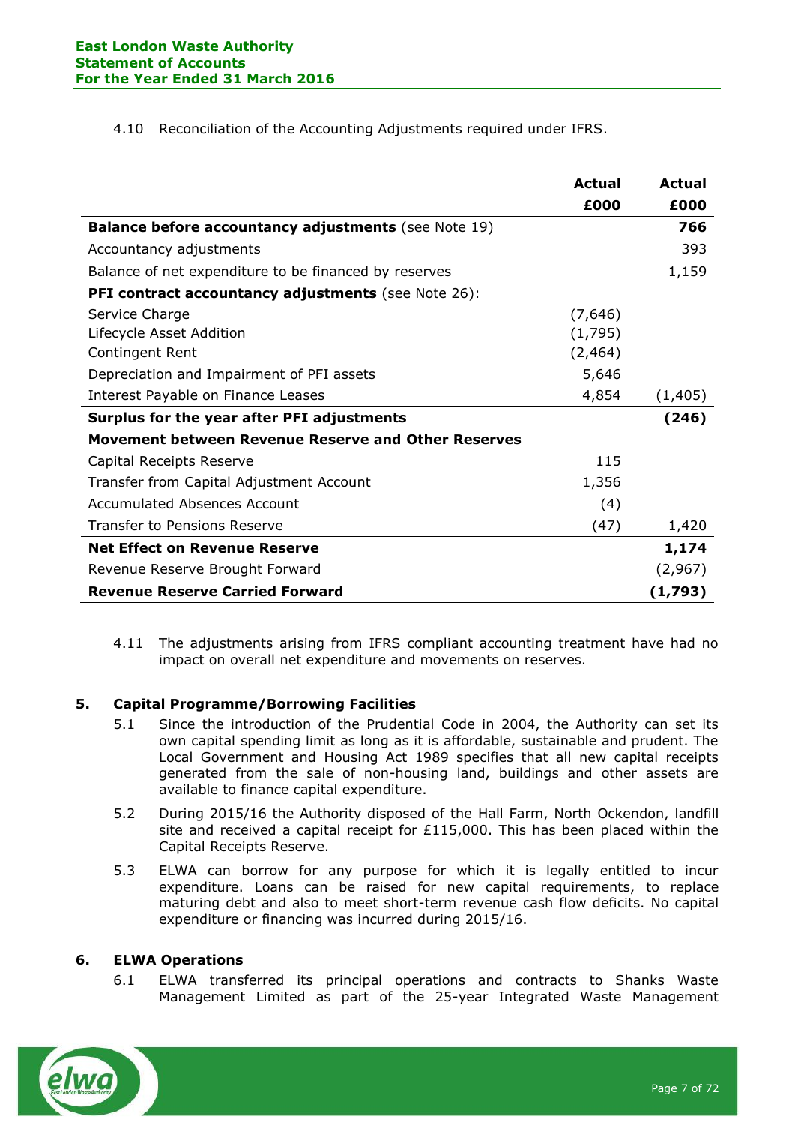| 4.10 Reconciliation of the Accounting Adjustments required under IFRS. |  |  |
|------------------------------------------------------------------------|--|--|

|                                                             | Actual   | Actual   |
|-------------------------------------------------------------|----------|----------|
|                                                             | £000     | £000     |
| <b>Balance before accountancy adjustments</b> (see Note 19) |          | 766      |
| Accountancy adjustments                                     |          | 393      |
| Balance of net expenditure to be financed by reserves       |          | 1,159    |
| <b>PFI contract accountancy adjustments</b> (see Note 26):  |          |          |
| Service Charge                                              | (7,646)  |          |
| Lifecycle Asset Addition                                    | (1,795)  |          |
| Contingent Rent                                             | (2, 464) |          |
| Depreciation and Impairment of PFI assets                   | 5,646    |          |
| Interest Payable on Finance Leases                          | 4,854    | (1, 405) |
| Surplus for the year after PFI adjustments                  |          | (246)    |
| Movement between Revenue Reserve and Other Reserves         |          |          |
| Capital Receipts Reserve                                    | 115      |          |
| Transfer from Capital Adjustment Account                    | 1,356    |          |
| Accumulated Absences Account                                | (4)      |          |
| Transfer to Pensions Reserve                                | (47)     | 1,420    |
| <b>Net Effect on Revenue Reserve</b>                        |          | 1,174    |
| Revenue Reserve Brought Forward                             |          | (2,967)  |
| <b>Revenue Reserve Carried Forward</b>                      |          | (1,793)  |

4.11 The adjustments arising from IFRS compliant accounting treatment have had no impact on overall net expenditure and movements on reserves.

### **5. Capital Programme/Borrowing Facilities**

- 5.1 Since the introduction of the Prudential Code in 2004, the Authority can set its own capital spending limit as long as it is affordable, sustainable and prudent. The Local Government and Housing Act 1989 specifies that all new capital receipts generated from the sale of non-housing land, buildings and other assets are available to finance capital expenditure.
- 5.2 During 2015/16 the Authority disposed of the Hall Farm, North Ockendon, landfill site and received a capital receipt for £115,000. This has been placed within the Capital Receipts Reserve.
- 5.3 ELWA can borrow for any purpose for which it is legally entitled to incur expenditure. Loans can be raised for new capital requirements, to replace maturing debt and also to meet short-term revenue cash flow deficits. No capital expenditure or financing was incurred during 2015/16.

### **6. ELWA Operations**

6.1 ELWA transferred its principal operations and contracts to Shanks Waste Management Limited as part of the 25-year Integrated Waste Management

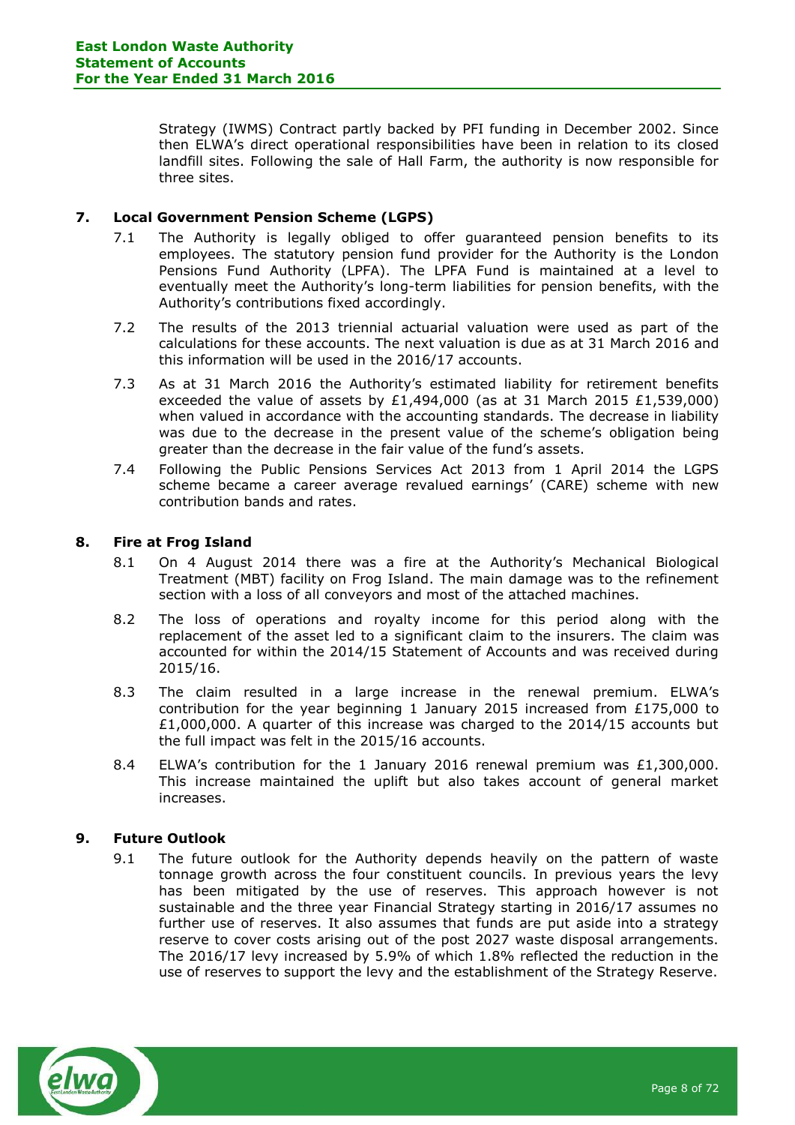Strategy (IWMS) Contract partly backed by PFI funding in December 2002. Since then ELWA's direct operational responsibilities have been in relation to its closed landfill sites. Following the sale of Hall Farm, the authority is now responsible for three sites.

### **7. Local Government Pension Scheme (LGPS)**

- 7.1 The Authority is legally obliged to offer guaranteed pension benefits to its employees. The statutory pension fund provider for the Authority is the London Pensions Fund Authority (LPFA). The LPFA Fund is maintained at a level to eventually meet the Authority's long-term liabilities for pension benefits, with the Authority's contributions fixed accordingly.
- 7.2 The results of the 2013 triennial actuarial valuation were used as part of the calculations for these accounts. The next valuation is due as at 31 March 2016 and this information will be used in the 2016/17 accounts.
- 7.3 As at 31 March 2016 the Authority's estimated liability for retirement benefits exceeded the value of assets by £1,494,000 (as at 31 March 2015 £1,539,000) when valued in accordance with the accounting standards. The decrease in liability was due to the decrease in the present value of the scheme's obligation being greater than the decrease in the fair value of the fund's assets.
- 7.4 Following the Public Pensions Services Act 2013 from 1 April 2014 the LGPS scheme became a career average revalued earnings' (CARE) scheme with new contribution bands and rates.

### **8. Fire at Frog Island**

- 8.1 On 4 August 2014 there was a fire at the Authority's Mechanical Biological Treatment (MBT) facility on Frog Island. The main damage was to the refinement section with a loss of all conveyors and most of the attached machines.
- 8.2 The loss of operations and royalty income for this period along with the replacement of the asset led to a significant claim to the insurers. The claim was accounted for within the 2014/15 Statement of Accounts and was received during 2015/16.
- 8.3 The claim resulted in a large increase in the renewal premium. ELWA's contribution for the year beginning 1 January 2015 increased from £175,000 to  $£1,000,000$ . A quarter of this increase was charged to the 2014/15 accounts but the full impact was felt in the 2015/16 accounts.
- 8.4 ELWA's contribution for the 1 January 2016 renewal premium was £1,300,000. This increase maintained the uplift but also takes account of general market increases.

### **9. Future Outlook**

9.1 The future outlook for the Authority depends heavily on the pattern of waste tonnage growth across the four constituent councils. In previous years the levy has been mitigated by the use of reserves. This approach however is not sustainable and the three year Financial Strategy starting in 2016/17 assumes no further use of reserves. It also assumes that funds are put aside into a strategy reserve to cover costs arising out of the post 2027 waste disposal arrangements. The 2016/17 levy increased by 5.9% of which 1.8% reflected the reduction in the use of reserves to support the levy and the establishment of the Strategy Reserve.

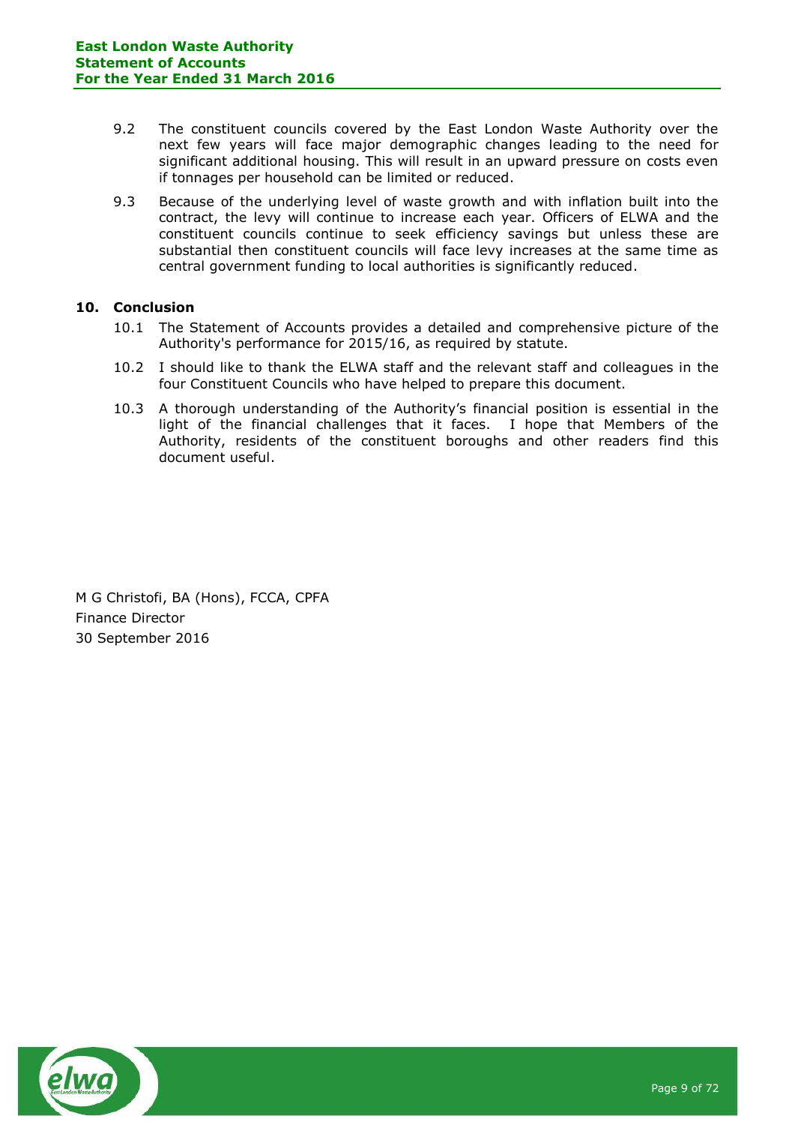- 9.2 The constituent councils covered by the East London Waste Authority over the next few years will face major demographic changes leading to the need for significant additional housing. This will result in an upward pressure on costs even if tonnages per household can be limited or reduced.
- 9.3 Because of the underlying level of waste growth and with inflation built into the contract, the levy will continue to increase each year. Officers of ELWA and the constituent councils continue to seek efficiency savings but unless these are substantial then constituent councils will face levy increases at the same time as central government funding to local authorities is significantly reduced.

### **10. Conclusion**

- 10.1 The Statement of Accounts provides a detailed and comprehensive picture of the Authority's performance for 2015/16, as required by statute.
- 10.2 I should like to thank the ELWA staff and the relevant staff and colleagues in the four Constituent Councils who have helped to prepare this document.
- 10.3 A thorough understanding of the Authority's financial position is essential in the light of the financial challenges that it faces. I hope that Members of the Authority, residents of the constituent boroughs and other readers find this document useful.

M G Christofi, BA (Hons), FCCA, CPFA Finance Director 30 September 2016

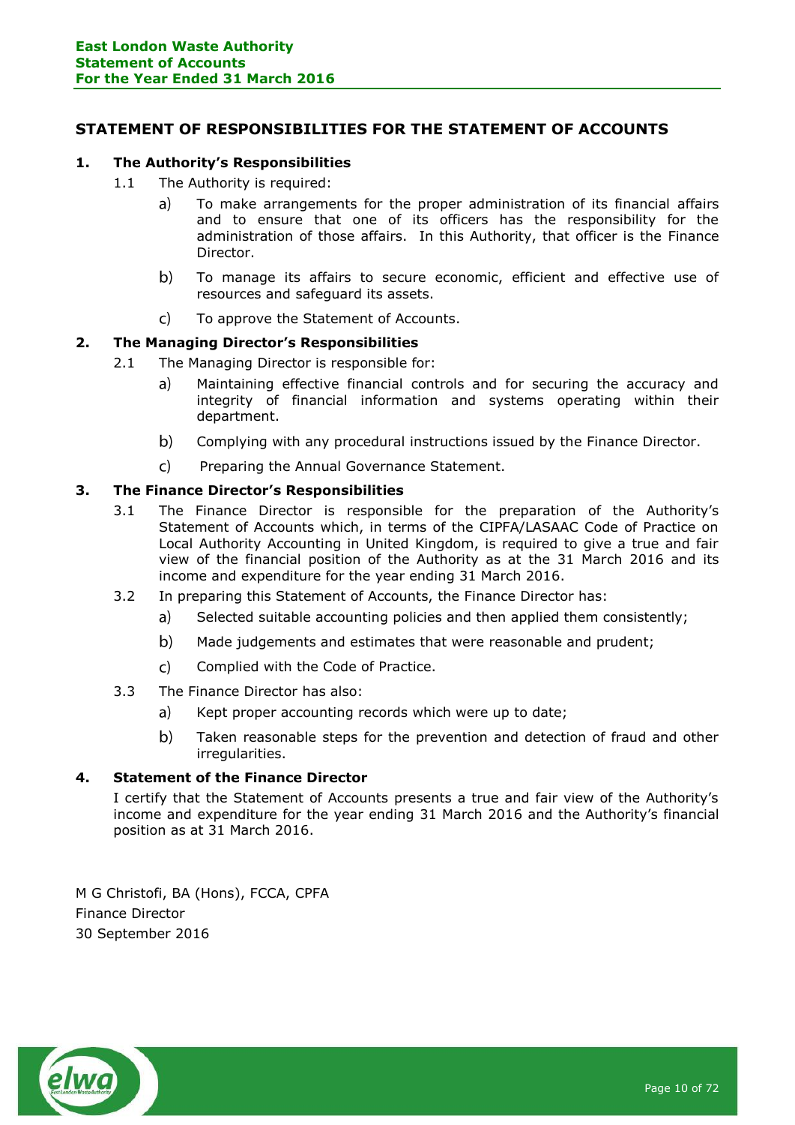### <span id="page-9-0"></span>**STATEMENT OF RESPONSIBILITIES FOR THE STATEMENT OF ACCOUNTS**

### **1. The Authority's Responsibilities**

- 1.1 The Authority is required:
	- To make arrangements for the proper administration of its financial affairs a) and to ensure that one of its officers has the responsibility for the administration of those affairs. In this Authority, that officer is the Finance Director.
	- $b)$ To manage its affairs to secure economic, efficient and effective use of resources and safeguard its assets.
	- $\mathsf{C}$ To approve the Statement of Accounts.

### **2. The Managing Director's Responsibilities**

- 2.1 The Managing Director is responsible for:
	- Maintaining effective financial controls and for securing the accuracy and a) integrity of financial information and systems operating within their department.
	- $b)$ Complying with any procedural instructions issued by the Finance Director.
	- $\mathsf{C}$ Preparing the Annual Governance Statement.

### **3. The Finance Director's Responsibilities**

- 3.1 The Finance Director is responsible for the preparation of the Authority's Statement of Accounts which, in terms of the CIPFA/LASAAC Code of Practice on Local Authority Accounting in United Kingdom, is required to give a true and fair view of the financial position of the Authority as at the 31 March 2016 and its income and expenditure for the year ending 31 March 2016.
- 3.2 In preparing this Statement of Accounts, the Finance Director has:
	- Selected suitable accounting policies and then applied them consistently; a)
	- $b)$ Made judgements and estimates that were reasonable and prudent;
	- c) Complied with the Code of Practice.
- 3.3 The Finance Director has also:
	- a) Kept proper accounting records which were up to date;
	- $b)$ Taken reasonable steps for the prevention and detection of fraud and other irregularities.

### **4. Statement of the Finance Director**

I certify that the Statement of Accounts presents a true and fair view of the Authority's income and expenditure for the year ending 31 March 2016 and the Authority's financial position as at 31 March 2016.

M G Christofi, BA (Hons), FCCA, CPFA Finance Director 30 September 2016

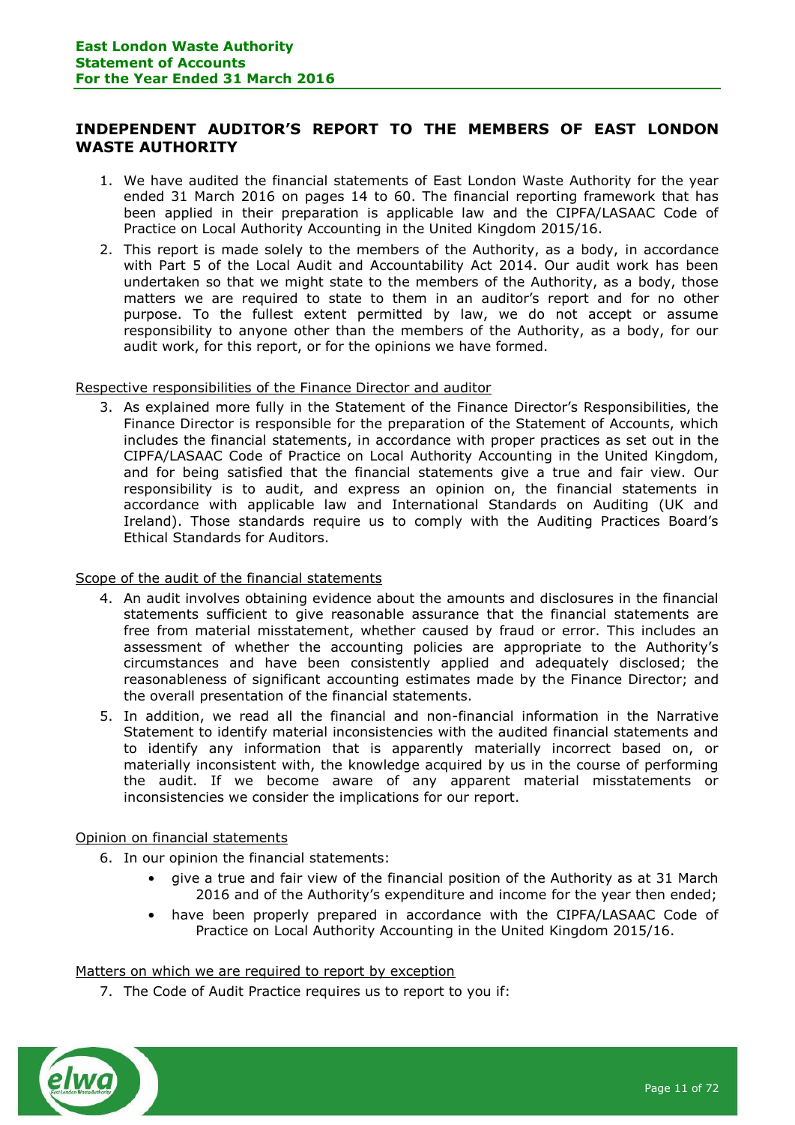# <span id="page-10-0"></span>**INDEPENDENT AUDITOR'S REPORT TO THE MEMBERS OF EAST LONDON WASTE AUTHORITY**

- 1. We have audited the financial statements of East London Waste Authority for the year ended 31 March 2016 on pages 14 to 60. The financial reporting framework that has been applied in their preparation is applicable law and the CIPFA/LASAAC Code of Practice on Local Authority Accounting in the United Kingdom 2015/16.
- 2. This report is made solely to the members of the Authority, as a body, in accordance with Part 5 of the Local Audit and Accountability Act 2014. Our audit work has been undertaken so that we might state to the members of the Authority, as a body, those matters we are required to state to them in an auditor's report and for no other purpose. To the fullest extent permitted by law, we do not accept or assume responsibility to anyone other than the members of the Authority, as a body, for our audit work, for this report, or for the opinions we have formed.

### Respective responsibilities of the Finance Director and auditor

3. As explained more fully in the Statement of the Finance Director's Responsibilities, the Finance Director is responsible for the preparation of the Statement of Accounts, which includes the financial statements, in accordance with proper practices as set out in the CIPFA/LASAAC Code of Practice on Local Authority Accounting in the United Kingdom, and for being satisfied that the financial statements give a true and fair view. Our responsibility is to audit, and express an opinion on, the financial statements in accordance with applicable law and International Standards on Auditing (UK and Ireland). Those standards require us to comply with the Auditing Practices Board's Ethical Standards for Auditors.

### Scope of the audit of the financial statements

- 4. An audit involves obtaining evidence about the amounts and disclosures in the financial statements sufficient to give reasonable assurance that the financial statements are free from material misstatement, whether caused by fraud or error. This includes an assessment of whether the accounting policies are appropriate to the Authority's circumstances and have been consistently applied and adequately disclosed; the reasonableness of significant accounting estimates made by the Finance Director; and the overall presentation of the financial statements.
- 5. In addition, we read all the financial and non-financial information in the Narrative Statement to identify material inconsistencies with the audited financial statements and to identify any information that is apparently materially incorrect based on, or materially inconsistent with, the knowledge acquired by us in the course of performing the audit. If we become aware of any apparent material misstatements or inconsistencies we consider the implications for our report.

### Opinion on financial statements

- 6. In our opinion the financial statements:
	- give a true and fair view of the financial position of the Authority as at 31 March 2016 and of the Authority's expenditure and income for the year then ended;
	- have been properly prepared in accordance with the CIPFA/LASAAC Code of Practice on Local Authority Accounting in the United Kingdom 2015/16.

### Matters on which we are required to report by exception

7. The Code of Audit Practice requires us to report to you if:

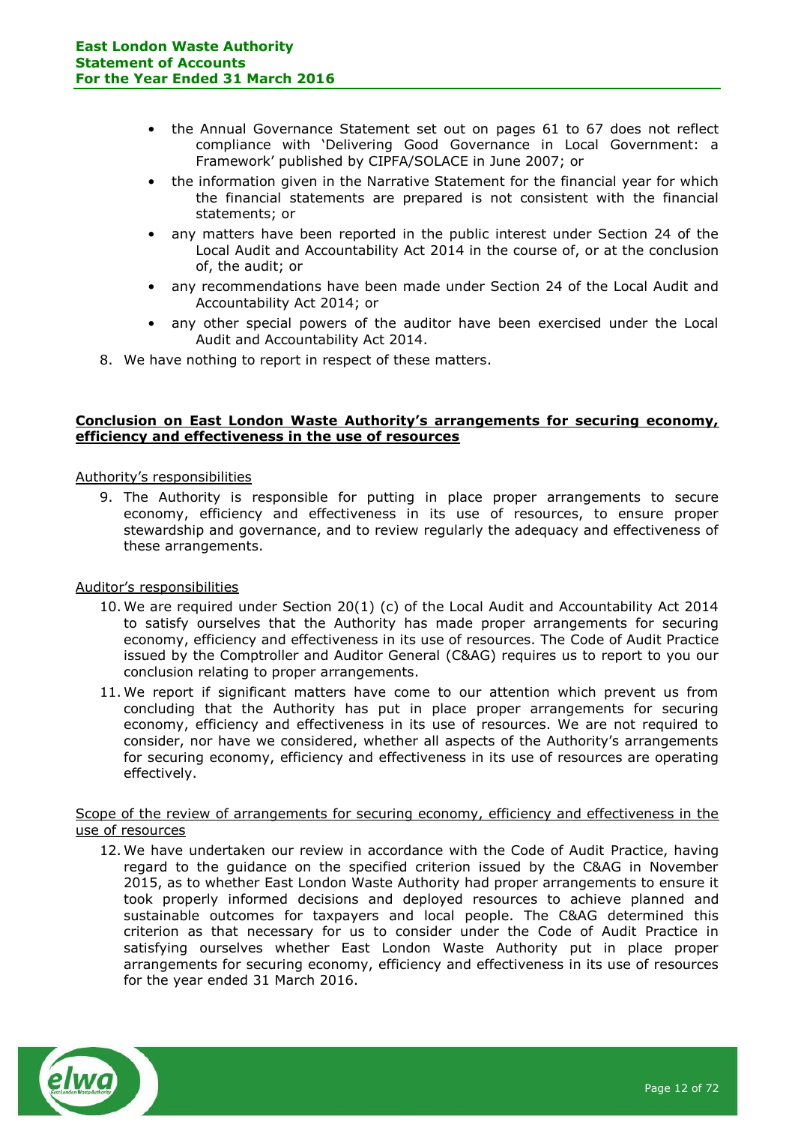- the Annual Governance Statement set out on pages 61 to 67 does not reflect compliance with 'Delivering Good Governance in Local Government: a Framework' published by CIPFA/SOLACE in June 2007; or
- the information given in the Narrative Statement for the financial year for which the financial statements are prepared is not consistent with the financial statements; or
- any matters have been reported in the public interest under Section 24 of the Local Audit and Accountability Act 2014 in the course of, or at the conclusion of, the audit; or
- any recommendations have been made under Section 24 of the Local Audit and Accountability Act 2014; or
- any other special powers of the auditor have been exercised under the Local Audit and Accountability Act 2014.
- 8. We have nothing to report in respect of these matters.

### **Conclusion on East London Waste Authority's arrangements for securing economy, efficiency and effectiveness in the use of resources**

### Authority's responsibilities

9. The Authority is responsible for putting in place proper arrangements to secure economy, efficiency and effectiveness in its use of resources, to ensure proper stewardship and governance, and to review regularly the adequacy and effectiveness of these arrangements.

### Auditor's responsibilities

- 10. We are required under Section 20(1) (c) of the Local Audit and Accountability Act 2014 to satisfy ourselves that the Authority has made proper arrangements for securing economy, efficiency and effectiveness in its use of resources. The Code of Audit Practice issued by the Comptroller and Auditor General (C&AG) requires us to report to you our conclusion relating to proper arrangements.
- 11. We report if significant matters have come to our attention which prevent us from concluding that the Authority has put in place proper arrangements for securing economy, efficiency and effectiveness in its use of resources. We are not required to consider, nor have we considered, whether all aspects of the Authority's arrangements for securing economy, efficiency and effectiveness in its use of resources are operating effectively.

### Scope of the review of arrangements for securing economy, efficiency and effectiveness in the use of resources

12. We have undertaken our review in accordance with the Code of Audit Practice, having regard to the guidance on the specified criterion issued by the C&AG in November 2015, as to whether East London Waste Authority had proper arrangements to ensure it took properly informed decisions and deployed resources to achieve planned and sustainable outcomes for taxpayers and local people. The C&AG determined this criterion as that necessary for us to consider under the Code of Audit Practice in satisfying ourselves whether East London Waste Authority put in place proper arrangements for securing economy, efficiency and effectiveness in its use of resources for the year ended 31 March 2016.

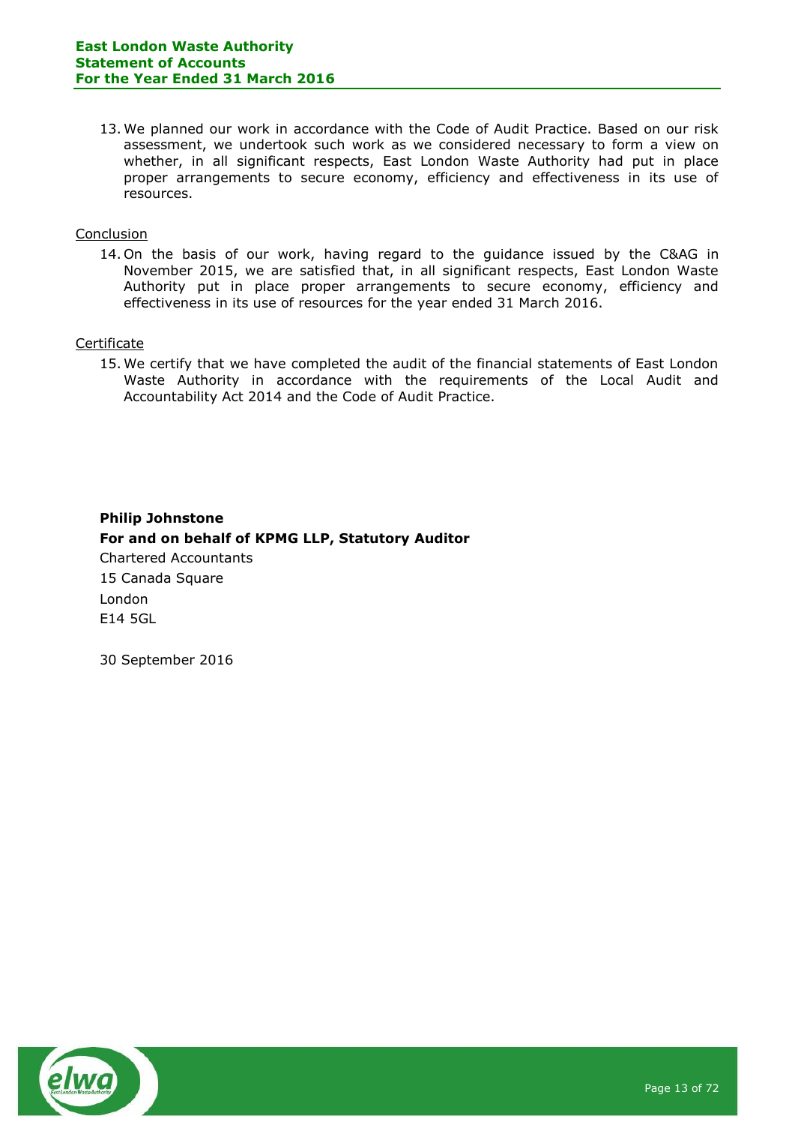13. We planned our work in accordance with the Code of Audit Practice. Based on our risk assessment, we undertook such work as we considered necessary to form a view on whether, in all significant respects, East London Waste Authority had put in place proper arrangements to secure economy, efficiency and effectiveness in its use of resources.

#### Conclusion

14. On the basis of our work, having regard to the guidance issued by the C&AG in November 2015, we are satisfied that, in all significant respects, East London Waste Authority put in place proper arrangements to secure economy, efficiency and effectiveness in its use of resources for the year ended 31 March 2016.

#### **Certificate**

15. We certify that we have completed the audit of the financial statements of East London Waste Authority in accordance with the requirements of the Local Audit and Accountability Act 2014 and the Code of Audit Practice.

# **Philip Johnstone For and on behalf of KPMG LLP, Statutory Auditor**  Chartered Accountants 15 Canada Square London E14 5GL

30 September 2016

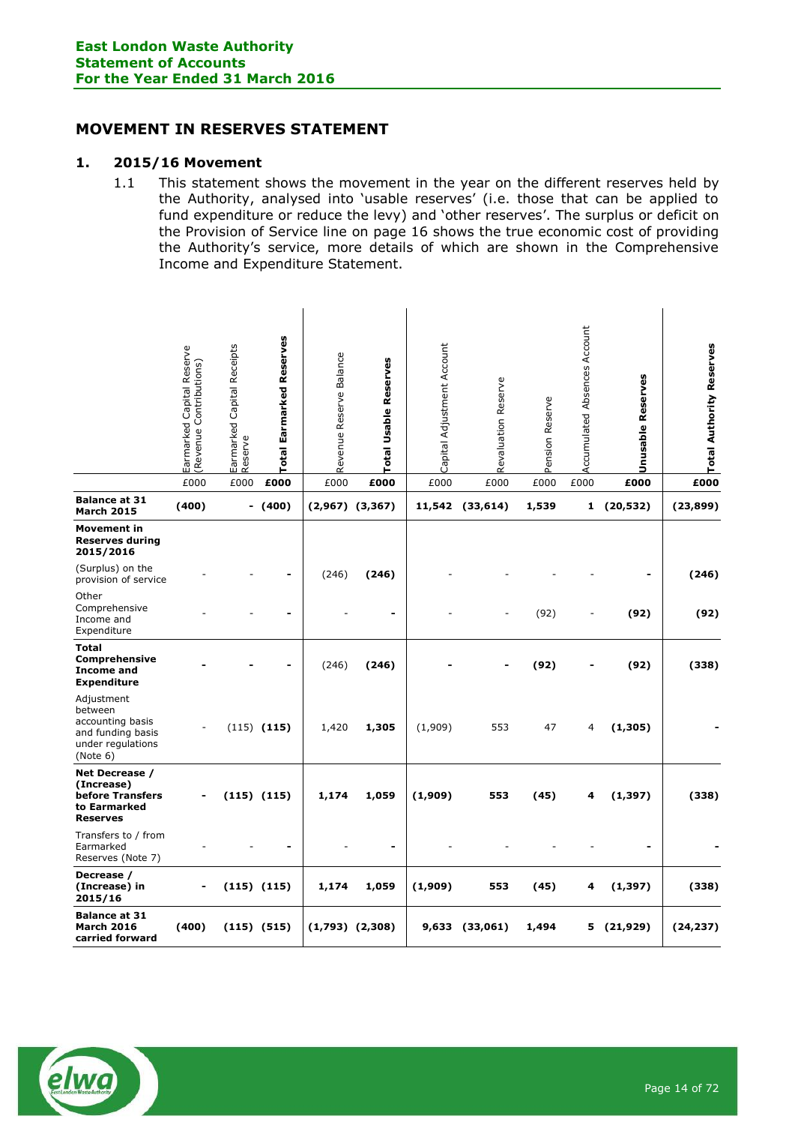### <span id="page-13-0"></span>**MOVEMENT IN RESERVES STATEMENT**

### **1. 2015/16 Movement**

1.1 This statement shows the movement in the year on the different reserves held by the Authority, analysed into 'usable reserves' (i.e. those that can be applied to fund expenditure or reduce the levy) and 'other reserves'. The surplus or deficit on the Provision of Service line on page 16 shows the true economic cost of providing the Authority's service, more details of which are shown in the Comprehensive Income and Expenditure Statement.

|                                                                                                 | Earmarked Capital Reserve<br>(Revenue Contributions) | Earmarked Capital Receipts<br>Reserve | Total Earmarked Reserves | Revenue Reserve Balance | Total Usable Reserves | Capital Adjustment Account | Revaluation Reserve | Pension Reserve | Accumulated Absences Account | Unusable Reserves | <b>Total Authority Reserves</b> |
|-------------------------------------------------------------------------------------------------|------------------------------------------------------|---------------------------------------|--------------------------|-------------------------|-----------------------|----------------------------|---------------------|-----------------|------------------------------|-------------------|---------------------------------|
| <b>Balance at 31</b>                                                                            | £000                                                 | £000                                  | £000                     | £000                    | £000                  | £000                       | £000                | £000            | £000                         | £000              | £000                            |
| <b>March 2015</b>                                                                               | (400)                                                |                                       | $-$ (400)                |                         | $(2,967)$ $(3,367)$   |                            | 11,542 (33,614)     | 1,539           |                              | 1(20,532)         | (23, 899)                       |
| <b>Movement in</b><br><b>Reserves during</b><br>2015/2016                                       |                                                      |                                       |                          |                         |                       |                            |                     |                 |                              |                   |                                 |
| (Surplus) on the<br>provision of service                                                        |                                                      |                                       |                          | (246)                   | (246)                 |                            |                     |                 |                              |                   | (246)                           |
| Other<br>Comprehensive<br>Income and<br>Expenditure                                             |                                                      |                                       |                          |                         |                       |                            |                     | (92)            |                              | (92)              | (92)                            |
| Total<br>Comprehensive<br><b>Income and</b><br><b>Expenditure</b>                               |                                                      |                                       |                          | (246)                   | (246)                 |                            |                     | (92)            |                              | (92)              | (338)                           |
| Adjustment<br>between<br>accounting basis<br>and funding basis<br>under regulations<br>(Note 6) |                                                      |                                       | $(115)$ (115)            | 1,420                   | 1,305                 | (1,909)                    | 553                 | 47              | $\overline{4}$               | (1,305)           |                                 |
| Net Decrease /<br>(Increase)<br>before Transfers<br>to Earmarked<br><b>Reserves</b>             |                                                      |                                       | $(115)$ $(115)$          | 1,174                   | 1,059                 | (1,909)                    | 553                 | (45)            | 4                            | (1, 397)          | (338)                           |
| Transfers to / from<br>Earmarked<br>Reserves (Note 7)                                           |                                                      |                                       |                          |                         |                       |                            |                     |                 |                              |                   |                                 |
| Decrease /<br>(Increase) in<br>2015/16                                                          | -                                                    |                                       | $(115)$ $(115)$          | 1,174                   | 1,059                 | (1,909)                    | 553                 | (45)            | 4                            | (1, 397)          | (338)                           |
| <b>Balance at 31</b><br><b>March 2016</b><br>carried forward                                    | (400)                                                |                                       | $(115)$ $(515)$          |                         | $(1,793)$ $(2,308)$   | 9,633                      | (33,061)            | 1,494           | 5                            | (21, 929)         | (24, 237)                       |

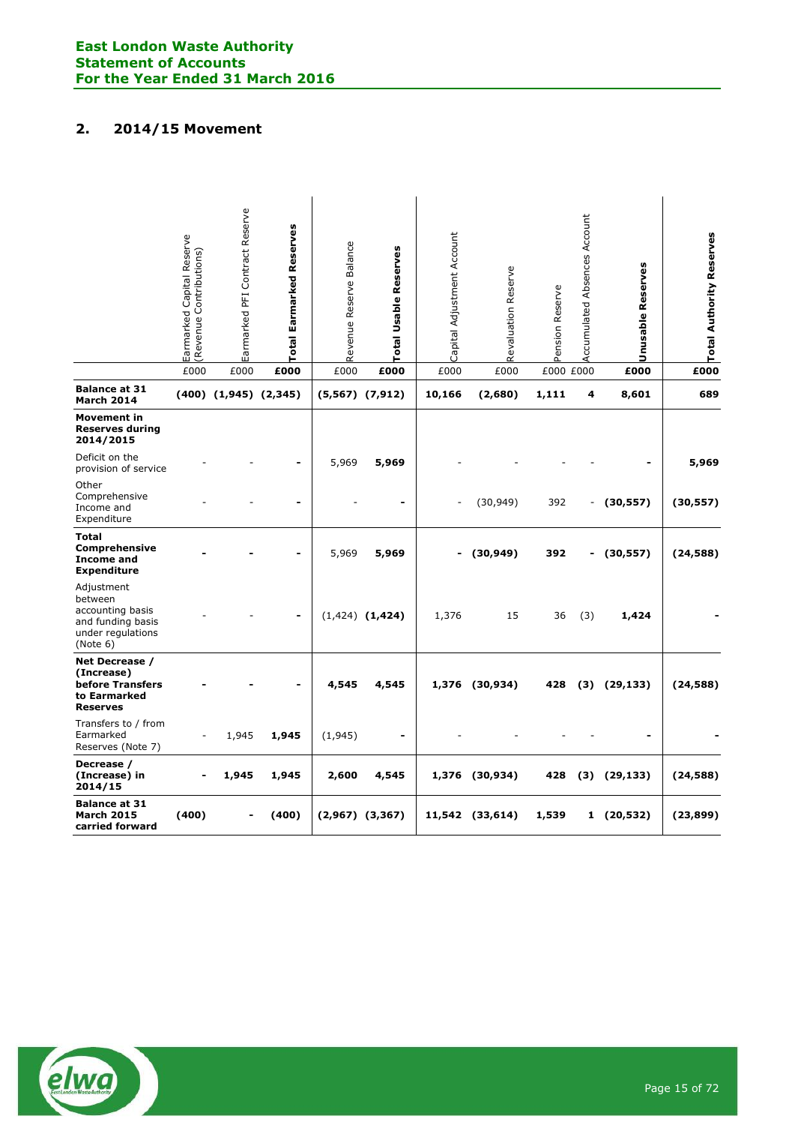# **2. 2014/15 Movement**

|                                                                                                 | Earmarked Capital Reserve<br>(Revenue Contributions) | Earmarked PFI Contract Reserve | Earmarked Reserves<br>Total | Revenue Reserve Balance | Reserves<br><b>Total Usable</b> | Capital Adjustment Account | Revaluation Reserve | Pension Reserve | Accumulated Absences Account | <b>Unusable Reserves</b> | <b>Total Authority Reserves</b> |
|-------------------------------------------------------------------------------------------------|------------------------------------------------------|--------------------------------|-----------------------------|-------------------------|---------------------------------|----------------------------|---------------------|-----------------|------------------------------|--------------------------|---------------------------------|
|                                                                                                 | £000                                                 | £000                           | £000                        | £000                    | £000                            | £000                       | £000                | £000 £000       |                              | £000                     | £000                            |
| <b>Balance at 31</b><br><b>March 2014</b>                                                       |                                                      | $(400)$ $(1,945)$ $(2,345)$    |                             |                         | $(5,567)$ $(7,912)$             | 10,166                     | (2,680)             | 1,111           | 4                            | 8,601                    | 689                             |
| <b>Movement in</b><br><b>Reserves during</b><br>2014/2015                                       |                                                      |                                |                             |                         |                                 |                            |                     |                 |                              |                          |                                 |
| Deficit on the<br>provision of service                                                          |                                                      |                                |                             | 5,969                   | 5,969                           |                            |                     |                 |                              |                          | 5,969                           |
| Other<br>Comprehensive<br>Income and<br>Expenditure                                             |                                                      |                                |                             |                         |                                 |                            | (30, 949)           | 392             | -                            | (30, 557)                | (30, 557)                       |
| <b>Total</b><br><b>Comprehensive</b><br><b>Income and</b><br><b>Expenditure</b>                 |                                                      |                                |                             | 5,969                   | 5,969                           | -                          | (30, 949)           | 392             | $\qquad \qquad \blacksquare$ | (30, 557)                | (24, 588)                       |
| Adjustment<br>between<br>accounting basis<br>and funding basis<br>under regulations<br>(Note 6) |                                                      |                                |                             |                         | $(1,424)$ $(1,424)$             | 1,376                      | 15                  | 36              | (3)                          | 1,424                    |                                 |
| Net Decrease /<br>(Increase)<br>before Transfers<br>to Earmarked<br><b>Reserves</b>             |                                                      |                                |                             | 4,545                   | 4,545                           |                            | 1,376 (30,934)      | 428             | (3)                          | (29, 133)                | (24, 588)                       |
| Transfers to / from<br>Earmarked<br>Reserves (Note 7)                                           |                                                      | 1,945                          | 1,945                       | (1,945)                 | $\qquad \qquad \blacksquare$    |                            |                     |                 |                              |                          |                                 |
| Decrease /<br>(Increase) in<br>2014/15                                                          |                                                      | 1,945                          | 1,945                       | 2,600                   | 4,545                           |                            | 1,376 (30,934)      | 428             | (3)                          | (29, 133)                | (24, 588)                       |
| <b>Balance at 31</b><br><b>March 2015</b><br>carried forward                                    | (400)                                                |                                | (400)                       |                         | $(2,967)$ $(3,367)$             |                            | 11,542 (33,614)     | 1,539           | 1                            | (20, 532)                | (23, 899)                       |

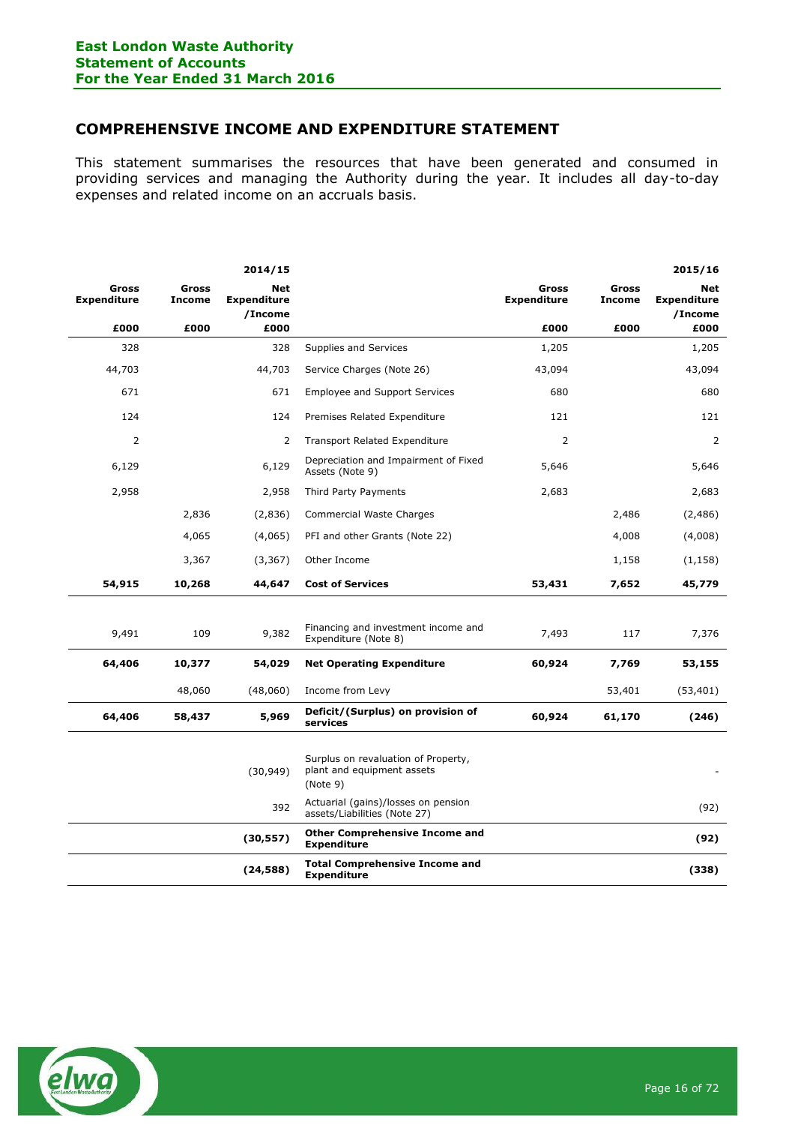# <span id="page-15-0"></span>**COMPREHENSIVE INCOME AND EXPENDITURE STATEMENT**

This statement summarises the resources that have been generated and consumed in providing services and managing the Authority during the year. It includes all day-to-day expenses and related income on an accruals basis.

|                             |                        | 2014/15                                     |                                                                               |                             |                               | 2015/16                                     |
|-----------------------------|------------------------|---------------------------------------------|-------------------------------------------------------------------------------|-----------------------------|-------------------------------|---------------------------------------------|
| Gross<br><b>Expenditure</b> | Gross<br><b>Income</b> | <b>Net</b><br><b>Expenditure</b><br>/Income |                                                                               | Gross<br><b>Expenditure</b> | <b>Gross</b><br><b>Income</b> | <b>Net</b><br><b>Expenditure</b><br>/Income |
| £000                        | £000                   | £000                                        |                                                                               | £000                        | £000                          | £000                                        |
| 328                         |                        | 328                                         | Supplies and Services                                                         | 1,205                       |                               | 1,205                                       |
| 44,703                      |                        | 44,703                                      | Service Charges (Note 26)                                                     | 43,094                      |                               | 43,094                                      |
| 671                         |                        | 671                                         | <b>Employee and Support Services</b>                                          | 680                         |                               | 680                                         |
| 124                         |                        | 124                                         | Premises Related Expenditure                                                  | 121                         |                               | 121                                         |
| $\overline{2}$              |                        | 2                                           | <b>Transport Related Expenditure</b>                                          | $\overline{2}$              |                               | 2                                           |
| 6,129                       |                        | 6,129                                       | Depreciation and Impairment of Fixed<br>Assets (Note 9)                       | 5,646                       |                               | 5,646                                       |
| 2,958                       |                        | 2,958                                       | Third Party Payments                                                          | 2,683                       |                               | 2,683                                       |
|                             | 2,836                  | (2,836)                                     | Commercial Waste Charges                                                      |                             | 2,486                         | (2,486)                                     |
|                             | 4,065                  | (4,065)                                     | PFI and other Grants (Note 22)                                                |                             | 4,008                         | (4,008)                                     |
|                             | 3,367                  | (3, 367)                                    | Other Income                                                                  |                             | 1,158                         | (1, 158)                                    |
| 54,915                      | 10,268                 | 44,647                                      | <b>Cost of Services</b>                                                       | 53,431                      | 7,652                         | 45,779                                      |
|                             |                        |                                             |                                                                               |                             |                               |                                             |
| 9,491                       | 109                    | 9,382                                       | Financing and investment income and<br>Expenditure (Note 8)                   | 7,493                       | 117                           | 7,376                                       |
| 64,406                      | 10,377                 | 54,029                                      | <b>Net Operating Expenditure</b>                                              | 60,924                      | 7,769                         | 53,155                                      |
|                             | 48,060                 | (48,060)                                    | Income from Levy                                                              |                             | 53,401                        | (53, 401)                                   |
| 64,406                      | 58,437                 | 5,969                                       | Deficit/(Surplus) on provision of<br>services                                 | 60,924                      | 61,170                        | (246)                                       |
|                             |                        |                                             |                                                                               |                             |                               |                                             |
|                             |                        | (30, 949)                                   | Surplus on revaluation of Property,<br>plant and equipment assets<br>(Note 9) |                             |                               |                                             |
|                             |                        | 392                                         | Actuarial (gains)/losses on pension<br>assets/Liabilities (Note 27)           |                             |                               | (92)                                        |
|                             |                        | (30, 557)                                   | <b>Other Comprehensive Income and</b><br><b>Expenditure</b>                   |                             |                               | (92)                                        |
|                             |                        | (24, 588)                                   | <b>Total Comprehensive Income and</b><br><b>Expenditure</b>                   |                             |                               | (338)                                       |

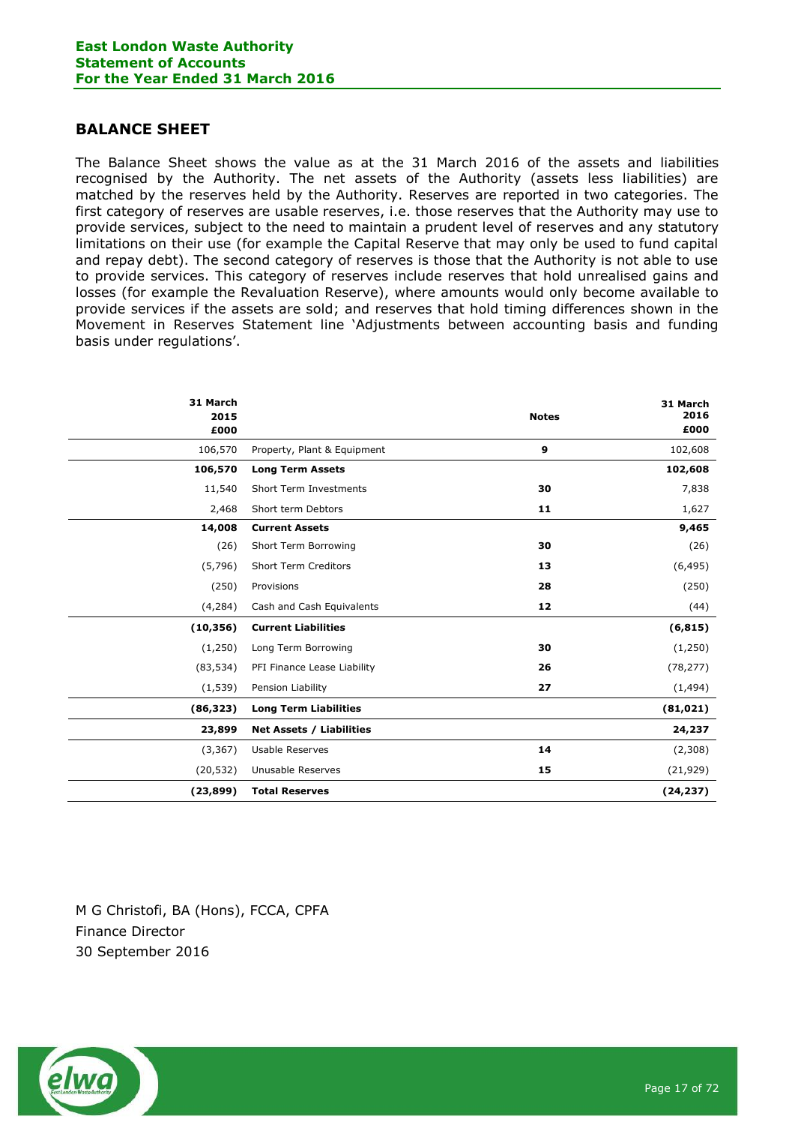### <span id="page-16-0"></span>**BALANCE SHEET**

The Balance Sheet shows the value as at the 31 March 2016 of the assets and liabilities recognised by the Authority. The net assets of the Authority (assets less liabilities) are matched by the reserves held by the Authority. Reserves are reported in two categories. The first category of reserves are usable reserves, i.e. those reserves that the Authority may use to provide services, subject to the need to maintain a prudent level of reserves and any statutory limitations on their use (for example the Capital Reserve that may only be used to fund capital and repay debt). The second category of reserves is those that the Authority is not able to use to provide services. This category of reserves include reserves that hold unrealised gains and losses (for example the Revaluation Reserve), where amounts would only become available to provide services if the assets are sold; and reserves that hold timing differences shown in the Movement in Reserves Statement line 'Adjustments between accounting basis and funding basis under regulations'.

| 31 March<br>2015<br>£000 |                                 | <b>Notes</b> | 31 March<br>2016<br>£000 |
|--------------------------|---------------------------------|--------------|--------------------------|
| 106,570                  | Property, Plant & Equipment     | 9            | 102,608                  |
| 106,570                  | <b>Long Term Assets</b>         |              | 102,608                  |
| 11,540                   | <b>Short Term Investments</b>   | 30           | 7,838                    |
| 2,468                    | Short term Debtors              | 11           | 1,627                    |
| 14,008                   | <b>Current Assets</b>           |              | 9,465                    |
| (26)                     | Short Term Borrowing            | 30           | (26)                     |
| (5,796)                  | <b>Short Term Creditors</b>     | 13           | (6, 495)                 |
| (250)                    | Provisions                      | 28           | (250)                    |
| (4, 284)                 | Cash and Cash Equivalents       | 12           | (44)                     |
| (10, 356)                | <b>Current Liabilities</b>      |              | (6, 815)                 |
| (1,250)                  | Long Term Borrowing             | 30           | (1,250)                  |
| (83, 534)                | PFI Finance Lease Liability     | 26           | (78, 277)                |
| (1, 539)                 | Pension Liability               | 27           | (1, 494)                 |
| (86, 323)                | <b>Long Term Liabilities</b>    |              | (81, 021)                |
| 23,899                   | <b>Net Assets / Liabilities</b> |              | 24,237                   |
| (3, 367)                 | Usable Reserves                 | 14           | (2,308)                  |
| (20, 532)                | Unusable Reserves               | 15           | (21, 929)                |
| (23, 899)                | <b>Total Reserves</b>           |              | (24, 237)                |

M G Christofi, BA (Hons), FCCA, CPFA Finance Director 30 September 2016

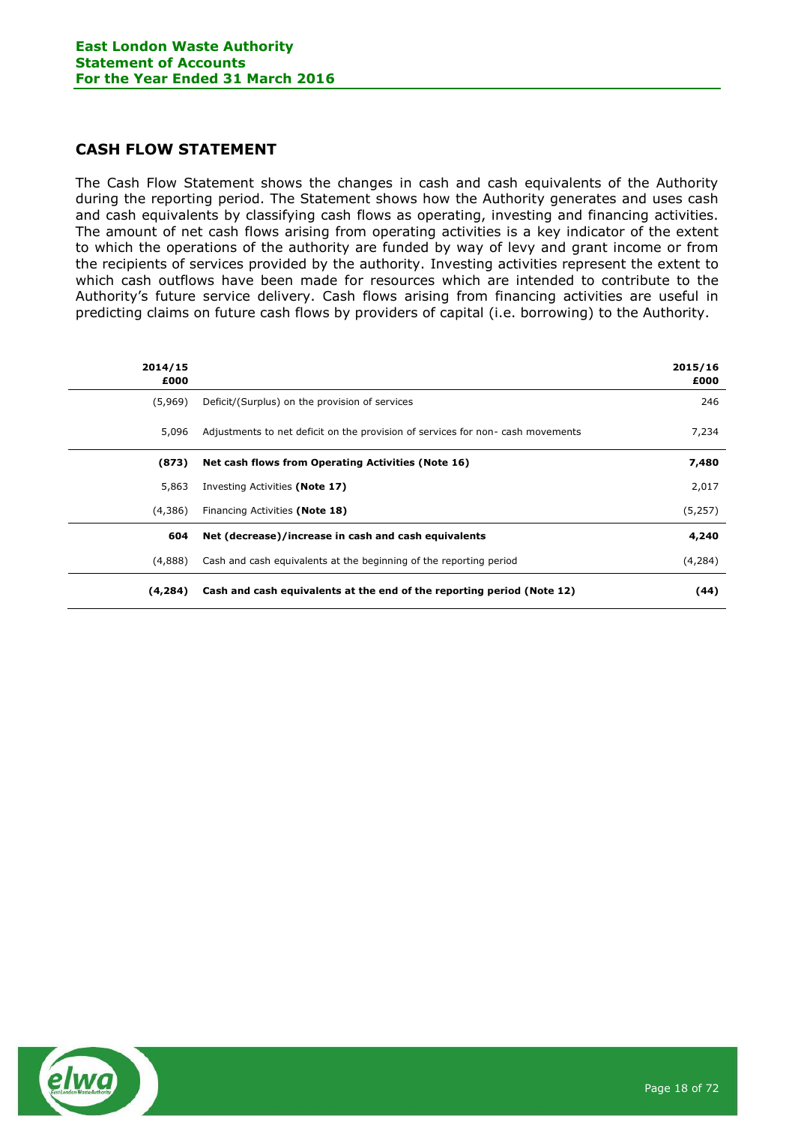### <span id="page-17-0"></span>**CASH FLOW STATEMENT**

The Cash Flow Statement shows the changes in cash and cash equivalents of the Authority during the reporting period. The Statement shows how the Authority generates and uses cash and cash equivalents by classifying cash flows as operating, investing and financing activities. The amount of net cash flows arising from operating activities is a key indicator of the extent to which the operations of the authority are funded by way of levy and grant income or from the recipients of services provided by the authority. Investing activities represent the extent to which cash outflows have been made for resources which are intended to contribute to the Authority's future service delivery. Cash flows arising from financing activities are useful in predicting claims on future cash flows by providers of capital (i.e. borrowing) to the Authority.

| 2014/15<br>£000 |                                                                                | 2015/16<br>£000 |
|-----------------|--------------------------------------------------------------------------------|-----------------|
| (5,969)         | Deficit/(Surplus) on the provision of services                                 | 246             |
| 5,096           | Adjustments to net deficit on the provision of services for non-cash movements | 7,234           |
| (873)           | Net cash flows from Operating Activities (Note 16)                             | 7,480           |
| 5,863           | Investing Activities (Note 17)                                                 | 2,017           |
| (4,386)         | Financing Activities (Note 18)                                                 | (5,257)         |
| 604             | Net (decrease)/increase in cash and cash equivalents                           | 4,240           |
| (4,888)         | Cash and cash equivalents at the beginning of the reporting period             | (4, 284)        |
| (4,284)         | Cash and cash equivalents at the end of the reporting period (Note 12)         | (44)            |

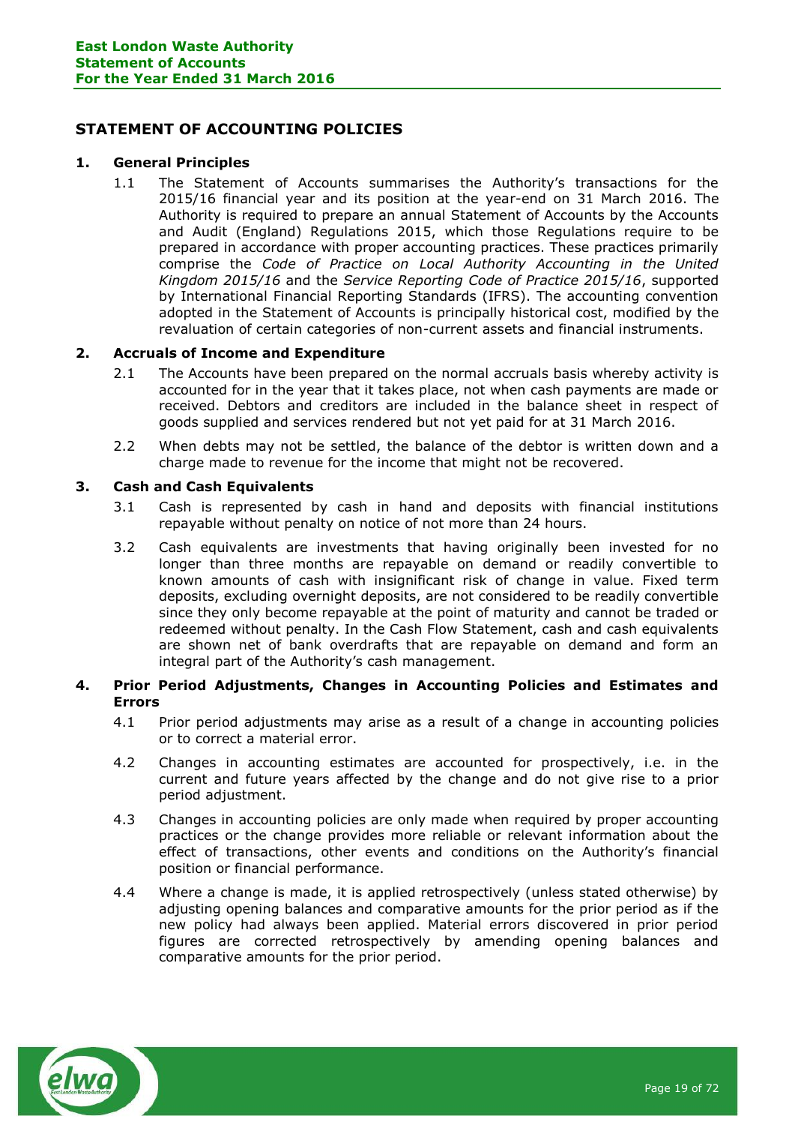### <span id="page-18-0"></span>**STATEMENT OF ACCOUNTING POLICIES**

### **1. General Principles**

1.1 The Statement of Accounts summarises the Authority's transactions for the 2015/16 financial year and its position at the year-end on 31 March 2016. The Authority is required to prepare an annual Statement of Accounts by the Accounts and Audit (England) Regulations 2015, which those Regulations require to be prepared in accordance with proper accounting practices. These practices primarily comprise the *Code of Practice on Local Authority Accounting in the United Kingdom 2015/16* and the *Service Reporting Code of Practice 2015/16*, supported by International Financial Reporting Standards (IFRS). The accounting convention adopted in the Statement of Accounts is principally historical cost, modified by the revaluation of certain categories of non-current assets and financial instruments.

#### **2. Accruals of Income and Expenditure**

- 2.1 The Accounts have been prepared on the normal accruals basis whereby activity is accounted for in the year that it takes place, not when cash payments are made or received. Debtors and creditors are included in the balance sheet in respect of goods supplied and services rendered but not yet paid for at 31 March 2016.
- 2.2 When debts may not be settled, the balance of the debtor is written down and a charge made to revenue for the income that might not be recovered.

#### **3. Cash and Cash Equivalents**

- 3.1 Cash is represented by cash in hand and deposits with financial institutions repayable without penalty on notice of not more than 24 hours.
- 3.2 Cash equivalents are investments that having originally been invested for no longer than three months are repayable on demand or readily convertible to known amounts of cash with insignificant risk of change in value. Fixed term deposits, excluding overnight deposits, are not considered to be readily convertible since they only become repayable at the point of maturity and cannot be traded or redeemed without penalty. In the Cash Flow Statement, cash and cash equivalents are shown net of bank overdrafts that are repayable on demand and form an integral part of the Authority's cash management.

### **4. Prior Period Adjustments, Changes in Accounting Policies and Estimates and Errors**

- 4.1 Prior period adjustments may arise as a result of a change in accounting policies or to correct a material error.
- 4.2 Changes in accounting estimates are accounted for prospectively, i.e. in the current and future years affected by the change and do not give rise to a prior period adjustment.
- 4.3 Changes in accounting policies are only made when required by proper accounting practices or the change provides more reliable or relevant information about the effect of transactions, other events and conditions on the Authority's financial position or financial performance.
- 4.4 Where a change is made, it is applied retrospectively (unless stated otherwise) by adjusting opening balances and comparative amounts for the prior period as if the new policy had always been applied. Material errors discovered in prior period figures are corrected retrospectively by amending opening balances and comparative amounts for the prior period.

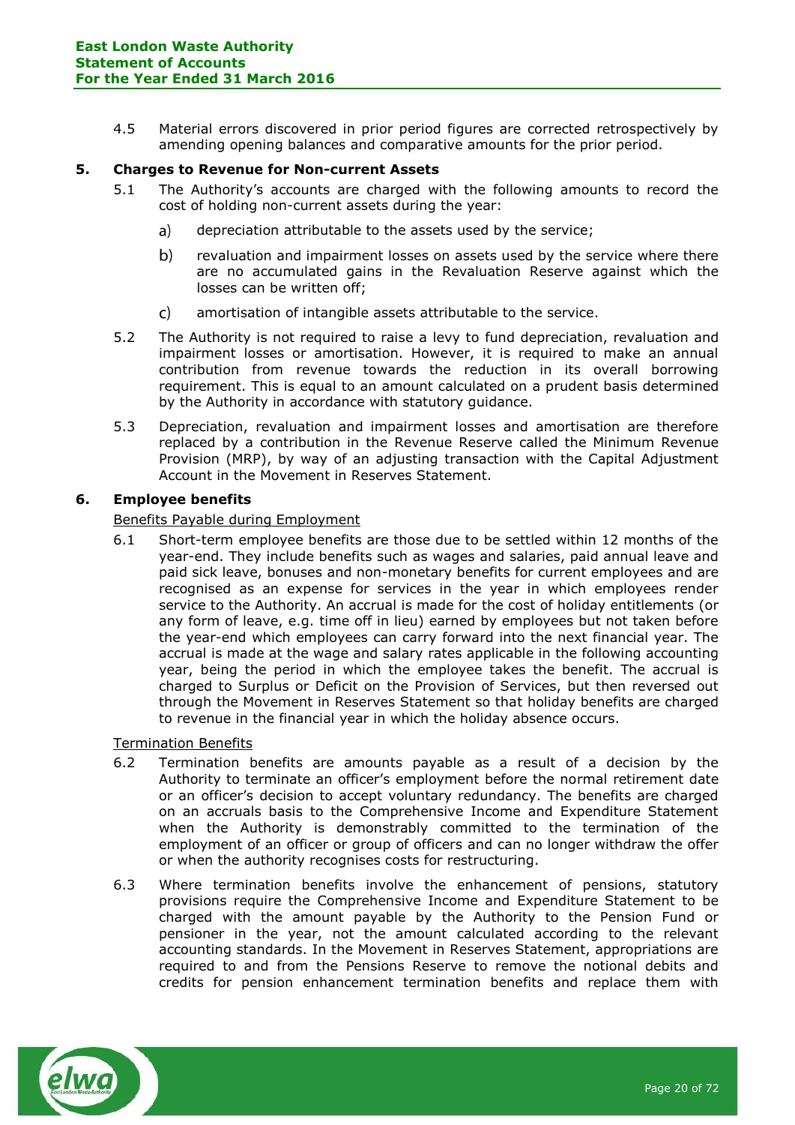4.5 Material errors discovered in prior period figures are corrected retrospectively by amending opening balances and comparative amounts for the prior period.

### **5. Charges to Revenue for Non-current Assets**

- 5.1 The Authority's accounts are charged with the following amounts to record the cost of holding non-current assets during the year:
	- depreciation attributable to the assets used by the service;  $a)$
	- $b)$ revaluation and impairment losses on assets used by the service where there are no accumulated gains in the Revaluation Reserve against which the losses can be written off;
	- $\mathsf{C}$ amortisation of intangible assets attributable to the service.
- 5.2 The Authority is not required to raise a levy to fund depreciation, revaluation and impairment losses or amortisation. However, it is required to make an annual contribution from revenue towards the reduction in its overall borrowing requirement. This is equal to an amount calculated on a prudent basis determined by the Authority in accordance with statutory guidance.
- 5.3 Depreciation, revaluation and impairment losses and amortisation are therefore replaced by a contribution in the Revenue Reserve called the Minimum Revenue Provision (MRP), by way of an adjusting transaction with the Capital Adjustment Account in the Movement in Reserves Statement.

#### **6. Employee benefits**

Benefits Payable during Employment

6.1 Short-term employee benefits are those due to be settled within 12 months of the year-end. They include benefits such as wages and salaries, paid annual leave and paid sick leave, bonuses and non-monetary benefits for current employees and are recognised as an expense for services in the year in which employees render service to the Authority. An accrual is made for the cost of holiday entitlements (or any form of leave, e.g. time off in lieu) earned by employees but not taken before the year-end which employees can carry forward into the next financial year. The accrual is made at the wage and salary rates applicable in the following accounting year, being the period in which the employee takes the benefit. The accrual is charged to Surplus or Deficit on the Provision of Services, but then reversed out through the Movement in Reserves Statement so that holiday benefits are charged to revenue in the financial year in which the holiday absence occurs.

#### Termination Benefits

- 6.2 Termination benefits are amounts payable as a result of a decision by the Authority to terminate an officer's employment before the normal retirement date or an officer's decision to accept voluntary redundancy. The benefits are charged on an accruals basis to the Comprehensive Income and Expenditure Statement when the Authority is demonstrably committed to the termination of the employment of an officer or group of officers and can no longer withdraw the offer or when the authority recognises costs for restructuring.
- 6.3 Where termination benefits involve the enhancement of pensions, statutory provisions require the Comprehensive Income and Expenditure Statement to be charged with the amount payable by the Authority to the Pension Fund or pensioner in the year, not the amount calculated according to the relevant accounting standards. In the Movement in Reserves Statement, appropriations are required to and from the Pensions Reserve to remove the notional debits and credits for pension enhancement termination benefits and replace them with

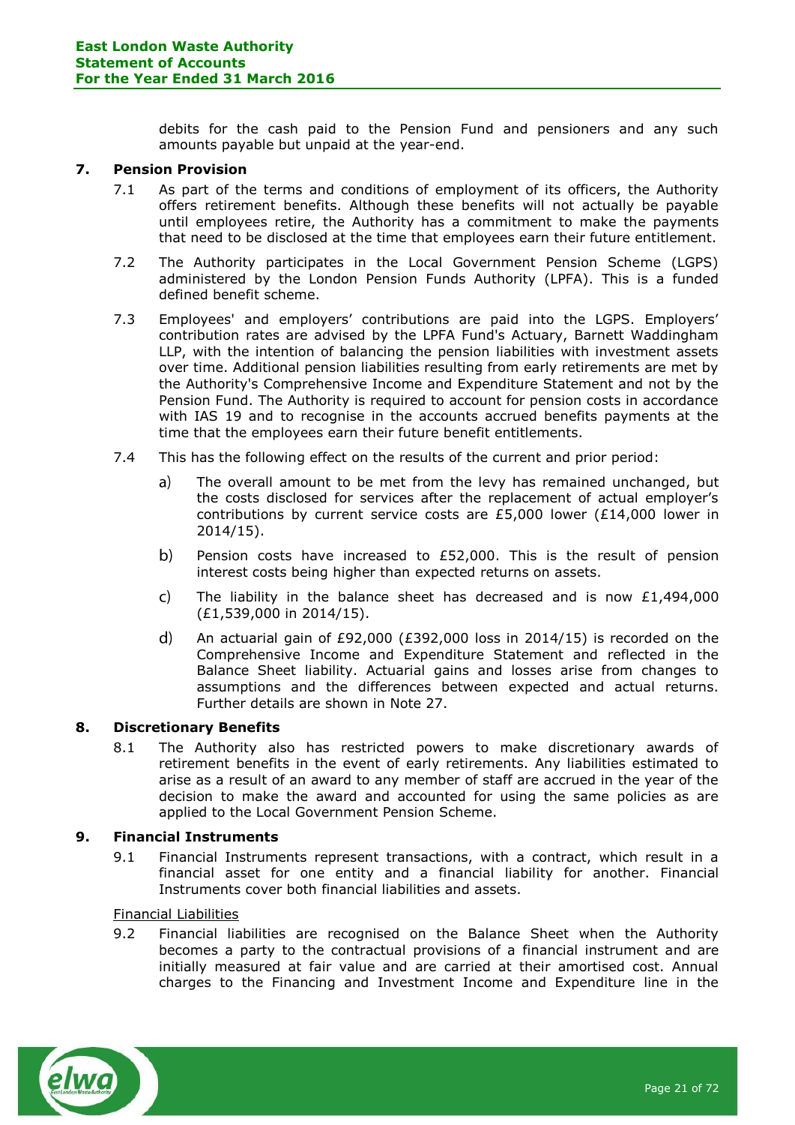debits for the cash paid to the Pension Fund and pensioners and any such amounts payable but unpaid at the year-end.

### **7. Pension Provision**

- 7.1 As part of the terms and conditions of employment of its officers, the Authority offers retirement benefits. Although these benefits will not actually be payable until employees retire, the Authority has a commitment to make the payments that need to be disclosed at the time that employees earn their future entitlement.
- 7.2 The Authority participates in the Local Government Pension Scheme (LGPS) administered by the London Pension Funds Authority (LPFA). This is a funded defined benefit scheme.
- 7.3 Employees' and employers' contributions are paid into the LGPS. Employers' contribution rates are advised by the LPFA Fund's Actuary, Barnett Waddingham LLP, with the intention of balancing the pension liabilities with investment assets over time. Additional pension liabilities resulting from early retirements are met by the Authority's Comprehensive Income and Expenditure Statement and not by the Pension Fund. The Authority is required to account for pension costs in accordance with IAS 19 and to recognise in the accounts accrued benefits payments at the time that the employees earn their future benefit entitlements.
- 7.4 This has the following effect on the results of the current and prior period:
	- $a)$ The overall amount to be met from the levy has remained unchanged, but the costs disclosed for services after the replacement of actual employer's contributions by current service costs are £5,000 lower (£14,000 lower in 2014/15).
	- $b)$ Pension costs have increased to  $£52,000$ . This is the result of pension interest costs being higher than expected returns on assets.
	- $\mathsf{C}$ The liability in the balance sheet has decreased and is now  $£1,494,000$ (£1,539,000 in 2014/15).
	- $\mathbf{d}$ An actuarial gain of £92,000 (£392,000 loss in 2014/15) is recorded on the Comprehensive Income and Expenditure Statement and reflected in the Balance Sheet liability. Actuarial gains and losses arise from changes to assumptions and the differences between expected and actual returns. Further details are shown in Note 27.

### **8. Discretionary Benefits**

8.1 The Authority also has restricted powers to make discretionary awards of retirement benefits in the event of early retirements. Any liabilities estimated to arise as a result of an award to any member of staff are accrued in the year of the decision to make the award and accounted for using the same policies as are applied to the Local Government Pension Scheme.

#### **9. Financial Instruments**

9.1 Financial Instruments represent transactions, with a contract, which result in a financial asset for one entity and a financial liability for another. Financial Instruments cover both financial liabilities and assets.

### Financial Liabilities

9.2 Financial liabilities are recognised on the Balance Sheet when the Authority becomes a party to the contractual provisions of a financial instrument and are initially measured at fair value and are carried at their amortised cost. Annual charges to the Financing and Investment Income and Expenditure line in the

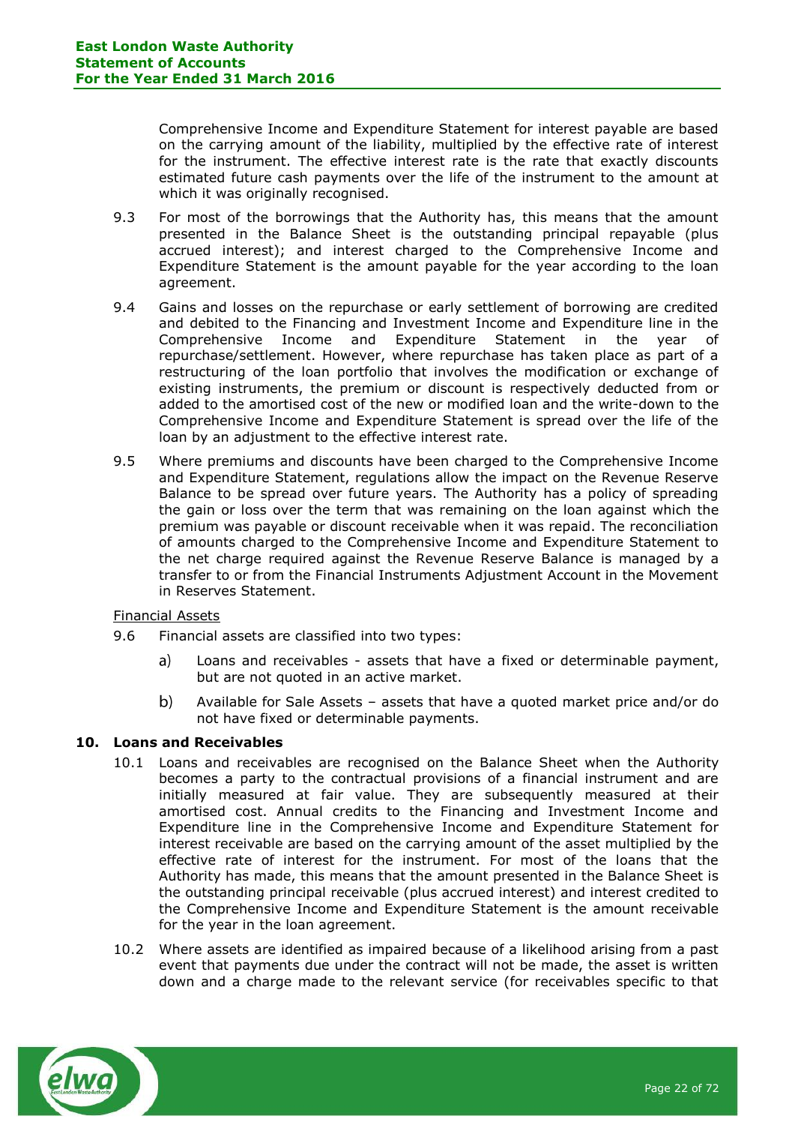Comprehensive Income and Expenditure Statement for interest payable are based on the carrying amount of the liability, multiplied by the effective rate of interest for the instrument. The effective interest rate is the rate that exactly discounts estimated future cash payments over the life of the instrument to the amount at which it was originally recognised.

- 9.3 For most of the borrowings that the Authority has, this means that the amount presented in the Balance Sheet is the outstanding principal repayable (plus accrued interest); and interest charged to the Comprehensive Income and Expenditure Statement is the amount payable for the year according to the loan agreement.
- 9.4 Gains and losses on the repurchase or early settlement of borrowing are credited and debited to the Financing and Investment Income and Expenditure line in the Comprehensive Income and Expenditure Statement in the year of repurchase/settlement. However, where repurchase has taken place as part of a restructuring of the loan portfolio that involves the modification or exchange of existing instruments, the premium or discount is respectively deducted from or added to the amortised cost of the new or modified loan and the write-down to the Comprehensive Income and Expenditure Statement is spread over the life of the loan by an adjustment to the effective interest rate.
- 9.5 Where premiums and discounts have been charged to the Comprehensive Income and Expenditure Statement, regulations allow the impact on the Revenue Reserve Balance to be spread over future years. The Authority has a policy of spreading the gain or loss over the term that was remaining on the loan against which the premium was payable or discount receivable when it was repaid. The reconciliation of amounts charged to the Comprehensive Income and Expenditure Statement to the net charge required against the Revenue Reserve Balance is managed by a transfer to or from the Financial Instruments Adjustment Account in the Movement in Reserves Statement.

### Financial Assets

- 9.6 Financial assets are classified into two types:
	- Loans and receivables assets that have a fixed or determinable payment, a) but are not quoted in an active market.
	- $b)$ Available for Sale Assets – assets that have a quoted market price and/or do not have fixed or determinable payments.

### **10. Loans and Receivables**

- 10.1 Loans and receivables are recognised on the Balance Sheet when the Authority becomes a party to the contractual provisions of a financial instrument and are initially measured at fair value. They are subsequently measured at their amortised cost. Annual credits to the Financing and Investment Income and Expenditure line in the Comprehensive Income and Expenditure Statement for interest receivable are based on the carrying amount of the asset multiplied by the effective rate of interest for the instrument. For most of the loans that the Authority has made, this means that the amount presented in the Balance Sheet is the outstanding principal receivable (plus accrued interest) and interest credited to the Comprehensive Income and Expenditure Statement is the amount receivable for the year in the loan agreement.
- 10.2 Where assets are identified as impaired because of a likelihood arising from a past event that payments due under the contract will not be made, the asset is written down and a charge made to the relevant service (for receivables specific to that

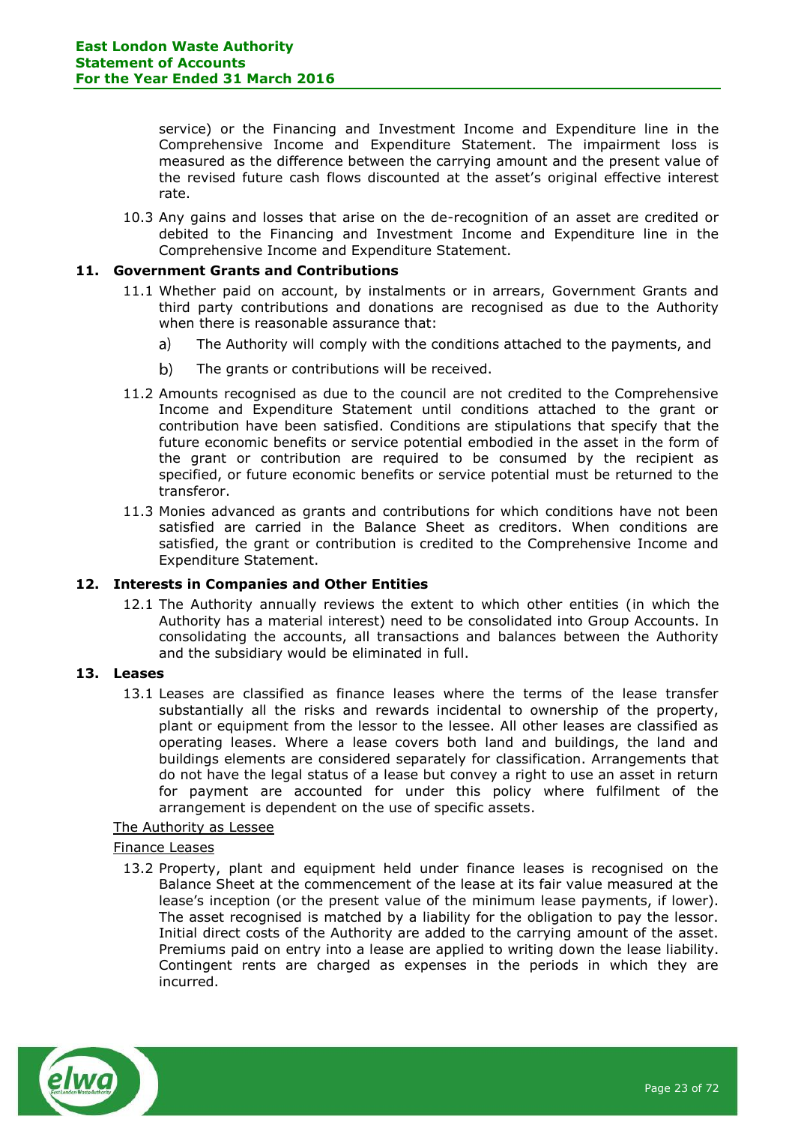service) or the Financing and Investment Income and Expenditure line in the Comprehensive Income and Expenditure Statement. The impairment loss is measured as the difference between the carrying amount and the present value of the revised future cash flows discounted at the asset's original effective interest rate.

10.3 Any gains and losses that arise on the de-recognition of an asset are credited or debited to the Financing and Investment Income and Expenditure line in the Comprehensive Income and Expenditure Statement.

### **11. Government Grants and Contributions**

- 11.1 Whether paid on account, by instalments or in arrears, Government Grants and third party contributions and donations are recognised as due to the Authority when there is reasonable assurance that:
	- The Authority will comply with the conditions attached to the payments, and  $a)$
	- $b)$ The grants or contributions will be received.
- 11.2 Amounts recognised as due to the council are not credited to the Comprehensive Income and Expenditure Statement until conditions attached to the grant or contribution have been satisfied. Conditions are stipulations that specify that the future economic benefits or service potential embodied in the asset in the form of the grant or contribution are required to be consumed by the recipient as specified, or future economic benefits or service potential must be returned to the transferor.
- 11.3 Monies advanced as grants and contributions for which conditions have not been satisfied are carried in the Balance Sheet as creditors. When conditions are satisfied, the grant or contribution is credited to the Comprehensive Income and Expenditure Statement.

### **12. Interests in Companies and Other Entities**

12.1 The Authority annually reviews the extent to which other entities (in which the Authority has a material interest) need to be consolidated into Group Accounts. In consolidating the accounts, all transactions and balances between the Authority and the subsidiary would be eliminated in full.

### **13. Leases**

13.1 Leases are classified as finance leases where the terms of the lease transfer substantially all the risks and rewards incidental to ownership of the property, plant or equipment from the lessor to the lessee. All other leases are classified as operating leases. Where a lease covers both land and buildings, the land and buildings elements are considered separately for classification. Arrangements that do not have the legal status of a lease but convey a right to use an asset in return for payment are accounted for under this policy where fulfilment of the arrangement is dependent on the use of specific assets.

### The Authority as Lessee

### Finance Leases

13.2 Property, plant and equipment held under finance leases is recognised on the Balance Sheet at the commencement of the lease at its fair value measured at the lease's inception (or the present value of the minimum lease payments, if lower). The asset recognised is matched by a liability for the obligation to pay the lessor. Initial direct costs of the Authority are added to the carrying amount of the asset. Premiums paid on entry into a lease are applied to writing down the lease liability. Contingent rents are charged as expenses in the periods in which they are incurred.

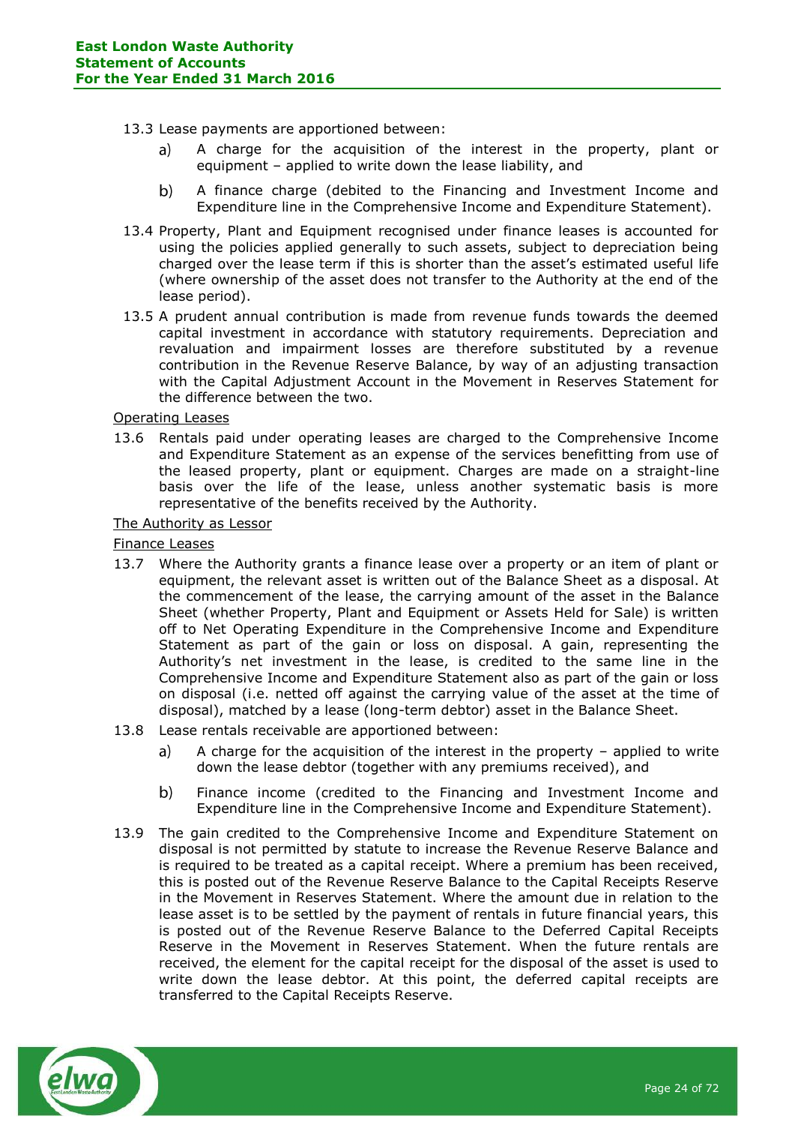### 13.3 Lease payments are apportioned between:

- A charge for the acquisition of the interest in the property, plant or a) equipment – applied to write down the lease liability, and
- $b)$ A finance charge (debited to the Financing and Investment Income and Expenditure line in the Comprehensive Income and Expenditure Statement).
- 13.4 Property, Plant and Equipment recognised under finance leases is accounted for using the policies applied generally to such assets, subject to depreciation being charged over the lease term if this is shorter than the asset's estimated useful life (where ownership of the asset does not transfer to the Authority at the end of the lease period).
- 13.5 A prudent annual contribution is made from revenue funds towards the deemed capital investment in accordance with statutory requirements. Depreciation and revaluation and impairment losses are therefore substituted by a revenue contribution in the Revenue Reserve Balance, by way of an adjusting transaction with the Capital Adjustment Account in the Movement in Reserves Statement for the difference between the two.

### Operating Leases

13.6 Rentals paid under operating leases are charged to the Comprehensive Income and Expenditure Statement as an expense of the services benefitting from use of the leased property, plant or equipment. Charges are made on a straight-line basis over the life of the lease, unless another systematic basis is more representative of the benefits received by the Authority.

### The Authority as Lessor

### Finance Leases

- 13.7 Where the Authority grants a finance lease over a property or an item of plant or equipment, the relevant asset is written out of the Balance Sheet as a disposal. At the commencement of the lease, the carrying amount of the asset in the Balance Sheet (whether Property, Plant and Equipment or Assets Held for Sale) is written off to Net Operating Expenditure in the Comprehensive Income and Expenditure Statement as part of the gain or loss on disposal. A gain, representing the Authority's net investment in the lease, is credited to the same line in the Comprehensive Income and Expenditure Statement also as part of the gain or loss on disposal (i.e. netted off against the carrying value of the asset at the time of disposal), matched by a lease (long-term debtor) asset in the Balance Sheet.
- 13.8 Lease rentals receivable are apportioned between:
	- A charge for the acquisition of the interest in the property applied to write  $a)$ down the lease debtor (together with any premiums received), and
	- Finance income (credited to the Financing and Investment Income and  $b)$ Expenditure line in the Comprehensive Income and Expenditure Statement).
- 13.9 The gain credited to the Comprehensive Income and Expenditure Statement on disposal is not permitted by statute to increase the Revenue Reserve Balance and is required to be treated as a capital receipt. Where a premium has been received, this is posted out of the Revenue Reserve Balance to the Capital Receipts Reserve in the Movement in Reserves Statement. Where the amount due in relation to the lease asset is to be settled by the payment of rentals in future financial years, this is posted out of the Revenue Reserve Balance to the Deferred Capital Receipts Reserve in the Movement in Reserves Statement. When the future rentals are received, the element for the capital receipt for the disposal of the asset is used to write down the lease debtor. At this point, the deferred capital receipts are transferred to the Capital Receipts Reserve.

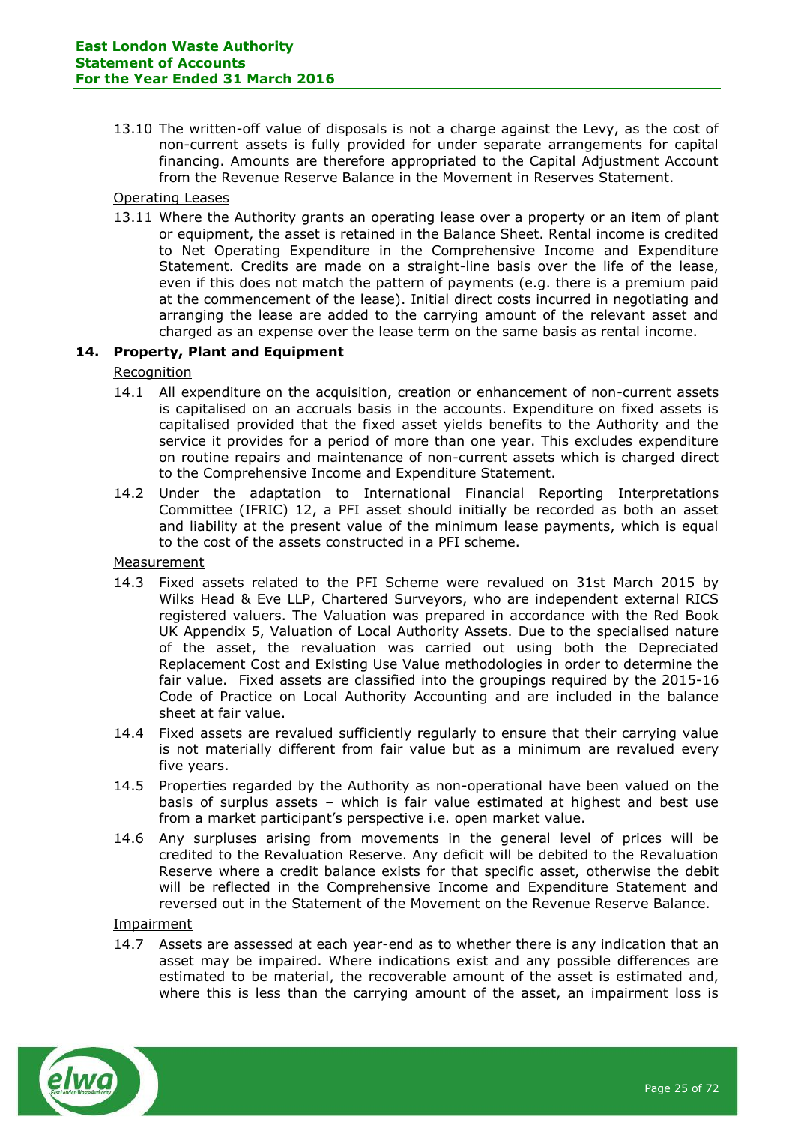13.10 The written-off value of disposals is not a charge against the Levy, as the cost of non-current assets is fully provided for under separate arrangements for capital financing. Amounts are therefore appropriated to the Capital Adjustment Account from the Revenue Reserve Balance in the Movement in Reserves Statement.

### Operating Leases

13.11 Where the Authority grants an operating lease over a property or an item of plant or equipment, the asset is retained in the Balance Sheet. Rental income is credited to Net Operating Expenditure in the Comprehensive Income and Expenditure Statement. Credits are made on a straight-line basis over the life of the lease, even if this does not match the pattern of payments (e.g. there is a premium paid at the commencement of the lease). Initial direct costs incurred in negotiating and arranging the lease are added to the carrying amount of the relevant asset and charged as an expense over the lease term on the same basis as rental income.

### **14. Property, Plant and Equipment**

### **Recognition**

- 14.1 All expenditure on the acquisition, creation or enhancement of non-current assets is capitalised on an accruals basis in the accounts. Expenditure on fixed assets is capitalised provided that the fixed asset yields benefits to the Authority and the service it provides for a period of more than one year. This excludes expenditure on routine repairs and maintenance of non-current assets which is charged direct to the Comprehensive Income and Expenditure Statement.
- 14.2 Under the adaptation to International Financial Reporting Interpretations Committee (IFRIC) 12, a PFI asset should initially be recorded as both an asset and liability at the present value of the minimum lease payments, which is equal to the cost of the assets constructed in a PFI scheme.

### **Measurement**

- 14.3 Fixed assets related to the PFI Scheme were revalued on 31st March 2015 by Wilks Head & Eve LLP, Chartered Surveyors, who are independent external RICS registered valuers. The Valuation was prepared in accordance with the Red Book UK Appendix 5, Valuation of Local Authority Assets. Due to the specialised nature of the asset, the revaluation was carried out using both the Depreciated Replacement Cost and Existing Use Value methodologies in order to determine the fair value. Fixed assets are classified into the groupings required by the 2015-16 Code of Practice on Local Authority Accounting and are included in the balance sheet at fair value.
- 14.4 Fixed assets are revalued sufficiently regularly to ensure that their carrying value is not materially different from fair value but as a minimum are revalued every five years.
- 14.5 Properties regarded by the Authority as non-operational have been valued on the basis of surplus assets – which is fair value estimated at highest and best use from a market participant's perspective i.e. open market value.
- 14.6 Any surpluses arising from movements in the general level of prices will be credited to the Revaluation Reserve. Any deficit will be debited to the Revaluation Reserve where a credit balance exists for that specific asset, otherwise the debit will be reflected in the Comprehensive Income and Expenditure Statement and reversed out in the Statement of the Movement on the Revenue Reserve Balance.

### **Impairment**

14.7 Assets are assessed at each year-end as to whether there is any indication that an asset may be impaired. Where indications exist and any possible differences are estimated to be material, the recoverable amount of the asset is estimated and, where this is less than the carrying amount of the asset, an impairment loss is

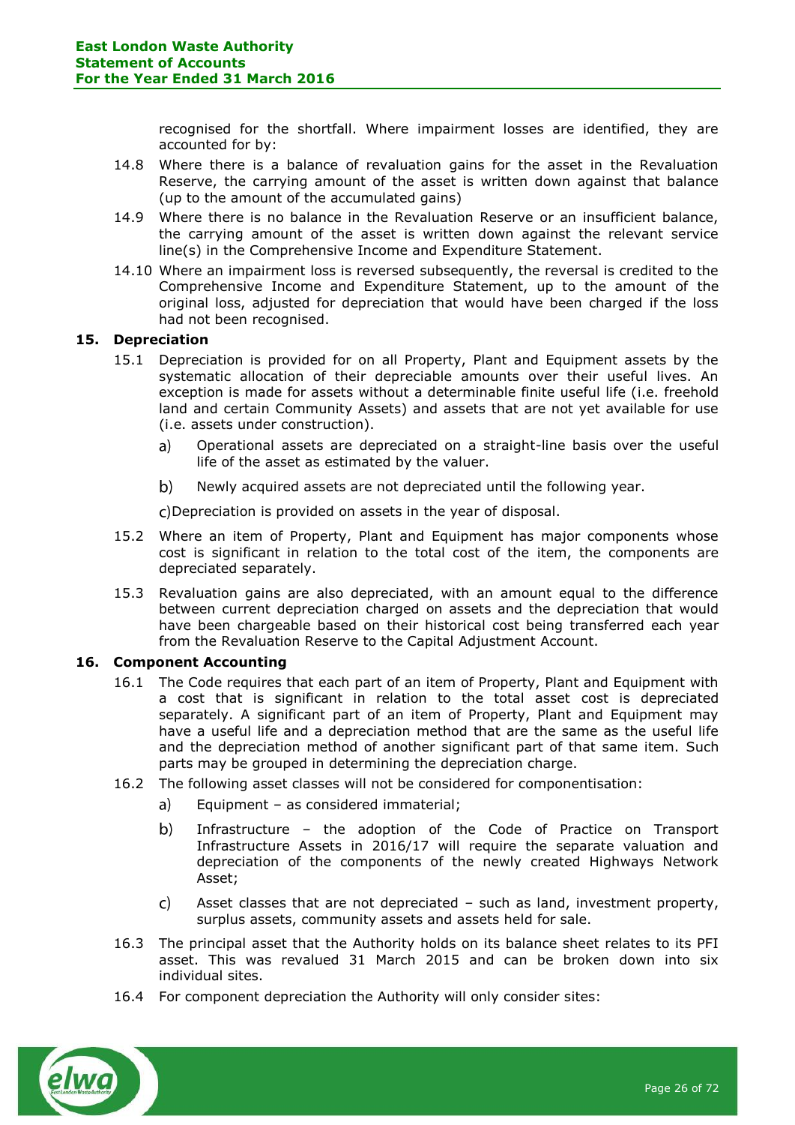recognised for the shortfall. Where impairment losses are identified, they are accounted for by:

- 14.8 Where there is a balance of revaluation gains for the asset in the Revaluation Reserve, the carrying amount of the asset is written down against that balance (up to the amount of the accumulated gains)
- 14.9 Where there is no balance in the Revaluation Reserve or an insufficient balance, the carrying amount of the asset is written down against the relevant service line(s) in the Comprehensive Income and Expenditure Statement.
- 14.10 Where an impairment loss is reversed subsequently, the reversal is credited to the Comprehensive Income and Expenditure Statement, up to the amount of the original loss, adjusted for depreciation that would have been charged if the loss had not been recognised.

### **15. Depreciation**

- 15.1 Depreciation is provided for on all Property, Plant and Equipment assets by the systematic allocation of their depreciable amounts over their useful lives. An exception is made for assets without a determinable finite useful life (i.e. freehold land and certain Community Assets) and assets that are not yet available for use (i.e. assets under construction).
	- $a)$ Operational assets are depreciated on a straight-line basis over the useful life of the asset as estimated by the valuer.
	- $b)$ Newly acquired assets are not depreciated until the following year.

Depreciation is provided on assets in the year of disposal.

- 15.2 Where an item of Property, Plant and Equipment has major components whose cost is significant in relation to the total cost of the item, the components are depreciated separately.
- 15.3 Revaluation gains are also depreciated, with an amount equal to the difference between current depreciation charged on assets and the depreciation that would have been chargeable based on their historical cost being transferred each year from the Revaluation Reserve to the Capital Adjustment Account.

### **16. Component Accounting**

- 16.1 The Code requires that each part of an item of Property, Plant and Equipment with a cost that is significant in relation to the total asset cost is depreciated separately. A significant part of an item of Property, Plant and Equipment may have a useful life and a depreciation method that are the same as the useful life and the depreciation method of another significant part of that same item. Such parts may be grouped in determining the depreciation charge.
- 16.2 The following asset classes will not be considered for componentisation:
	- Equipment as considered immaterial; a)
	- $h$ Infrastructure – the adoption of the Code of Practice on Transport Infrastructure Assets in 2016/17 will require the separate valuation and depreciation of the components of the newly created Highways Network Asset;
	- Asset classes that are not depreciated such as land, investment property,  $\mathsf{C}$ surplus assets, community assets and assets held for sale.
- 16.3 The principal asset that the Authority holds on its balance sheet relates to its PFI asset. This was revalued 31 March 2015 and can be broken down into six individual sites.
- 16.4 For component depreciation the Authority will only consider sites:

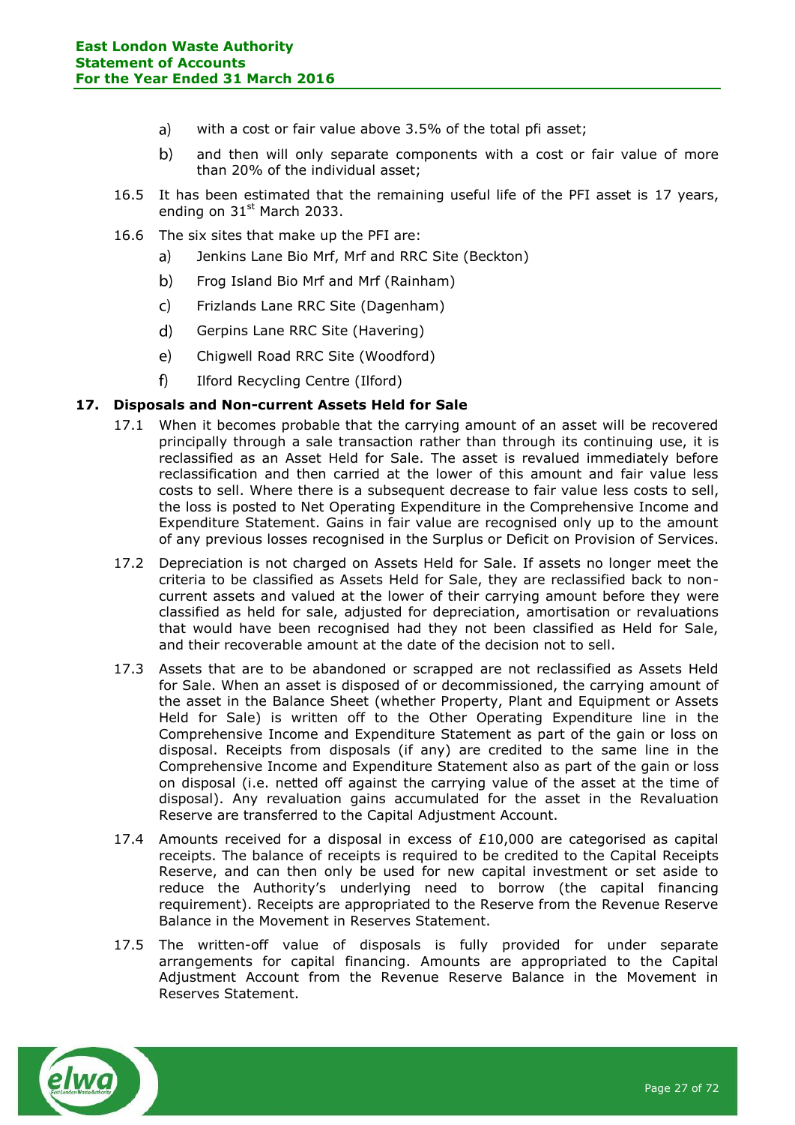- $a)$ with a cost or fair value above 3.5% of the total pfi asset;
- $b)$ and then will only separate components with a cost or fair value of more than 20% of the individual asset;
- 16.5 It has been estimated that the remaining useful life of the PFI asset is 17 years, ending on 31<sup>st</sup> March 2033.
- 16.6 The six sites that make up the PFI are:
	- $a)$ Jenkins Lane Bio Mrf, Mrf and RRC Site (Beckton)
	- $b)$ Frog Island Bio Mrf and Mrf (Rainham)
	- Frizlands Lane RRC Site (Dagenham)  $\mathsf{C}$
	- $\mathsf{d}$ Gerpins Lane RRC Site (Havering)
	- $e)$ Chigwell Road RRC Site (Woodford)
	- $f$ Ilford Recycling Centre (Ilford)

#### **17. Disposals and Non-current Assets Held for Sale**

- 17.1 When it becomes probable that the carrying amount of an asset will be recovered principally through a sale transaction rather than through its continuing use, it is reclassified as an Asset Held for Sale. The asset is revalued immediately before reclassification and then carried at the lower of this amount and fair value less costs to sell. Where there is a subsequent decrease to fair value less costs to sell, the loss is posted to Net Operating Expenditure in the Comprehensive Income and Expenditure Statement. Gains in fair value are recognised only up to the amount of any previous losses recognised in the Surplus or Deficit on Provision of Services.
- 17.2 Depreciation is not charged on Assets Held for Sale. If assets no longer meet the criteria to be classified as Assets Held for Sale, they are reclassified back to noncurrent assets and valued at the lower of their carrying amount before they were classified as held for sale, adjusted for depreciation, amortisation or revaluations that would have been recognised had they not been classified as Held for Sale, and their recoverable amount at the date of the decision not to sell.
- 17.3 Assets that are to be abandoned or scrapped are not reclassified as Assets Held for Sale. When an asset is disposed of or decommissioned, the carrying amount of the asset in the Balance Sheet (whether Property, Plant and Equipment or Assets Held for Sale) is written off to the Other Operating Expenditure line in the Comprehensive Income and Expenditure Statement as part of the gain or loss on disposal. Receipts from disposals (if any) are credited to the same line in the Comprehensive Income and Expenditure Statement also as part of the gain or loss on disposal (i.e. netted off against the carrying value of the asset at the time of disposal). Any revaluation gains accumulated for the asset in the Revaluation Reserve are transferred to the Capital Adjustment Account.
- 17.4 Amounts received for a disposal in excess of  $£10,000$  are categorised as capital receipts. The balance of receipts is required to be credited to the Capital Receipts Reserve, and can then only be used for new capital investment or set aside to reduce the Authority's underlying need to borrow (the capital financing requirement). Receipts are appropriated to the Reserve from the Revenue Reserve Balance in the Movement in Reserves Statement.
- 17.5 The written-off value of disposals is fully provided for under separate arrangements for capital financing. Amounts are appropriated to the Capital Adjustment Account from the Revenue Reserve Balance in the Movement in Reserves Statement.

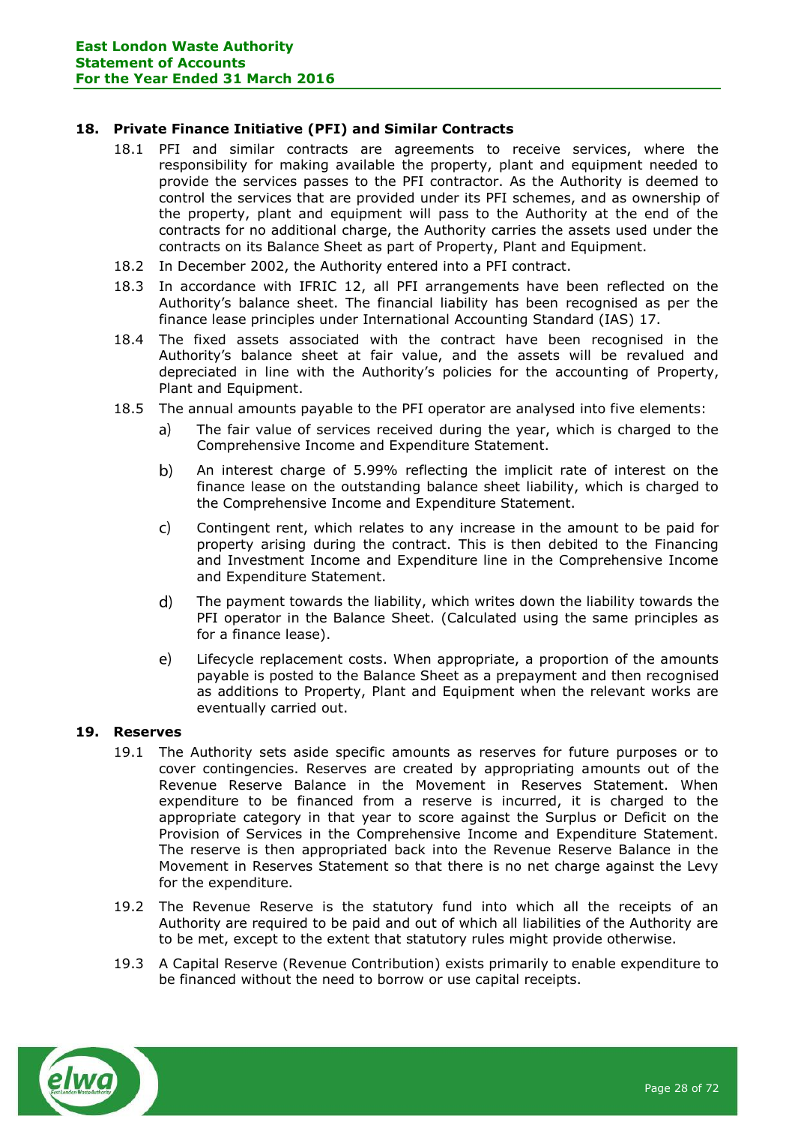### **18. Private Finance Initiative (PFI) and Similar Contracts**

- 18.1 PFI and similar contracts are agreements to receive services, where the responsibility for making available the property, plant and equipment needed to provide the services passes to the PFI contractor. As the Authority is deemed to control the services that are provided under its PFI schemes, and as ownership of the property, plant and equipment will pass to the Authority at the end of the contracts for no additional charge, the Authority carries the assets used under the contracts on its Balance Sheet as part of Property, Plant and Equipment.
- 18.2 In December 2002, the Authority entered into a PFI contract.
- 18.3 In accordance with IFRIC 12, all PFI arrangements have been reflected on the Authority's balance sheet. The financial liability has been recognised as per the finance lease principles under International Accounting Standard (IAS) 17.
- 18.4 The fixed assets associated with the contract have been recognised in the Authority's balance sheet at fair value, and the assets will be revalued and depreciated in line with the Authority's policies for the accounting of Property, Plant and Equipment.
- 18.5 The annual amounts payable to the PFI operator are analysed into five elements:
	- a) The fair value of services received during the year, which is charged to the Comprehensive Income and Expenditure Statement.
	- $b)$ An interest charge of 5.99% reflecting the implicit rate of interest on the finance lease on the outstanding balance sheet liability, which is charged to the Comprehensive Income and Expenditure Statement.
	- $\mathsf{C}$ Contingent rent, which relates to any increase in the amount to be paid for property arising during the contract. This is then debited to the Financing and Investment Income and Expenditure line in the Comprehensive Income and Expenditure Statement.
	- $\mathsf{d}$ The payment towards the liability, which writes down the liability towards the PFI operator in the Balance Sheet. (Calculated using the same principles as for a finance lease).
	- $(e)$ Lifecycle replacement costs. When appropriate, a proportion of the amounts payable is posted to the Balance Sheet as a prepayment and then recognised as additions to Property, Plant and Equipment when the relevant works are eventually carried out.

### **19. Reserves**

- 19.1 The Authority sets aside specific amounts as reserves for future purposes or to cover contingencies. Reserves are created by appropriating amounts out of the Revenue Reserve Balance in the Movement in Reserves Statement. When expenditure to be financed from a reserve is incurred, it is charged to the appropriate category in that year to score against the Surplus or Deficit on the Provision of Services in the Comprehensive Income and Expenditure Statement. The reserve is then appropriated back into the Revenue Reserve Balance in the Movement in Reserves Statement so that there is no net charge against the Levy for the expenditure.
- 19.2 The Revenue Reserve is the statutory fund into which all the receipts of an Authority are required to be paid and out of which all liabilities of the Authority are to be met, except to the extent that statutory rules might provide otherwise.
- 19.3 A Capital Reserve (Revenue Contribution) exists primarily to enable expenditure to be financed without the need to borrow or use capital receipts.

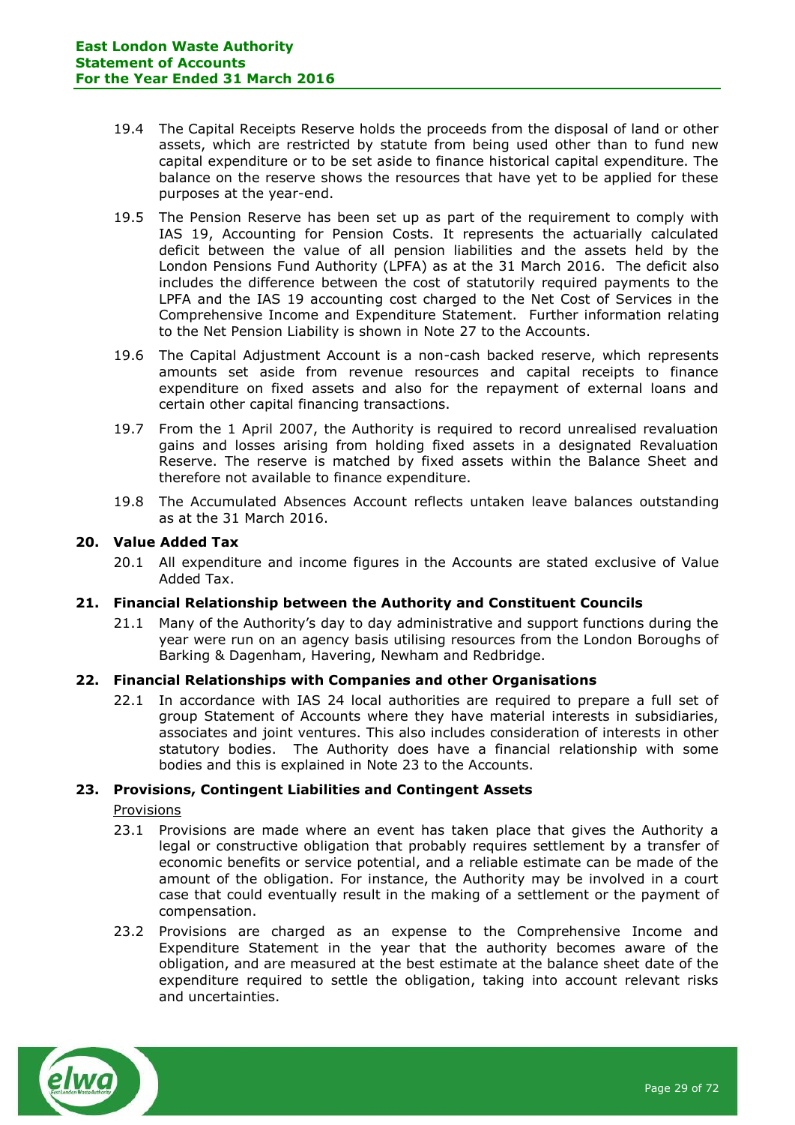- 19.4 The Capital Receipts Reserve holds the proceeds from the disposal of land or other assets, which are restricted by statute from being used other than to fund new capital expenditure or to be set aside to finance historical capital expenditure. The balance on the reserve shows the resources that have yet to be applied for these purposes at the year-end.
- 19.5 The Pension Reserve has been set up as part of the requirement to comply with IAS 19, Accounting for Pension Costs. It represents the actuarially calculated deficit between the value of all pension liabilities and the assets held by the London Pensions Fund Authority (LPFA) as at the 31 March 2016. The deficit also includes the difference between the cost of statutorily required payments to the LPFA and the IAS 19 accounting cost charged to the Net Cost of Services in the Comprehensive Income and Expenditure Statement. Further information relating to the Net Pension Liability is shown in Note 27 to the Accounts.
- 19.6 The Capital Adjustment Account is a non-cash backed reserve, which represents amounts set aside from revenue resources and capital receipts to finance expenditure on fixed assets and also for the repayment of external loans and certain other capital financing transactions.
- 19.7 From the 1 April 2007, the Authority is required to record unrealised revaluation gains and losses arising from holding fixed assets in a designated Revaluation Reserve. The reserve is matched by fixed assets within the Balance Sheet and therefore not available to finance expenditure.
- 19.8 The Accumulated Absences Account reflects untaken leave balances outstanding as at the 31 March 2016.

### **20. Value Added Tax**

20.1 All expenditure and income figures in the Accounts are stated exclusive of Value Added Tax.

### **21. Financial Relationship between the Authority and Constituent Councils**

21.1 Many of the Authority's day to day administrative and support functions during the year were run on an agency basis utilising resources from the London Boroughs of Barking & Dagenham, Havering, Newham and Redbridge.

### **22. Financial Relationships with Companies and other Organisations**

22.1 In accordance with IAS 24 local authorities are required to prepare a full set of group Statement of Accounts where they have material interests in subsidiaries, associates and joint ventures. This also includes consideration of interests in other statutory bodies. The Authority does have a financial relationship with some bodies and this is explained in Note 23 to the Accounts.

### **23. Provisions, Contingent Liabilities and Contingent Assets**

### Provisions

- 23.1 Provisions are made where an event has taken place that gives the Authority a legal or constructive obligation that probably requires settlement by a transfer of economic benefits or service potential, and a reliable estimate can be made of the amount of the obligation. For instance, the Authority may be involved in a court case that could eventually result in the making of a settlement or the payment of compensation.
- 23.2 Provisions are charged as an expense to the Comprehensive Income and Expenditure Statement in the year that the authority becomes aware of the obligation, and are measured at the best estimate at the balance sheet date of the expenditure required to settle the obligation, taking into account relevant risks and uncertainties.

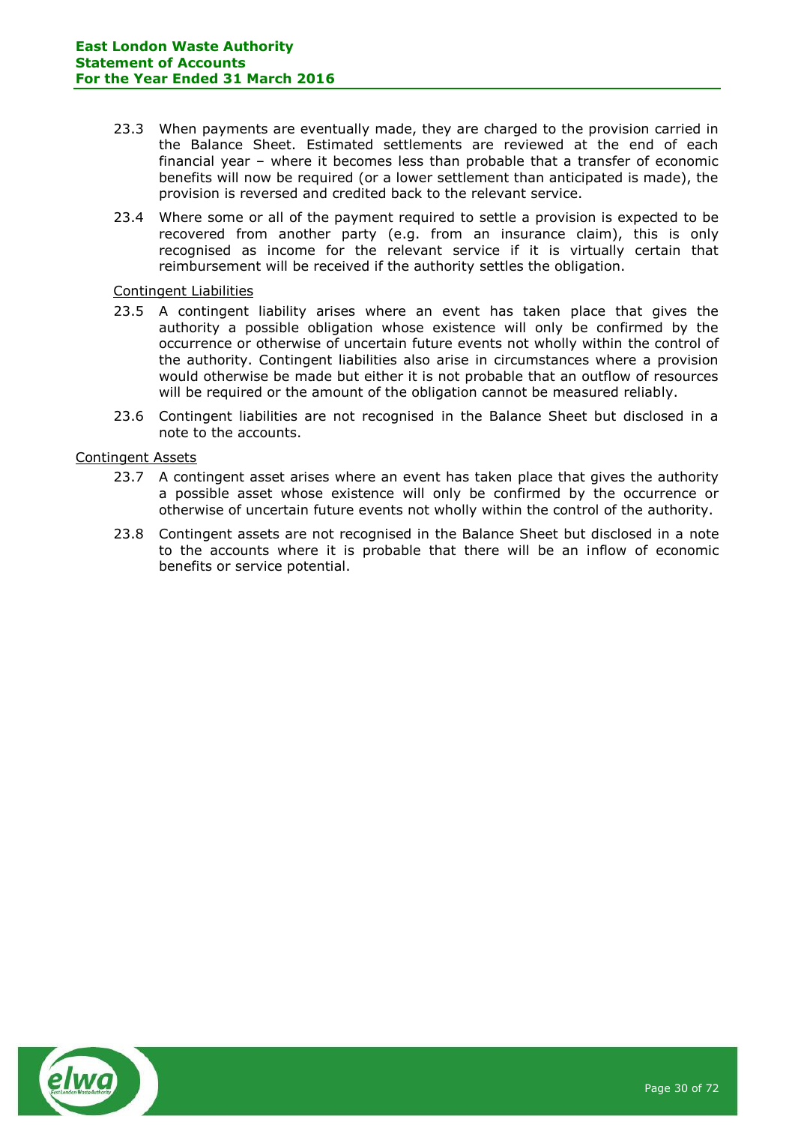- 23.3 When payments are eventually made, they are charged to the provision carried in the Balance Sheet. Estimated settlements are reviewed at the end of each financial year – where it becomes less than probable that a transfer of economic benefits will now be required (or a lower settlement than anticipated is made), the provision is reversed and credited back to the relevant service.
- 23.4 Where some or all of the payment required to settle a provision is expected to be recovered from another party (e.g. from an insurance claim), this is only recognised as income for the relevant service if it is virtually certain that reimbursement will be received if the authority settles the obligation.

### Contingent Liabilities

- 23.5 A contingent liability arises where an event has taken place that gives the authority a possible obligation whose existence will only be confirmed by the occurrence or otherwise of uncertain future events not wholly within the control of the authority. Contingent liabilities also arise in circumstances where a provision would otherwise be made but either it is not probable that an outflow of resources will be required or the amount of the obligation cannot be measured reliably.
- 23.6 Contingent liabilities are not recognised in the Balance Sheet but disclosed in a note to the accounts.

#### Contingent Assets

- 23.7 A contingent asset arises where an event has taken place that gives the authority a possible asset whose existence will only be confirmed by the occurrence or otherwise of uncertain future events not wholly within the control of the authority.
- 23.8 Contingent assets are not recognised in the Balance Sheet but disclosed in a note to the accounts where it is probable that there will be an inflow of economic benefits or service potential.

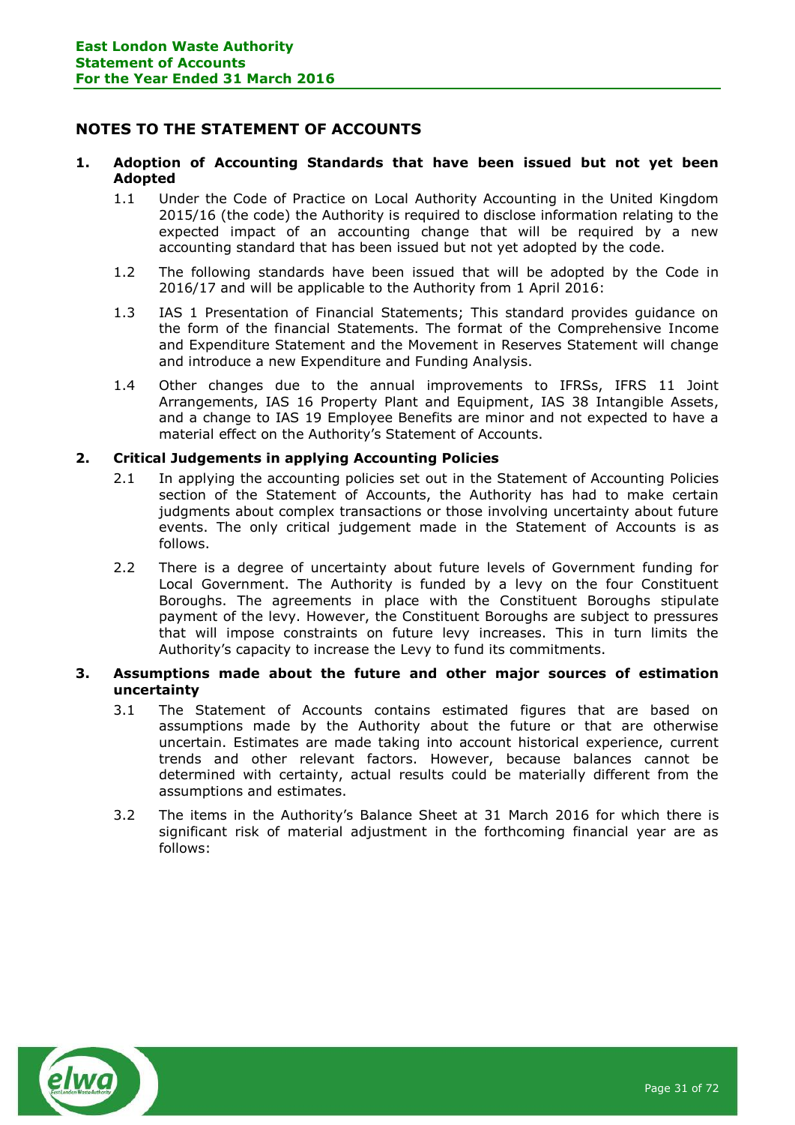### <span id="page-30-0"></span>**NOTES TO THE STATEMENT OF ACCOUNTS**

### **1. Adoption of Accounting Standards that have been issued but not yet been Adopted**

- 1.1 Under the Code of Practice on Local Authority Accounting in the United Kingdom 2015/16 (the code) the Authority is required to disclose information relating to the expected impact of an accounting change that will be required by a new accounting standard that has been issued but not yet adopted by the code.
- 1.2 The following standards have been issued that will be adopted by the Code in 2016/17 and will be applicable to the Authority from 1 April 2016:
- 1.3 IAS 1 Presentation of Financial Statements; This standard provides guidance on the form of the financial Statements. The format of the Comprehensive Income and Expenditure Statement and the Movement in Reserves Statement will change and introduce a new Expenditure and Funding Analysis.
- 1.4 Other changes due to the annual improvements to IFRSs, IFRS 11 Joint Arrangements, IAS 16 Property Plant and Equipment, IAS 38 Intangible Assets, and a change to IAS 19 Employee Benefits are minor and not expected to have a material effect on the Authority's Statement of Accounts.

### **2. Critical Judgements in applying Accounting Policies**

- 2.1 In applying the accounting policies set out in the Statement of Accounting Policies section of the Statement of Accounts, the Authority has had to make certain judgments about complex transactions or those involving uncertainty about future events. The only critical judgement made in the Statement of Accounts is as follows.
- 2.2 There is a degree of uncertainty about future levels of Government funding for Local Government. The Authority is funded by a levy on the four Constituent Boroughs. The agreements in place with the Constituent Boroughs stipulate payment of the levy. However, the Constituent Boroughs are subject to pressures that will impose constraints on future levy increases. This in turn limits the Authority's capacity to increase the Levy to fund its commitments.

#### **3. Assumptions made about the future and other major sources of estimation uncertainty**

- 3.1 The Statement of Accounts contains estimated figures that are based on assumptions made by the Authority about the future or that are otherwise uncertain. Estimates are made taking into account historical experience, current trends and other relevant factors. However, because balances cannot be determined with certainty, actual results could be materially different from the assumptions and estimates.
- 3.2 The items in the Authority's Balance Sheet at 31 March 2016 for which there is significant risk of material adjustment in the forthcoming financial year are as follows:

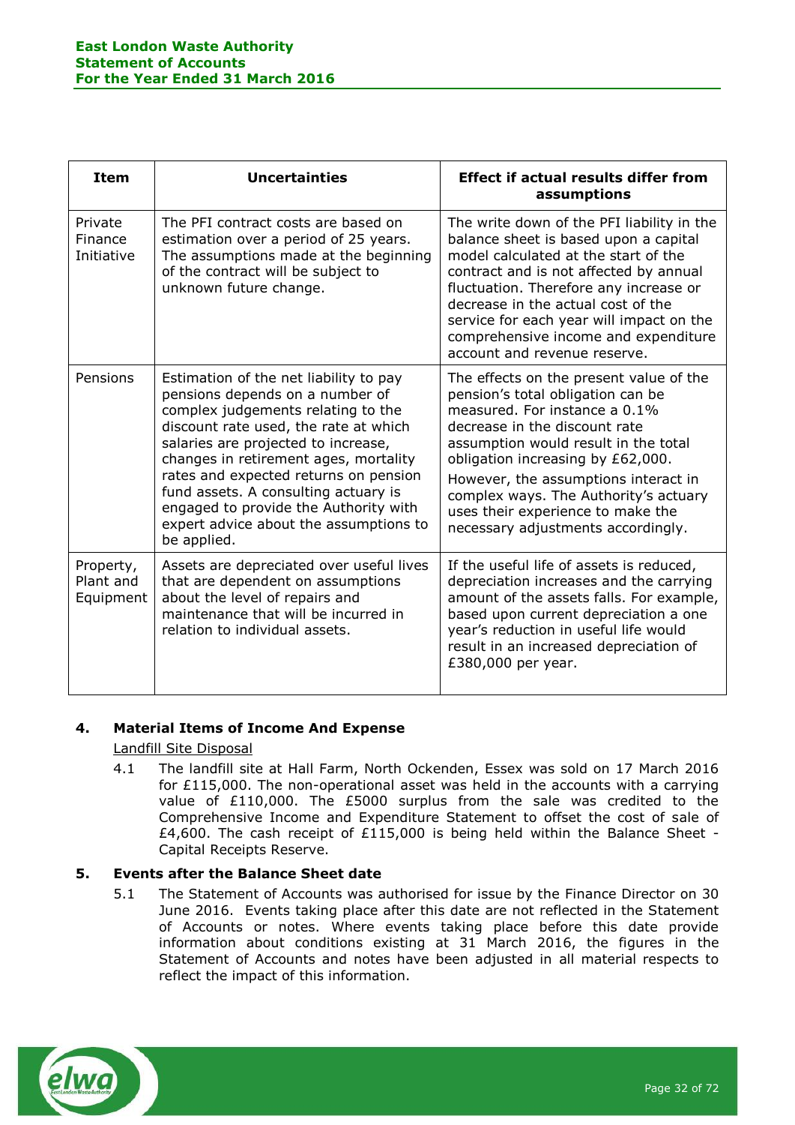| <b>Item</b>                         | <b>Uncertainties</b>                                                                                                                                                                                                                                                                                                                                                                                                        | <b>Effect if actual results differ from</b><br>assumptions                                                                                                                                                                                                                                                                                                                              |
|-------------------------------------|-----------------------------------------------------------------------------------------------------------------------------------------------------------------------------------------------------------------------------------------------------------------------------------------------------------------------------------------------------------------------------------------------------------------------------|-----------------------------------------------------------------------------------------------------------------------------------------------------------------------------------------------------------------------------------------------------------------------------------------------------------------------------------------------------------------------------------------|
| Private<br>Finance<br>Initiative    | The PFI contract costs are based on<br>estimation over a period of 25 years.<br>The assumptions made at the beginning<br>of the contract will be subject to<br>unknown future change.                                                                                                                                                                                                                                       | The write down of the PFI liability in the<br>balance sheet is based upon a capital<br>model calculated at the start of the<br>contract and is not affected by annual<br>fluctuation. Therefore any increase or<br>decrease in the actual cost of the<br>service for each year will impact on the<br>comprehensive income and expenditure<br>account and revenue reserve.               |
| Pensions                            | Estimation of the net liability to pay<br>pensions depends on a number of<br>complex judgements relating to the<br>discount rate used, the rate at which<br>salaries are projected to increase,<br>changes in retirement ages, mortality<br>rates and expected returns on pension<br>fund assets. A consulting actuary is<br>engaged to provide the Authority with<br>expert advice about the assumptions to<br>be applied. | The effects on the present value of the<br>pension's total obligation can be<br>measured. For instance a 0.1%<br>decrease in the discount rate<br>assumption would result in the total<br>obligation increasing by £62,000.<br>However, the assumptions interact in<br>complex ways. The Authority's actuary<br>uses their experience to make the<br>necessary adjustments accordingly. |
| Property,<br>Plant and<br>Equipment | Assets are depreciated over useful lives<br>that are dependent on assumptions<br>about the level of repairs and<br>maintenance that will be incurred in<br>relation to individual assets.                                                                                                                                                                                                                                   | If the useful life of assets is reduced,<br>depreciation increases and the carrying<br>amount of the assets falls. For example,<br>based upon current depreciation a one<br>year's reduction in useful life would<br>result in an increased depreciation of<br>£380,000 per year.                                                                                                       |

### **4. Material Items of Income And Expense**

Landfill Site Disposal

4.1 The landfill site at Hall Farm, North Ockenden, Essex was sold on 17 March 2016 for £115,000. The non-operational asset was held in the accounts with a carrying value of £110,000. The £5000 surplus from the sale was credited to the Comprehensive Income and Expenditure Statement to offset the cost of sale of £4,600. The cash receipt of £115,000 is being held within the Balance Sheet - Capital Receipts Reserve.

### **5. Events after the Balance Sheet date**

5.1 The Statement of Accounts was authorised for issue by the Finance Director on 30 June 2016. Events taking place after this date are not reflected in the Statement of Accounts or notes. Where events taking place before this date provide information about conditions existing at 31 March 2016, the figures in the Statement of Accounts and notes have been adjusted in all material respects to reflect the impact of this information.

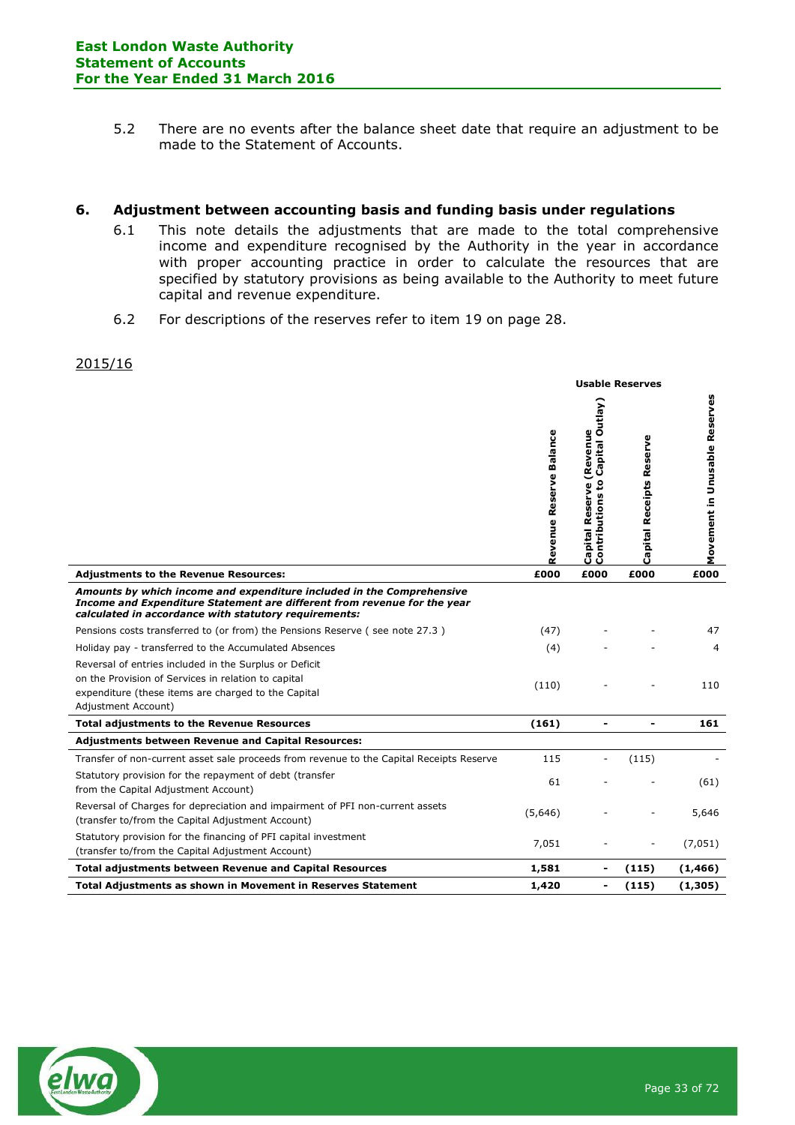5.2 There are no events after the balance sheet date that require an adjustment to be made to the Statement of Accounts.

### **6. Adjustment between accounting basis and funding basis under regulations**

- 6.1 This note details the adjustments that are made to the total comprehensive income and expenditure recognised by the Authority in the year in accordance with proper accounting practice in order to calculate the resources that are specified by statutory provisions as being available to the Authority to meet future capital and revenue expenditure.
- 6.2 For descriptions of the reserves refer to item 19 on page 28.

### 2015/16

|                                                                                                                                                                                                                                                                                                                                                                                                                                                                                                                                                    | Revenue Reserve Balance | Capital Outlay)<br>(Revenue<br>ខ្<br>Reserve<br>utions<br>Contrib<br>Capital | Capital Receipts Reserve | Movement in Unusable Reserves |
|----------------------------------------------------------------------------------------------------------------------------------------------------------------------------------------------------------------------------------------------------------------------------------------------------------------------------------------------------------------------------------------------------------------------------------------------------------------------------------------------------------------------------------------------------|-------------------------|------------------------------------------------------------------------------|--------------------------|-------------------------------|
| <b>Adjustments to the Revenue Resources:</b>                                                                                                                                                                                                                                                                                                                                                                                                                                                                                                       | £000                    | £000                                                                         | £000                     | £000                          |
| Amounts by which income and expenditure included in the Comprehensive<br>Income and Expenditure Statement are different from revenue for the year<br>calculated in accordance with statutory requirements:<br>Pensions costs transferred to (or from) the Pensions Reserve (see note 27.3)<br>Holiday pay - transferred to the Accumulated Absences<br>Reversal of entries included in the Surplus or Deficit<br>on the Provision of Services in relation to capital<br>expenditure (these items are charged to the Capital<br>Adjustment Account) | (47)<br>(4)<br>(110)    |                                                                              |                          | 47<br>4<br>110                |
| <b>Total adjustments to the Revenue Resources</b>                                                                                                                                                                                                                                                                                                                                                                                                                                                                                                  | (161)                   | $\blacksquare$                                                               | $\overline{\phantom{a}}$ | 161                           |
| <b>Adjustments between Revenue and Capital Resources:</b>                                                                                                                                                                                                                                                                                                                                                                                                                                                                                          |                         |                                                                              |                          |                               |
| Transfer of non-current asset sale proceeds from revenue to the Capital Receipts Reserve                                                                                                                                                                                                                                                                                                                                                                                                                                                           | 115                     |                                                                              | (115)                    |                               |
| Statutory provision for the repayment of debt (transfer<br>from the Capital Adjustment Account)                                                                                                                                                                                                                                                                                                                                                                                                                                                    | 61                      |                                                                              |                          | (61)                          |
| Reversal of Charges for depreciation and impairment of PFI non-current assets<br>(transfer to/from the Capital Adjustment Account)                                                                                                                                                                                                                                                                                                                                                                                                                 | (5,646)                 |                                                                              |                          | 5,646                         |
| Statutory provision for the financing of PFI capital investment<br>(transfer to/from the Capital Adjustment Account)                                                                                                                                                                                                                                                                                                                                                                                                                               | 7,051                   |                                                                              |                          | (7,051)                       |
| <b>Total adjustments between Revenue and Capital Resources</b>                                                                                                                                                                                                                                                                                                                                                                                                                                                                                     | 1,581                   | $\overline{\phantom{a}}$                                                     | (115)                    | (1, 466)                      |
| Total Adjustments as shown in Movement in Reserves Statement                                                                                                                                                                                                                                                                                                                                                                                                                                                                                       | 1,420                   | $\blacksquare$                                                               | (115)                    | (1,305)                       |

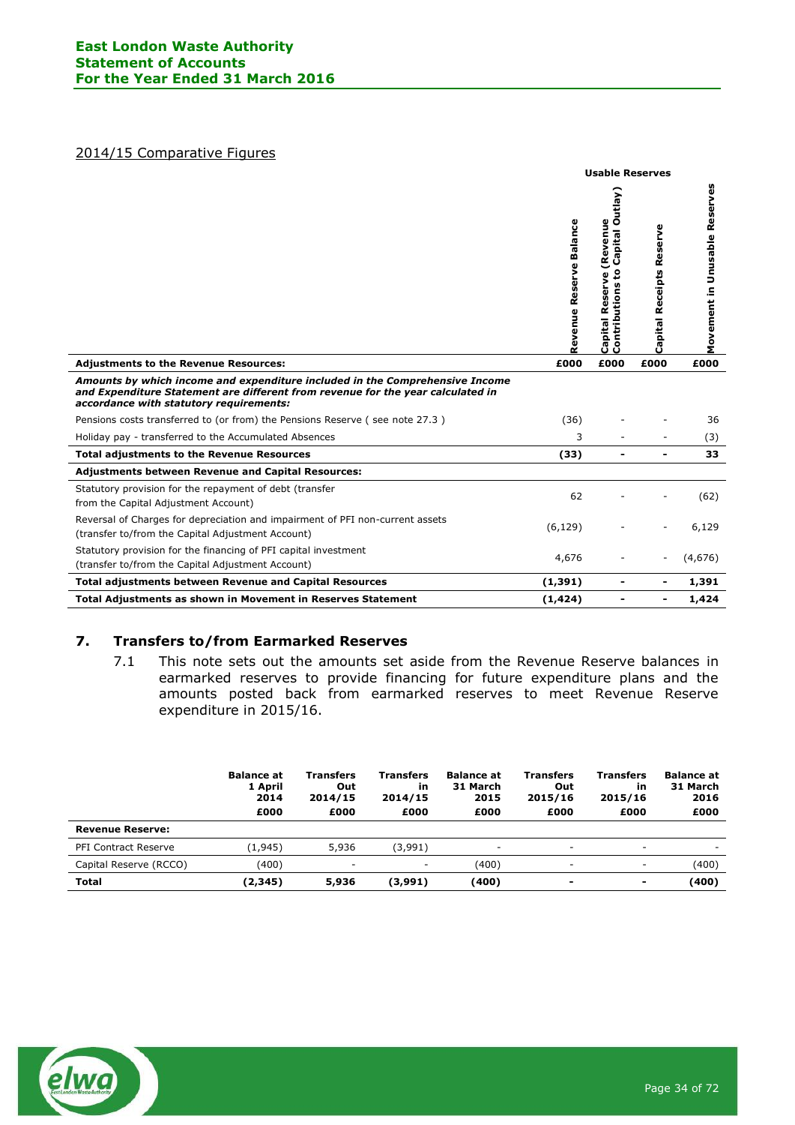#### 2014/15 Comparative Figures

|                                                                                                                                                                                                            | <b>Usable Reserves</b>     |                                                                                                    |                                |                               |
|------------------------------------------------------------------------------------------------------------------------------------------------------------------------------------------------------------|----------------------------|----------------------------------------------------------------------------------------------------|--------------------------------|-------------------------------|
|                                                                                                                                                                                                            | Balance<br>Revenue Reserve | utlay)<br>Revenue<br>$\circ$<br>Capital<br>Reserve<br><b>SC</b><br>ã<br>Š<br>ntrib<br>Capital<br>ႜ | Reserve<br>Receipts<br>Capital | Movement in Unusable Reserves |
| <b>Adjustments to the Revenue Resources:</b>                                                                                                                                                               | £000                       | £000                                                                                               | £000                           | £000                          |
| Amounts by which income and expenditure included in the Comprehensive Income<br>and Expenditure Statement are different from revenue for the year calculated in<br>accordance with statutory requirements: |                            |                                                                                                    |                                |                               |
| Pensions costs transferred to (or from) the Pensions Reserve (see note 27.3)                                                                                                                               | (36)                       |                                                                                                    |                                | 36                            |
| Holiday pay - transferred to the Accumulated Absences                                                                                                                                                      | 3                          |                                                                                                    |                                | (3)                           |
| <b>Total adjustments to the Revenue Resources</b>                                                                                                                                                          | (33)                       | $\blacksquare$                                                                                     | $\blacksquare$                 | 33                            |
| Adjustments between Revenue and Capital Resources:                                                                                                                                                         |                            |                                                                                                    |                                |                               |
| Statutory provision for the repayment of debt (transfer<br>from the Capital Adjustment Account)                                                                                                            | 62                         |                                                                                                    |                                | (62)                          |
| Reversal of Charges for depreciation and impairment of PFI non-current assets<br>(transfer to/from the Capital Adjustment Account)                                                                         | (6, 129)                   |                                                                                                    |                                | 6,129                         |
| Statutory provision for the financing of PFI capital investment<br>(transfer to/from the Capital Adjustment Account)                                                                                       | 4,676                      |                                                                                                    |                                | (4,676)                       |
| <b>Total adjustments between Revenue and Capital Resources</b>                                                                                                                                             | (1, 391)                   |                                                                                                    |                                | 1,391                         |
| <b>Total Adjustments as shown in Movement in Reserves Statement</b>                                                                                                                                        | (1, 424)                   |                                                                                                    |                                | 1,424                         |

### **7. Transfers to/from Earmarked Reserves**

7.1 This note sets out the amounts set aside from the Revenue Reserve balances in earmarked reserves to provide financing for future expenditure plans and the amounts posted back from earmarked reserves to meet Revenue Reserve expenditure in 2015/16.

|                             | <b>Balance at</b><br>1 April<br>2014 | <b>Transfers</b><br>Out<br>2014/15 | Transfers<br>in<br>2014/15 | <b>Balance at</b><br>31 March<br>2015 | <b>Transfers</b><br>Out<br>2015/16 | Transfers<br>īn<br>2015/16 | <b>Balance at</b><br>31 March<br>2016 |
|-----------------------------|--------------------------------------|------------------------------------|----------------------------|---------------------------------------|------------------------------------|----------------------------|---------------------------------------|
|                             | £000                                 | £000                               | £000                       | £000                                  | £000                               | £000                       | £000                                  |
| <b>Revenue Reserve:</b>     |                                      |                                    |                            |                                       |                                    |                            |                                       |
| <b>PFI Contract Reserve</b> | (1,945)                              | 5,936                              | (3,991)                    | ۰                                     | ٠                                  | ۰                          |                                       |
| Capital Reserve (RCCO)      | (400)                                | -                                  | $\overline{a}$             | (400)                                 | -                                  | $\overline{\phantom{a}}$   | (400)                                 |
| <b>Total</b>                | (2,345)                              | 5,936                              | (3,991)                    | (400)                                 | $\blacksquare$                     | $\,$                       | (400)                                 |

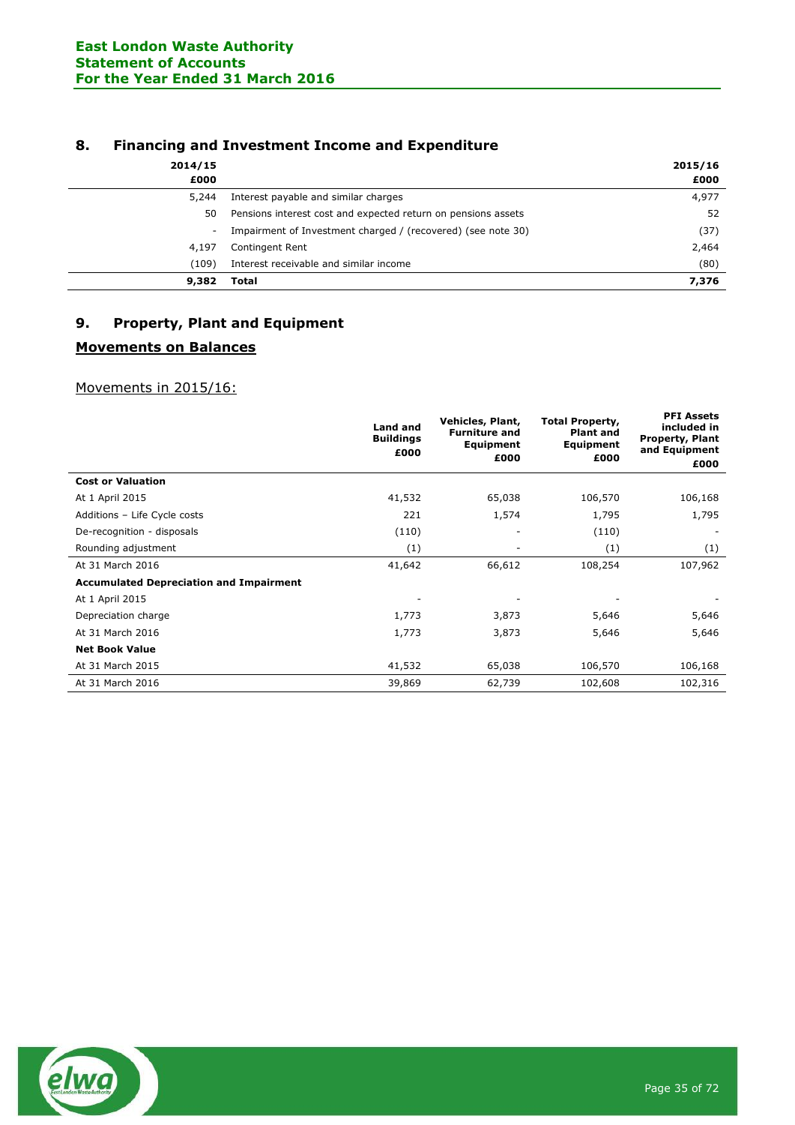### **8. Financing and Investment Income and Expenditure**

| 2014/15<br>£000 |                                                               | 2015/16<br>£000 |
|-----------------|---------------------------------------------------------------|-----------------|
| 5,244           | Interest payable and similar charges                          | 4,977           |
| 50              | Pensions interest cost and expected return on pensions assets | 52              |
|                 | Impairment of Investment charged / (recovered) (see note 30)  | (37)            |
| 4,197           | Contingent Rent                                               | 2,464           |
| (109)           | Interest receivable and similar income                        | (80)            |
| 9,382           | Total                                                         | 7,376           |

# **9. Property, Plant and Equipment**

### **Movements on Balances**

Movements in 2015/16:

|                                                | Land and<br><b>Buildings</b><br>£000 | Vehicles, Plant,<br><b>Furniture and</b><br>Equipment<br>£000 | <b>Total Property,</b><br><b>Plant and</b><br>Equipment<br>£000 | <b>PFI Assets</b><br>included in<br><b>Property, Plant</b><br>and Equipment<br>£000 |
|------------------------------------------------|--------------------------------------|---------------------------------------------------------------|-----------------------------------------------------------------|-------------------------------------------------------------------------------------|
| <b>Cost or Valuation</b>                       |                                      |                                                               |                                                                 |                                                                                     |
| At 1 April 2015                                | 41,532                               | 65,038                                                        | 106,570                                                         | 106,168                                                                             |
| Additions - Life Cycle costs                   | 221                                  | 1,574                                                         | 1,795                                                           | 1,795                                                                               |
| De-recognition - disposals                     | (110)                                | ۰                                                             | (110)                                                           |                                                                                     |
| Rounding adjustment                            | (1)                                  | ۰                                                             | (1)                                                             | (1)                                                                                 |
| At 31 March 2016                               | 41,642                               | 66,612                                                        | 108,254                                                         | 107,962                                                                             |
| <b>Accumulated Depreciation and Impairment</b> |                                      |                                                               |                                                                 |                                                                                     |
| At 1 April 2015                                |                                      |                                                               |                                                                 |                                                                                     |
| Depreciation charge                            | 1,773                                | 3,873                                                         | 5,646                                                           | 5,646                                                                               |
| At 31 March 2016                               | 1,773                                | 3,873                                                         | 5,646                                                           | 5,646                                                                               |
| <b>Net Book Value</b>                          |                                      |                                                               |                                                                 |                                                                                     |
| At 31 March 2015                               | 41,532                               | 65,038                                                        | 106,570                                                         | 106,168                                                                             |
| At 31 March 2016                               | 39,869                               | 62,739                                                        | 102,608                                                         | 102,316                                                                             |

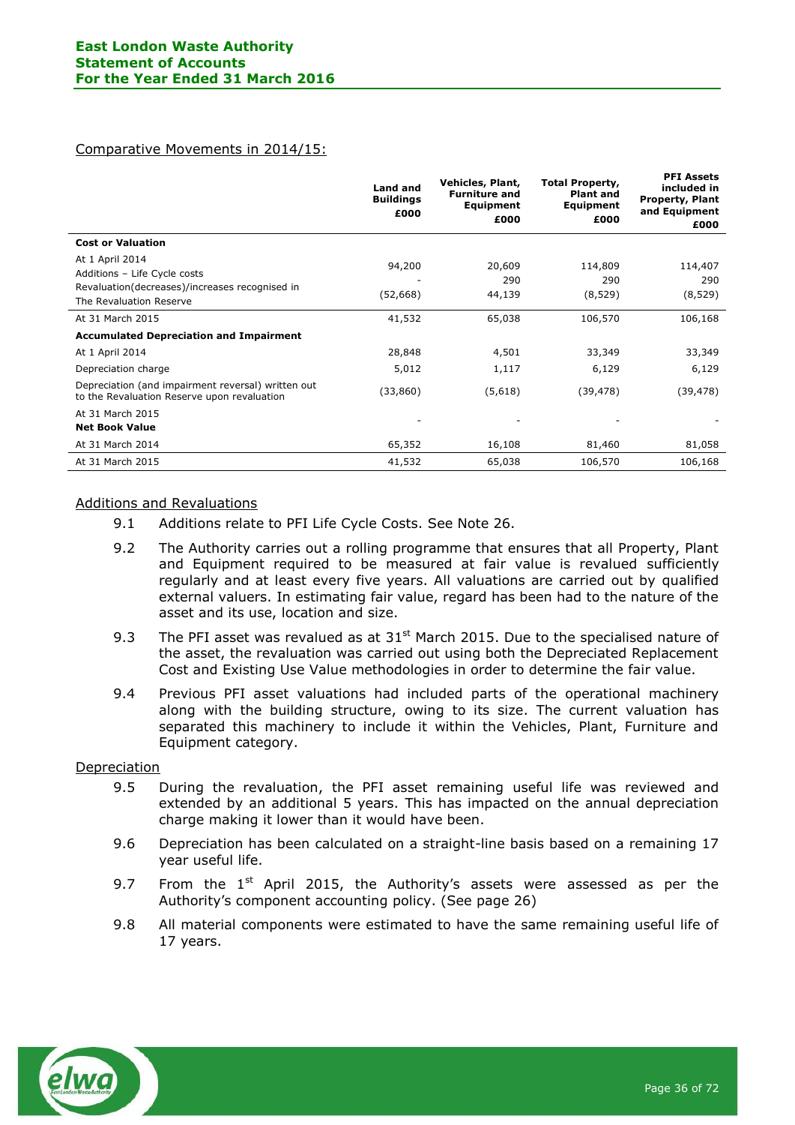### Comparative Movements in 2014/15:

|                                                                                                                              | <b>Land and</b><br><b>Buildings</b><br>£000 | <b>Vehicles, Plant,</b><br><b>Furniture and</b><br>Equipment<br>£000 | <b>Total Property,</b><br><b>Plant and</b><br>Equipment<br>£000 | <b>PFI Assets</b><br>included in<br><b>Property, Plant</b><br>and Equipment<br>£000 |
|------------------------------------------------------------------------------------------------------------------------------|---------------------------------------------|----------------------------------------------------------------------|-----------------------------------------------------------------|-------------------------------------------------------------------------------------|
| <b>Cost or Valuation</b>                                                                                                     |                                             |                                                                      |                                                                 |                                                                                     |
| At 1 April 2014<br>Additions - Life Cycle costs<br>Revaluation(decreases)/increases recognised in<br>The Revaluation Reserve | 94,200<br>(52, 668)                         | 20,609<br>290<br>44,139                                              | 114,809<br>290<br>(8, 529)                                      | 114,407<br>290<br>(8, 529)                                                          |
| At 31 March 2015                                                                                                             | 41,532                                      | 65,038                                                               | 106,570                                                         | 106,168                                                                             |
| <b>Accumulated Depreciation and Impairment</b>                                                                               |                                             |                                                                      |                                                                 |                                                                                     |
| At 1 April 2014                                                                                                              | 28,848                                      | 4,501                                                                | 33,349                                                          | 33,349                                                                              |
| Depreciation charge                                                                                                          | 5,012                                       | 1,117                                                                | 6,129                                                           | 6,129                                                                               |
| Depreciation (and impairment reversal) written out<br>to the Revaluation Reserve upon revaluation                            | (33,860)                                    | (5,618)                                                              | (39, 478)                                                       | (39, 478)                                                                           |
| At 31 March 2015                                                                                                             |                                             |                                                                      |                                                                 |                                                                                     |
| <b>Net Book Value</b>                                                                                                        |                                             |                                                                      |                                                                 |                                                                                     |
| At 31 March 2014                                                                                                             | 65,352                                      | 16,108                                                               | 81,460                                                          | 81,058                                                                              |
| At 31 March 2015                                                                                                             | 41,532                                      | 65,038                                                               | 106,570                                                         | 106,168                                                                             |

### Additions and Revaluations

- 9.1 Additions relate to PFI Life Cycle Costs. See Note 26.
- 9.2 The Authority carries out a rolling programme that ensures that all Property, Plant and Equipment required to be measured at fair value is revalued sufficiently regularly and at least every five years. All valuations are carried out by qualified external valuers. In estimating fair value, regard has been had to the nature of the asset and its use, location and size.
- 9.3 The PFI asset was revalued as at  $31<sup>st</sup>$  March 2015. Due to the specialised nature of the asset, the revaluation was carried out using both the Depreciated Replacement Cost and Existing Use Value methodologies in order to determine the fair value.
- 9.4 Previous PFI asset valuations had included parts of the operational machinery along with the building structure, owing to its size. The current valuation has separated this machinery to include it within the Vehicles, Plant, Furniture and Equipment category.

#### **Depreciation**

- 9.5 During the revaluation, the PFI asset remaining useful life was reviewed and extended by an additional 5 years. This has impacted on the annual depreciation charge making it lower than it would have been.
- 9.6 Depreciation has been calculated on a straight-line basis based on a remaining 17 year useful life.
- 9.7 From the  $1<sup>st</sup>$  April 2015, the Authority's assets were assessed as per the Authority's component accounting policy. (See page 26)
- 9.8 All material components were estimated to have the same remaining useful life of 17 years.

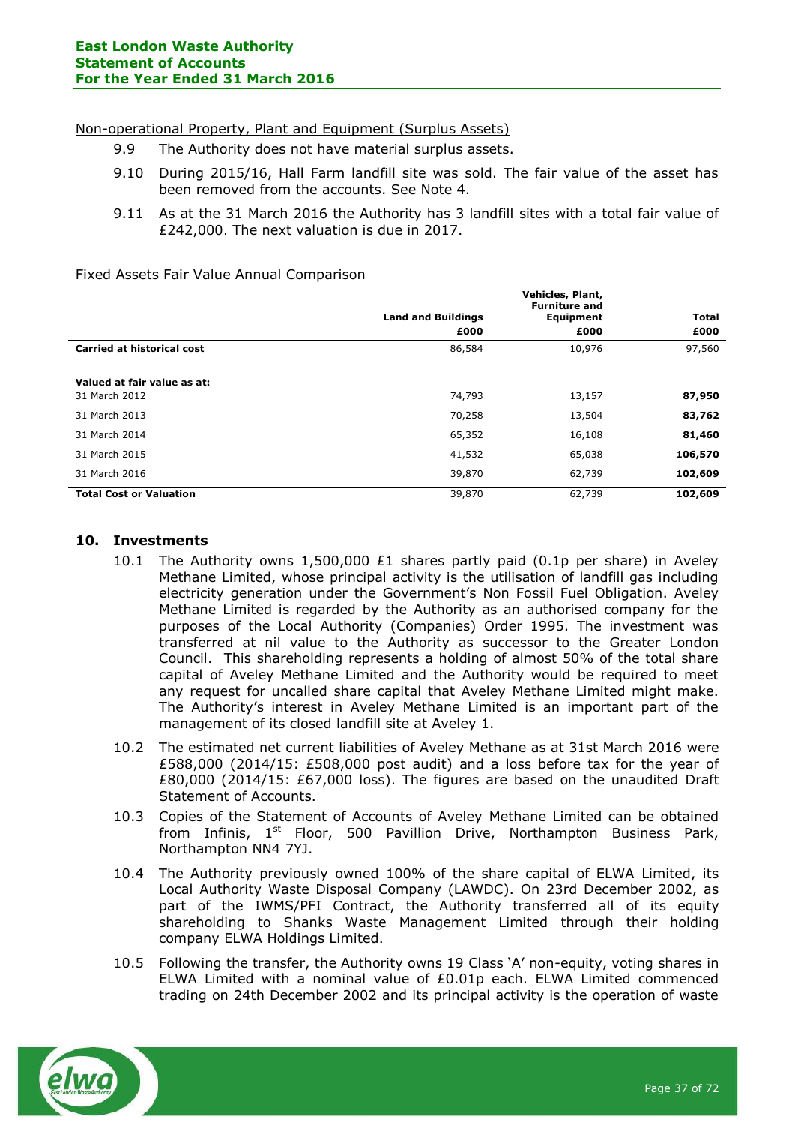## Non-operational Property, Plant and Equipment (Surplus Assets)

- 9.9 The Authority does not have material surplus assets.
- 9.10 During 2015/16, Hall Farm landfill site was sold. The fair value of the asset has been removed from the accounts. See Note 4.
- 9.11 As at the 31 March 2016 the Authority has 3 landfill sites with a total fair value of £242,000. The next valuation is due in 2017.

## Fixed Assets Fair Value Annual Comparison

|                                   |                           | Vehicles, Plant,<br><b>Furniture and</b> |              |
|-----------------------------------|---------------------------|------------------------------------------|--------------|
|                                   | <b>Land and Buildings</b> | Equipment                                | <b>Total</b> |
|                                   | £000                      | £000                                     | £000         |
| <b>Carried at historical cost</b> | 86,584                    | 10,976                                   | 97,560       |
| Valued at fair value as at:       |                           |                                          |              |
| 31 March 2012                     | 74,793                    | 13,157                                   | 87,950       |
| 31 March 2013                     | 70,258                    | 13,504                                   | 83,762       |
| 31 March 2014                     | 65,352                    | 16,108                                   | 81,460       |
| 31 March 2015                     | 41,532                    | 65,038                                   | 106,570      |
| 31 March 2016                     | 39,870                    | 62,739                                   | 102,609      |
| <b>Total Cost or Valuation</b>    | 39,870                    | 62,739                                   | 102,609      |

## **10. Investments**

- 10.1 The Authority owns 1,500,000 £1 shares partly paid (0.1p per share) in Aveley Methane Limited, whose principal activity is the utilisation of landfill gas including electricity generation under the Government's Non Fossil Fuel Obligation. Aveley Methane Limited is regarded by the Authority as an authorised company for the purposes of the Local Authority (Companies) Order 1995. The investment was transferred at nil value to the Authority as successor to the Greater London Council. This shareholding represents a holding of almost 50% of the total share capital of Aveley Methane Limited and the Authority would be required to meet any request for uncalled share capital that Aveley Methane Limited might make. The Authority's interest in Aveley Methane Limited is an important part of the management of its closed landfill site at Aveley 1.
- 10.2 The estimated net current liabilities of Aveley Methane as at 31st March 2016 were £588,000 (2014/15: £508,000 post audit) and a loss before tax for the year of £80,000 (2014/15: £67,000 loss). The figures are based on the unaudited Draft Statement of Accounts.
- 10.3 Copies of the Statement of Accounts of Aveley Methane Limited can be obtained from Infinis, 1<sup>st</sup> Floor, 500 Pavillion Drive, Northampton Business Park, Northampton NN4 7YJ.
- 10.4 The Authority previously owned 100% of the share capital of ELWA Limited, its Local Authority Waste Disposal Company (LAWDC). On 23rd December 2002, as part of the IWMS/PFI Contract, the Authority transferred all of its equity shareholding to Shanks Waste Management Limited through their holding company ELWA Holdings Limited.
- 10.5 Following the transfer, the Authority owns 19 Class 'A' non-equity, voting shares in ELWA Limited with a nominal value of £0.01p each. ELWA Limited commenced trading on 24th December 2002 and its principal activity is the operation of waste

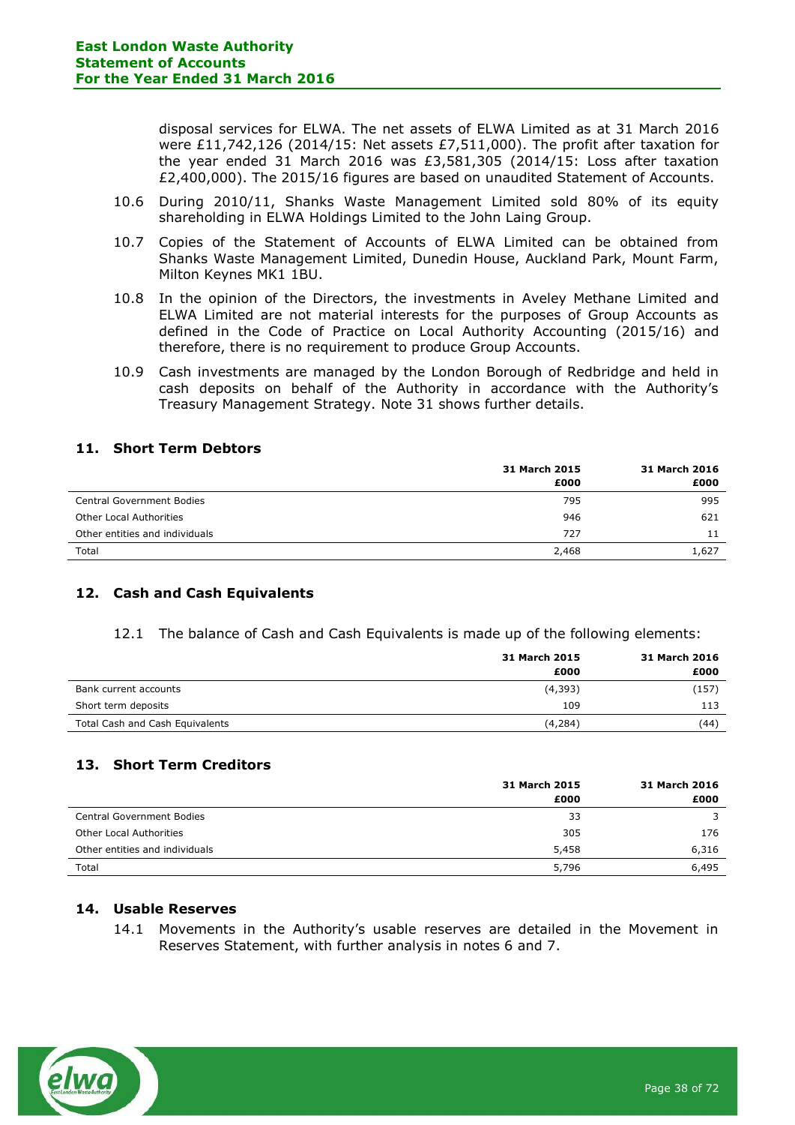disposal services for ELWA. The net assets of ELWA Limited as at 31 March 2016 were £11,742,126 (2014/15: Net assets £7,511,000). The profit after taxation for the year ended 31 March 2016 was £3,581,305 (2014/15: Loss after taxation £2,400,000). The 2015/16 figures are based on unaudited Statement of Accounts.

- 10.6 During 2010/11, Shanks Waste Management Limited sold 80% of its equity shareholding in ELWA Holdings Limited to the John Laing Group.
- 10.7 Copies of the Statement of Accounts of ELWA Limited can be obtained from Shanks Waste Management Limited, Dunedin House, Auckland Park, Mount Farm, Milton Keynes MK1 1BU.
- 10.8 In the opinion of the Directors, the investments in Aveley Methane Limited and ELWA Limited are not material interests for the purposes of Group Accounts as defined in the Code of Practice on Local Authority Accounting (2015/16) and therefore, there is no requirement to produce Group Accounts.
- 10.9 Cash investments are managed by the London Borough of Redbridge and held in cash deposits on behalf of the Authority in accordance with the Authority's Treasury Management Strategy. Note 31 shows further details.

# **11. Short Term Debtors**

|                                  | 31 March 2015 | 31 March 2016 |
|----------------------------------|---------------|---------------|
|                                  | £000          | £000          |
| <b>Central Government Bodies</b> | 795           | 995           |
| <b>Other Local Authorities</b>   | 946           | 621           |
| Other entities and individuals   | 727           | 11            |
| Total                            | 2,468         | 1,627         |

## **12. Cash and Cash Equivalents**

12.1 The balance of Cash and Cash Equivalents is made up of the following elements:

|                                 | 31 March 2015 | 31 March 2016 |
|---------------------------------|---------------|---------------|
|                                 | £000          | £000          |
| Bank current accounts           | (4, 393)      | (157)         |
| Short term deposits             | 109           | 113           |
| Total Cash and Cash Equivalents | (4, 284)      | (44)          |

# **13. Short Term Creditors**

|                                  | 31 March 2015 | 31 March 2016 |
|----------------------------------|---------------|---------------|
|                                  | £000          | £000          |
| <b>Central Government Bodies</b> | 33            |               |
| <b>Other Local Authorities</b>   | 305           | 176           |
| Other entities and individuals   | 5,458         | 6,316         |
| Total                            | 5,796         | 6,495         |

## **14. Usable Reserves**

14.1 Movements in the Authority's usable reserves are detailed in the Movement in Reserves Statement, with further analysis in notes 6 and 7.

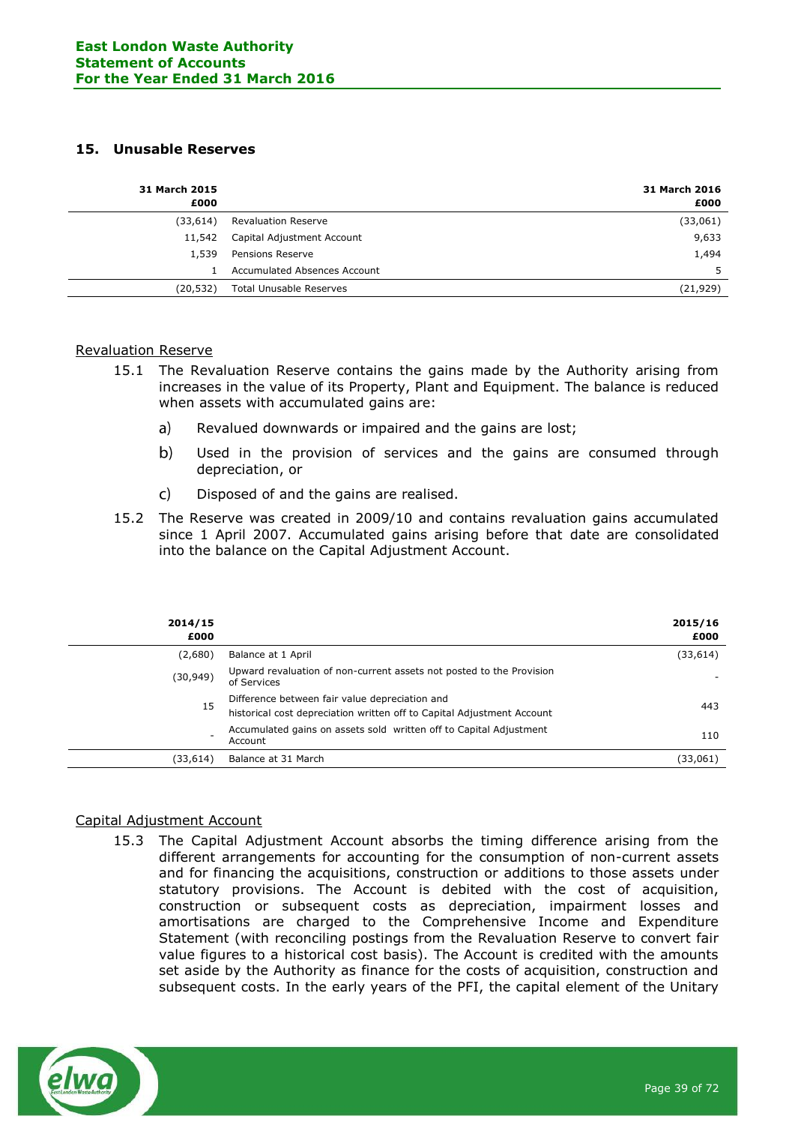## **15. Unusable Reserves**

| 31 March 2015<br>£000 |                                     | 31 March 2016<br>£000 |
|-----------------------|-------------------------------------|-----------------------|
| (33, 614)             | <b>Revaluation Reserve</b>          | (33,061)              |
| 11,542                | Capital Adjustment Account          | 9,633                 |
| 1,539                 | Pensions Reserve                    | 1,494                 |
|                       | <b>Accumulated Absences Account</b> | 5                     |
| (20, 532)             | <b>Total Unusable Reserves</b>      | (21, 929)             |

## Revaluation Reserve

- 15.1 The Revaluation Reserve contains the gains made by the Authority arising from increases in the value of its Property, Plant and Equipment. The balance is reduced when assets with accumulated gains are:
	- $a)$ Revalued downwards or impaired and the gains are lost;
	- $b)$ Used in the provision of services and the gains are consumed through depreciation, or
	- $\mathsf{C}$ Disposed of and the gains are realised.
- 15.2 The Reserve was created in 2009/10 and contains revaluation gains accumulated since 1 April 2007. Accumulated gains arising before that date are consolidated into the balance on the Capital Adjustment Account.

| 2014/15<br>£000 |                                                                                                                          | 2015/16<br>£000 |
|-----------------|--------------------------------------------------------------------------------------------------------------------------|-----------------|
| (2,680)         | Balance at 1 April                                                                                                       | (33, 614)       |
| (30, 949)       | Upward revaluation of non-current assets not posted to the Provision<br>of Services                                      |                 |
| 15              | Difference between fair value depreciation and<br>historical cost depreciation written off to Capital Adjustment Account | 443             |
|                 | Accumulated gains on assets sold written off to Capital Adjustment<br>Account                                            | 110             |
| (33,614)        | Balance at 31 March                                                                                                      | (33,061)        |

## Capital Adjustment Account

15.3 The Capital Adjustment Account absorbs the timing difference arising from the different arrangements for accounting for the consumption of non-current assets and for financing the acquisitions, construction or additions to those assets under statutory provisions. The Account is debited with the cost of acquisition, construction or subsequent costs as depreciation, impairment losses and amortisations are charged to the Comprehensive Income and Expenditure Statement (with reconciling postings from the Revaluation Reserve to convert fair value figures to a historical cost basis). The Account is credited with the amounts set aside by the Authority as finance for the costs of acquisition, construction and subsequent costs. In the early years of the PFI, the capital element of the Unitary

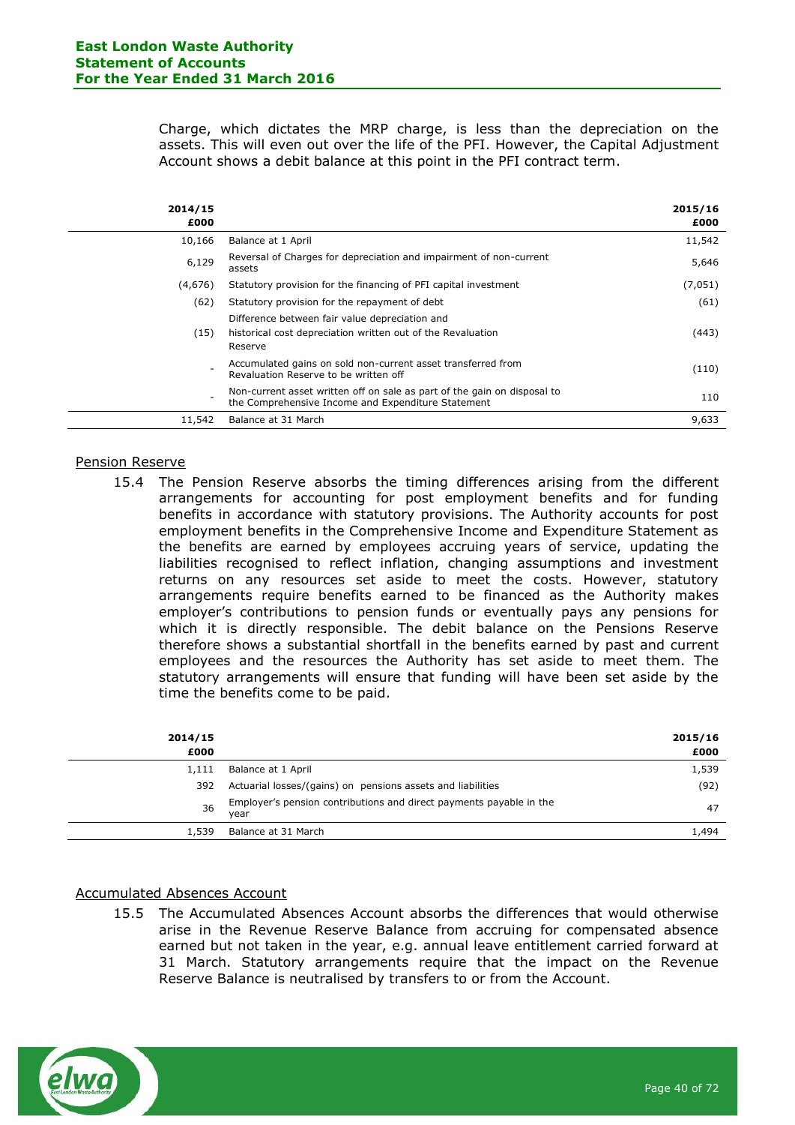Charge, which dictates the MRP charge, is less than the depreciation on the assets. This will even out over the life of the PFI. However, the Capital Adjustment Account shows a debit balance at this point in the PFI contract term.

| 2014/15<br>£000 |                                                                                                                                | 2015/16<br>£000 |
|-----------------|--------------------------------------------------------------------------------------------------------------------------------|-----------------|
| 10,166          | Balance at 1 April                                                                                                             | 11,542          |
| 6,129           | Reversal of Charges for depreciation and impairment of non-current<br>assets                                                   | 5,646           |
| (4,676)         | Statutory provision for the financing of PFI capital investment                                                                | (7,051)         |
| (62)            | Statutory provision for the repayment of debt                                                                                  | (61)            |
| (15)            | Difference between fair value depreciation and<br>historical cost depreciation written out of the Revaluation<br>Reserve       | (443)           |
|                 | Accumulated gains on sold non-current asset transferred from<br>Revaluation Reserve to be written off                          | (110)           |
|                 | Non-current asset written off on sale as part of the gain on disposal to<br>the Comprehensive Income and Expenditure Statement | 110             |
| 11,542          | Balance at 31 March                                                                                                            | 9,633           |

#### Pension Reserve

15.4 The Pension Reserve absorbs the timing differences arising from the different arrangements for accounting for post employment benefits and for funding benefits in accordance with statutory provisions. The Authority accounts for post employment benefits in the Comprehensive Income and Expenditure Statement as the benefits are earned by employees accruing years of service, updating the liabilities recognised to reflect inflation, changing assumptions and investment returns on any resources set aside to meet the costs. However, statutory arrangements require benefits earned to be financed as the Authority makes employer's contributions to pension funds or eventually pays any pensions for which it is directly responsible. The debit balance on the Pensions Reserve therefore shows a substantial shortfall in the benefits earned by past and current employees and the resources the Authority has set aside to meet them. The statutory arrangements will ensure that funding will have been set aside by the time the benefits come to be paid.

| 2014/15<br>£000 |                                                                             | 2015/16<br>£000 |
|-----------------|-----------------------------------------------------------------------------|-----------------|
| 1,111           | Balance at 1 April                                                          | 1,539           |
| 392             | Actuarial losses/(gains) on pensions assets and liabilities                 | (92)            |
| 36              | Employer's pension contributions and direct payments payable in the<br>vear | 47              |
| 1,539           | Balance at 31 March                                                         | 1,494           |
|                 |                                                                             |                 |

## Accumulated Absences Account

15.5 The Accumulated Absences Account absorbs the differences that would otherwise arise in the Revenue Reserve Balance from accruing for compensated absence earned but not taken in the year, e.g. annual leave entitlement carried forward at 31 March. Statutory arrangements require that the impact on the Revenue Reserve Balance is neutralised by transfers to or from the Account.

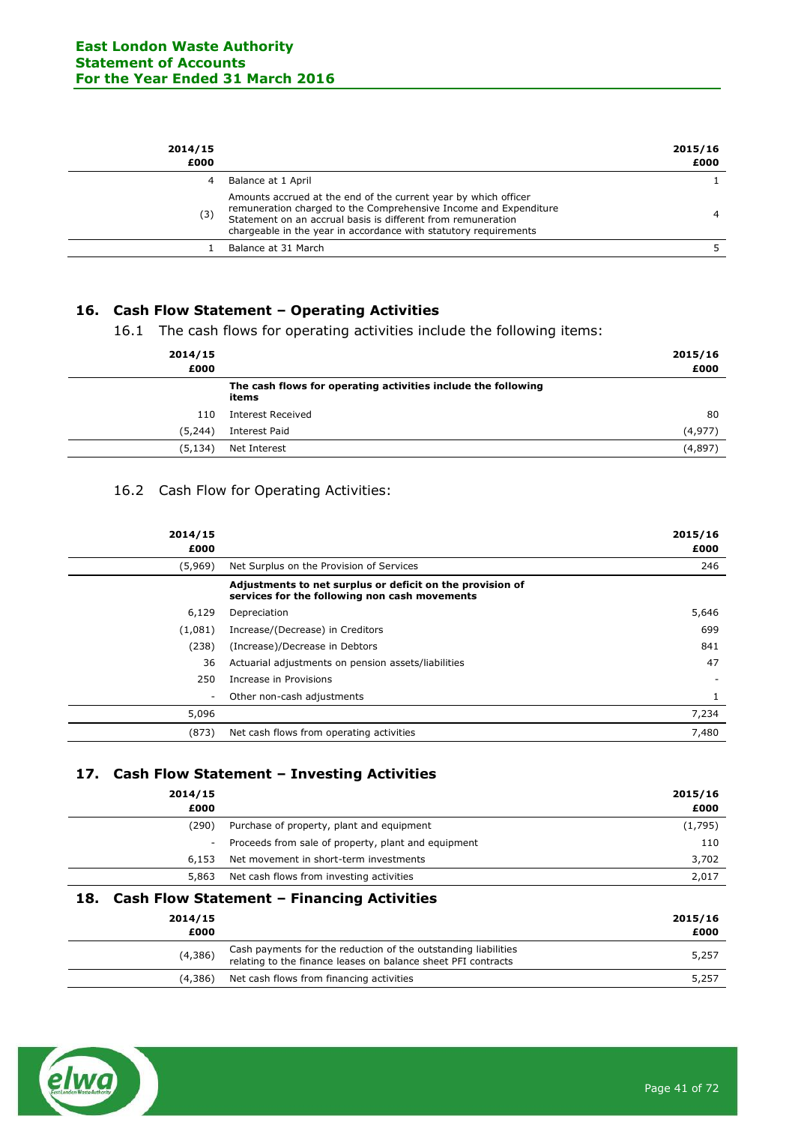| 2014/15<br>£000 |                                                                                                                                                                                                                                                                         | 2015/16<br>£000 |
|-----------------|-------------------------------------------------------------------------------------------------------------------------------------------------------------------------------------------------------------------------------------------------------------------------|-----------------|
| 4               | Balance at 1 April                                                                                                                                                                                                                                                      |                 |
| (3)             | Amounts accrued at the end of the current year by which officer<br>remuneration charged to the Comprehensive Income and Expenditure<br>Statement on an accrual basis is different from remuneration<br>chargeable in the year in accordance with statutory requirements |                 |
|                 | Balance at 31 March                                                                                                                                                                                                                                                     |                 |
|                 |                                                                                                                                                                                                                                                                         |                 |

# **16. Cash Flow Statement – Operating Activities**

16.1 The cash flows for operating activities include the following items:

| 2014/15<br>£000 |                                                                        | 2015/16<br>£000 |
|-----------------|------------------------------------------------------------------------|-----------------|
|                 | The cash flows for operating activities include the following<br>items |                 |
| 110             | <b>Interest Received</b>                                               | 80              |
| (5,244)         | Interest Paid                                                          | (4, 977)        |
| (5, 134)        | Net Interest                                                           | (4,897)         |

# 16.2 Cash Flow for Operating Activities:

| 2014/15<br>£000          |                                                                                                            | 2015/16<br>£000 |
|--------------------------|------------------------------------------------------------------------------------------------------------|-----------------|
| (5,969)                  | Net Surplus on the Provision of Services                                                                   | 246             |
|                          | Adjustments to net surplus or deficit on the provision of<br>services for the following non cash movements |                 |
| 6,129                    | Depreciation                                                                                               | 5,646           |
| (1,081)                  | Increase/(Decrease) in Creditors                                                                           | 699             |
| (238)                    | (Increase)/Decrease in Debtors                                                                             | 841             |
| 36                       | Actuarial adjustments on pension assets/liabilities                                                        | 47              |
| 250                      | Increase in Provisions                                                                                     |                 |
| $\overline{\phantom{a}}$ | Other non-cash adjustments                                                                                 |                 |
| 5,096                    |                                                                                                            | 7,234           |
| (873)                    | Net cash flows from operating activities                                                                   | 7,480           |

# **17. Cash Flow Statement – Investing Activities**

| 2014/15<br>£000          |                                                                                                                                 | 2015/16<br>£000 |
|--------------------------|---------------------------------------------------------------------------------------------------------------------------------|-----------------|
| (290)                    | Purchase of property, plant and equipment                                                                                       | (1,795)         |
| $\overline{\phantom{a}}$ | Proceeds from sale of property, plant and equipment                                                                             | 110             |
| 6,153                    | Net movement in short-term investments                                                                                          | 3,702           |
| 5,863                    | Net cash flows from investing activities                                                                                        | 2,017           |
| 18.                      | <b>Cash Flow Statement - Financing Activities</b>                                                                               |                 |
| 2014/15<br>£000          |                                                                                                                                 | 2015/16<br>£000 |
| (4,386)                  | Cash payments for the reduction of the outstanding liabilities<br>relating to the finance leases on balance sheet PFI contracts | 5,257           |
| (4,386)                  | Net cash flows from financing activities                                                                                        | 5,257           |

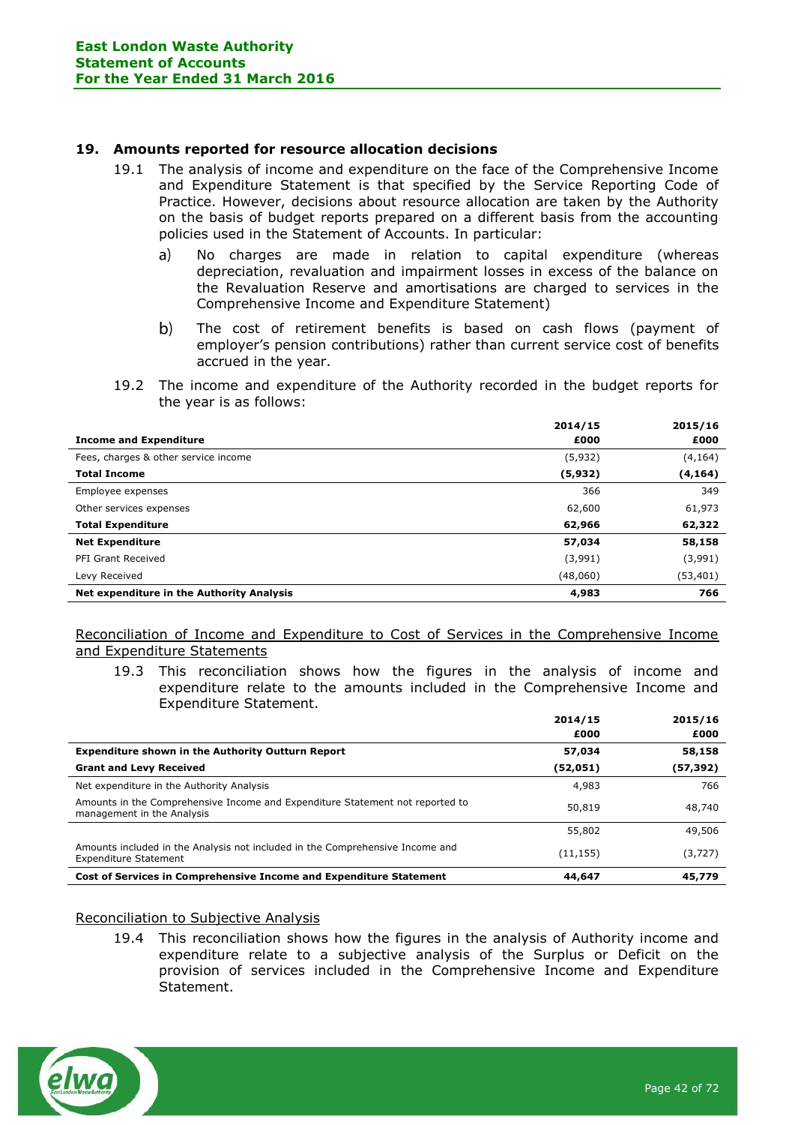## **19. Amounts reported for resource allocation decisions**

- 19.1 The analysis of income and expenditure on the face of the Comprehensive Income and Expenditure Statement is that specified by the Service Reporting Code of Practice. However, decisions about resource allocation are taken by the Authority on the basis of budget reports prepared on a different basis from the accounting policies used in the Statement of Accounts. In particular:
	- $a)$ No charges are made in relation to capital expenditure (whereas depreciation, revaluation and impairment losses in excess of the balance on the Revaluation Reserve and amortisations are charged to services in the Comprehensive Income and Expenditure Statement)
	- The cost of retirement benefits is based on cash flows (payment of  $b)$ employer's pension contributions) rather than current service cost of benefits accrued in the year.
- 19.2 The income and expenditure of the Authority recorded in the budget reports for the year is as follows:

|                                           | 2014/15  | 2015/16   |
|-------------------------------------------|----------|-----------|
| <b>Income and Expenditure</b>             | £000     | £000      |
| Fees, charges & other service income      | (5,932)  | (4, 164)  |
| <b>Total Income</b>                       | (5,932)  | (4,164)   |
| Employee expenses                         | 366      | 349       |
| Other services expenses                   | 62,600   | 61,973    |
| <b>Total Expenditure</b>                  | 62,966   | 62,322    |
| <b>Net Expenditure</b>                    | 57,034   | 58,158    |
| PFI Grant Received                        | (3,991)  | (3,991)   |
| Levy Received                             | (48,060) | (53, 401) |
| Net expenditure in the Authority Analysis | 4,983    | 766       |

Reconciliation of Income and Expenditure to Cost of Services in the Comprehensive Income and Expenditure Statements

19.3 This reconciliation shows how the figures in the analysis of income and expenditure relate to the amounts included in the Comprehensive Income and Expenditure Statement.

|                                                                                                               | 2014/15   | 2015/16  |
|---------------------------------------------------------------------------------------------------------------|-----------|----------|
|                                                                                                               | £000      | £000     |
| <b>Expenditure shown in the Authority Outturn Report</b>                                                      | 57,034    | 58,158   |
| <b>Grant and Levy Received</b>                                                                                | (52,051)  | (57,392) |
| Net expenditure in the Authority Analysis                                                                     | 4,983     | 766      |
| Amounts in the Comprehensive Income and Expenditure Statement not reported to<br>management in the Analysis   | 50,819    | 48,740   |
|                                                                                                               | 55,802    | 49,506   |
| Amounts included in the Analysis not included in the Comprehensive Income and<br><b>Expenditure Statement</b> | (11, 155) | (3, 727) |
| Cost of Services in Comprehensive Income and Expenditure Statement                                            | 44,647    | 45,779   |

## Reconciliation to Subjective Analysis

19.4 This reconciliation shows how the figures in the analysis of Authority income and expenditure relate to a subjective analysis of the Surplus or Deficit on the provision of services included in the Comprehensive Income and Expenditure Statement.

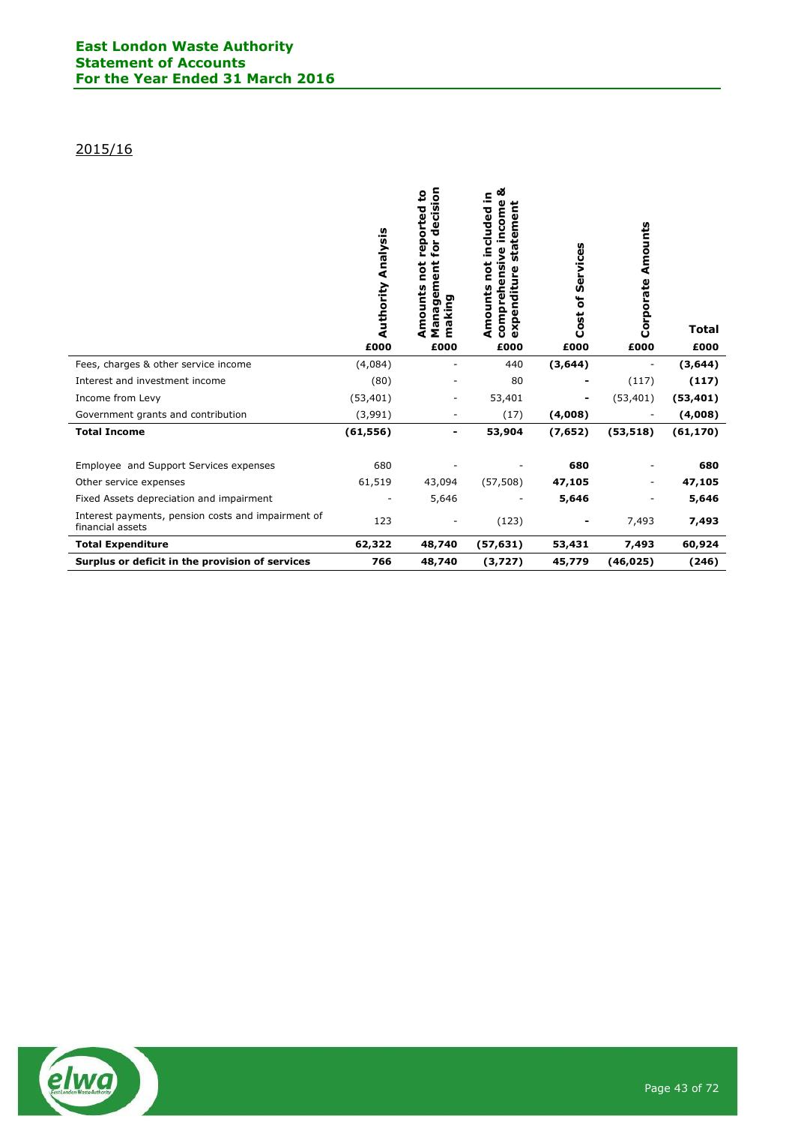## **East London Waste Authority Statement of Accounts For the Year Ended 31 March 2016**

# 2015/16

|                                                                        | Authority Analysis<br>£000 | ecision<br>reported to<br>Ō<br>⊋<br>tient<br>not<br>ε<br>Amounts<br>anager<br>king<br><b>r</b><br>Ε<br>Σ<br>£000 | య<br>not included in<br>Φ<br>statemen<br>incom<br>comprehensive<br>expenditure<br>Amounts<br>£000 | Services<br>$\overline{\bullet}$<br>Cost<br>£000 | Amounts<br>Corporate<br>£000 | Total<br>£000 |
|------------------------------------------------------------------------|----------------------------|------------------------------------------------------------------------------------------------------------------|---------------------------------------------------------------------------------------------------|--------------------------------------------------|------------------------------|---------------|
| Fees, charges & other service income                                   | (4,084)                    |                                                                                                                  | 440                                                                                               | (3,644)                                          | $\overline{a}$               | (3,644)       |
| Interest and investment income                                         | (80)                       |                                                                                                                  | 80                                                                                                |                                                  | (117)                        | (117)         |
| Income from Levy                                                       | (53, 401)                  |                                                                                                                  | 53,401                                                                                            |                                                  | (53, 401)                    | (53, 401)     |
| Government grants and contribution                                     | (3,991)                    |                                                                                                                  | (17)                                                                                              | (4,008)                                          |                              | (4,008)       |
| <b>Total Income</b>                                                    | (61, 556)                  | $\blacksquare$                                                                                                   | 53,904                                                                                            | (7,652)                                          | (53, 518)                    | (61, 170)     |
| Employee and Support Services expenses                                 | 680                        |                                                                                                                  |                                                                                                   | 680                                              |                              | 680           |
| Other service expenses                                                 | 61,519                     | 43,094                                                                                                           | (57, 508)                                                                                         | 47,105                                           |                              | 47,105        |
| Fixed Assets depreciation and impairment                               |                            | 5,646                                                                                                            |                                                                                                   | 5,646                                            |                              | 5,646         |
| Interest payments, pension costs and impairment of<br>financial assets | 123                        |                                                                                                                  | (123)                                                                                             |                                                  | 7,493                        | 7,493         |
| <b>Total Expenditure</b>                                               | 62,322                     | 48,740                                                                                                           | (57, 631)                                                                                         | 53,431                                           | 7,493                        | 60,924        |
| Surplus or deficit in the provision of services                        | 766                        | 48,740                                                                                                           | (3, 727)                                                                                          | 45,779                                           | (46, 025)                    | (246)         |

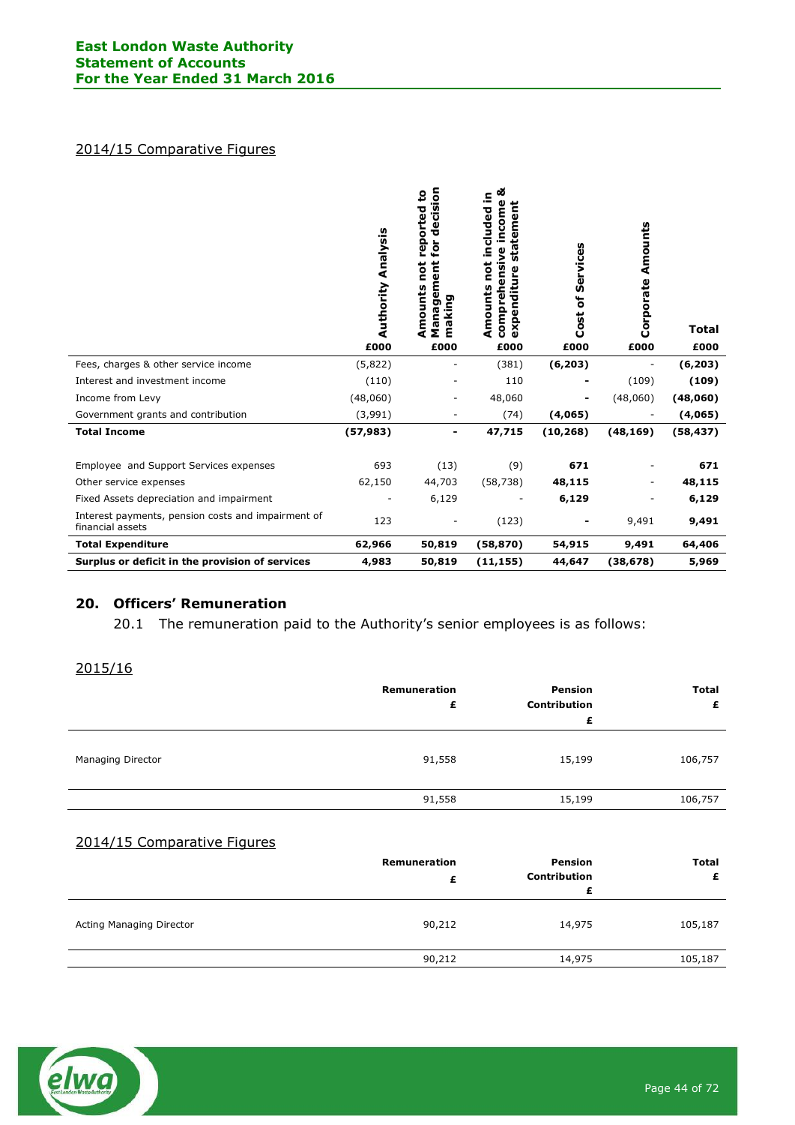# 2014/15 Comparative Figures

|                                                                        | Authority Analysis<br>£000 | ecision<br>reported to<br>Ō<br><u>ڇ</u><br>not<br>ent<br>anagem<br>Amounts<br>aking<br>ε<br>Σ<br>£000 | య<br>크.<br>comprehensive income<br>not included<br>statemen<br>O<br>expenditur<br>Amounts<br>£000 | Services<br>Cost of<br>£000 | Amounts<br>Corporate<br>£000 | <b>Total</b><br>£000 |
|------------------------------------------------------------------------|----------------------------|-------------------------------------------------------------------------------------------------------|---------------------------------------------------------------------------------------------------|-----------------------------|------------------------------|----------------------|
| Fees, charges & other service income                                   | (5,822)                    | $\overline{\phantom{0}}$                                                                              | (381)                                                                                             | (6, 203)                    | $\overline{a}$               | (6, 203)             |
| Interest and investment income                                         | (110)                      |                                                                                                       | 110                                                                                               |                             | (109)                        | (109)                |
| Income from Levy                                                       | (48,060)                   |                                                                                                       | 48,060                                                                                            |                             | (48,060)                     | (48,060)             |
| Government grants and contribution                                     | (3,991)                    |                                                                                                       | (74)                                                                                              | (4,065)                     |                              | (4,065)              |
| <b>Total Income</b>                                                    | (57, 983)                  | $\qquad \qquad \blacksquare$                                                                          | 47,715                                                                                            | (10, 268)                   | (48, 169)                    | (58, 437)            |
| Employee and Support Services expenses                                 | 693                        | (13)                                                                                                  | (9)                                                                                               | 671                         |                              | 671                  |
| Other service expenses                                                 | 62,150                     | 44,703                                                                                                | (58, 738)                                                                                         | 48,115                      |                              | 48,115               |
| Fixed Assets depreciation and impairment                               |                            | 6,129                                                                                                 |                                                                                                   | 6,129                       |                              | 6,129                |
| Interest payments, pension costs and impairment of<br>financial assets | 123                        |                                                                                                       | (123)                                                                                             |                             | 9,491                        | 9,491                |
| <b>Total Expenditure</b>                                               | 62,966                     | 50,819                                                                                                | (58, 870)                                                                                         | 54,915                      | 9,491                        | 64,406               |
| Surplus or deficit in the provision of services                        | 4,983                      | 50,819                                                                                                | (11, 155)                                                                                         | 44,647                      | (38, 678)                    | 5,969                |

# **20. Officers' Remuneration**

20.1 The remuneration paid to the Authority's senior employees is as follows:

2015/16

|                   | <b>Remuneration</b><br>£ | Pension<br><b>Contribution</b><br>£ | <b>Total</b><br>£ |
|-------------------|--------------------------|-------------------------------------|-------------------|
| Managing Director | 91,558                   | 15,199                              | 106,757           |
|                   | 91,558                   | 15,199                              | 106,757           |
|                   |                          |                                     |                   |

# 2014/15 Comparative Figures

|                          | Remuneration<br>£ | Pension<br><b>Contribution</b> | <b>Total</b><br>£ |
|--------------------------|-------------------|--------------------------------|-------------------|
| Acting Managing Director | 90,212            | 14,975                         | 105,187           |
|                          | 90,212            | 14,975                         | 105,187           |

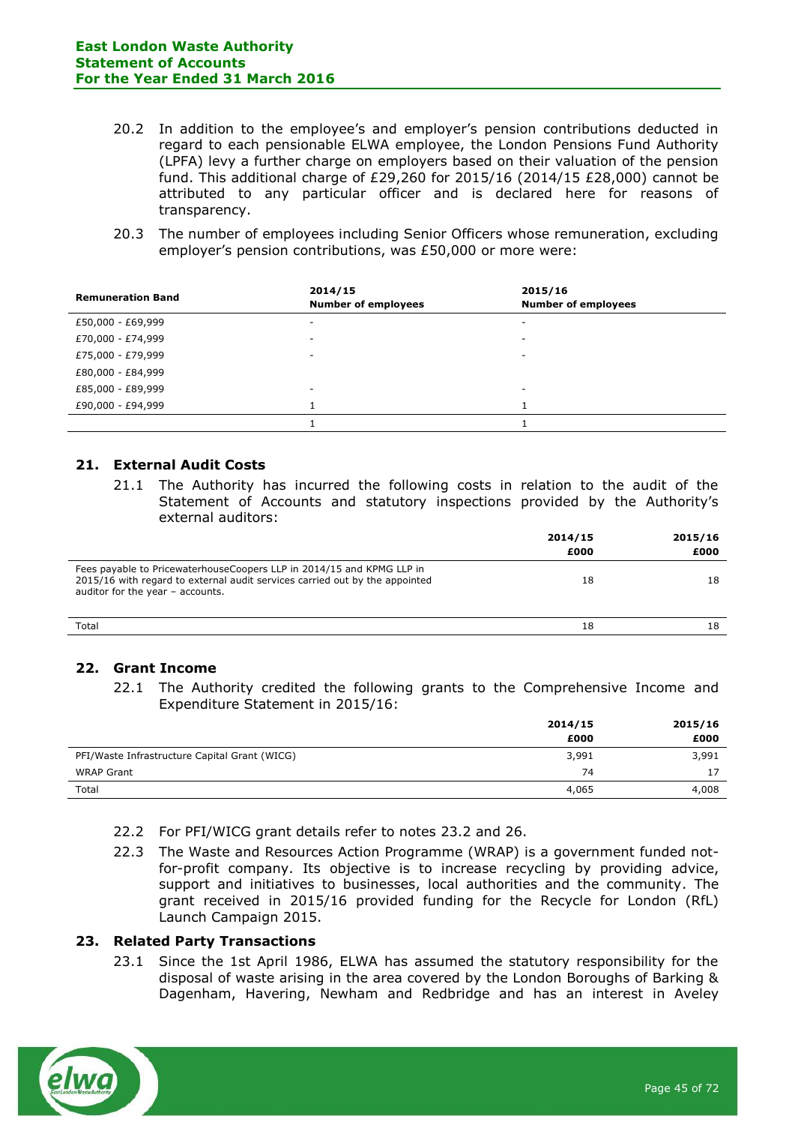- 20.2 In addition to the employee's and employer's pension contributions deducted in regard to each pensionable ELWA employee, the London Pensions Fund Authority (LPFA) levy a further charge on employers based on their valuation of the pension fund. This additional charge of £29,260 for 2015/16 (2014/15 £28,000) cannot be attributed to any particular officer and is declared here for reasons of transparency.
- 20.3 The number of employees including Senior Officers whose remuneration, excluding employer's pension contributions, was £50,000 or more were:

| <b>Remuneration Band</b> | 2014/15<br><b>Number of employees</b> | 2015/16<br><b>Number of employees</b> |
|--------------------------|---------------------------------------|---------------------------------------|
| £50,000 - £69,999        | -                                     | -                                     |
| £70,000 - £74,999        | ۰                                     | -                                     |
| £75,000 - £79,999        | ٠                                     | -                                     |
| £80,000 - £84,999        |                                       |                                       |
| £85,000 - £89,999        | -                                     | -                                     |
| £90,000 - £94,999        |                                       |                                       |
|                          |                                       |                                       |

# **21. External Audit Costs**

21.1 The Authority has incurred the following costs in relation to the audit of the Statement of Accounts and statutory inspections provided by the Authority's external auditors:

|                                                                                                                                                                                          | 2014/15<br>£000 | 2015/16<br>£000 |
|------------------------------------------------------------------------------------------------------------------------------------------------------------------------------------------|-----------------|-----------------|
| Fees payable to PricewaterhouseCoopers LLP in 2014/15 and KPMG LLP in<br>2015/16 with regard to external audit services carried out by the appointed<br>auditor for the year - accounts. | 18              | 18              |
| Total                                                                                                                                                                                    | 18              | 18              |

## **22. Grant Income**

22.1 The Authority credited the following grants to the Comprehensive Income and Expenditure Statement in 2015/16:

|                                               | 2014/15 | 2015/16 |
|-----------------------------------------------|---------|---------|
|                                               | £000    | £000    |
| PFI/Waste Infrastructure Capital Grant (WICG) | 3,991   | 3,991   |
| <b>WRAP Grant</b>                             | 74      | 17      |
| Total                                         | 4,065   | 4,008   |

- 22.2 For PFI/WICG grant details refer to notes 23.2 and 26.
- 22.3 The Waste and Resources Action Programme (WRAP) is a government funded notfor-profit company. Its objective is to increase recycling by providing advice, support and initiatives to businesses, local authorities and the community. The grant received in 2015/16 provided funding for the Recycle for London (RfL) Launch Campaign 2015.

#### **23. Related Party Transactions**

23.1 Since the 1st April 1986, ELWA has assumed the statutory responsibility for the disposal of waste arising in the area covered by the London Boroughs of Barking & Dagenham, Havering, Newham and Redbridge and has an interest in Aveley

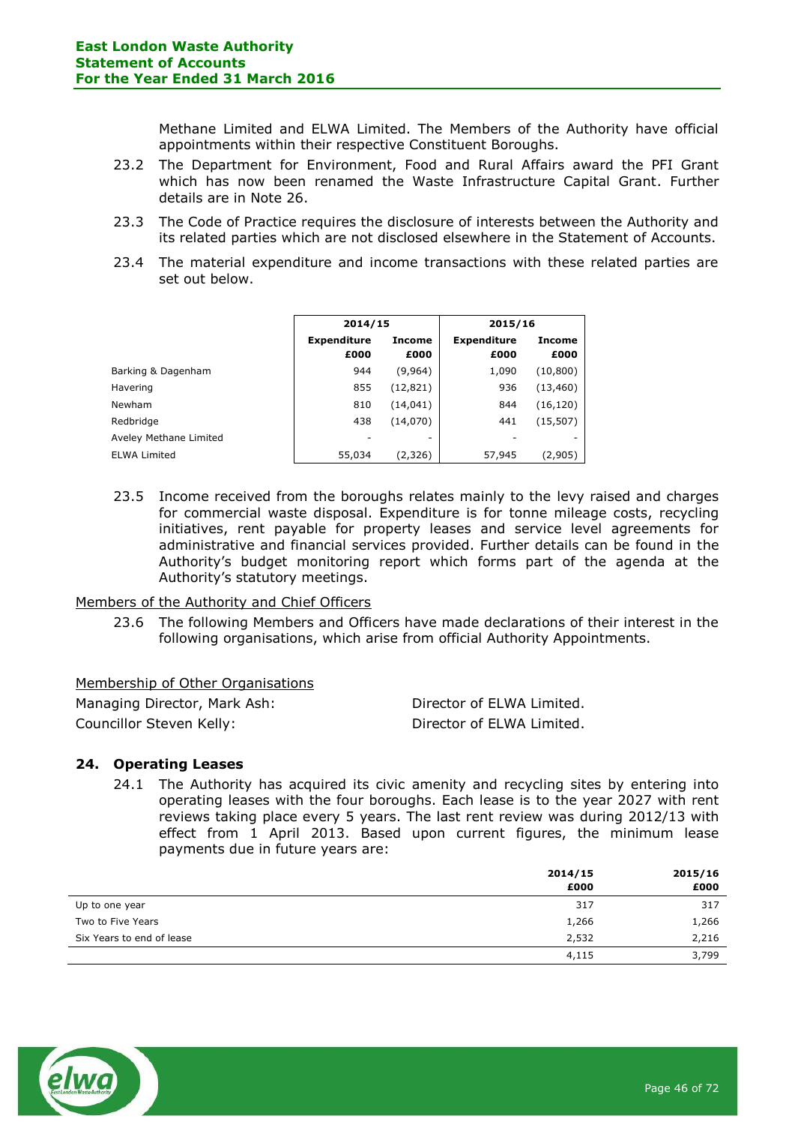Methane Limited and ELWA Limited. The Members of the Authority have official appointments within their respective Constituent Boroughs.

- 23.2 The Department for Environment, Food and Rural Affairs award the PFI Grant which has now been renamed the Waste Infrastructure Capital Grant. Further details are in Note 26.
- 23.3 The Code of Practice requires the disclosure of interests between the Authority and its related parties which are not disclosed elsewhere in the Statement of Accounts.
- 23.4 The material expenditure and income transactions with these related parties are set out below.

|                        | 2014/15                    |                | 2015/16                    |                       |
|------------------------|----------------------------|----------------|----------------------------|-----------------------|
|                        | <b>Expenditure</b><br>£000 | Income<br>£000 | <b>Expenditure</b><br>£000 | <b>Income</b><br>£000 |
| Barking & Dagenham     | 944                        | (9,964)        | 1,090                      | (10, 800)             |
| Havering               | 855                        | (12, 821)      | 936                        | (13, 460)             |
| Newham                 | 810                        | (14, 041)      | 844                        | (16, 120)             |
| Redbridge              | 438                        | (14,070)       | 441                        | (15,507)              |
| Aveley Methane Limited |                            | ۰              |                            |                       |
| <b>ELWA Limited</b>    | 55,034                     | (2,326)        | 57,945                     | (2,905)               |

23.5 Income received from the boroughs relates mainly to the levy raised and charges for commercial waste disposal. Expenditure is for tonne mileage costs, recycling initiatives, rent payable for property leases and service level agreements for administrative and financial services provided. Further details can be found in the Authority's budget monitoring report which forms part of the agenda at the Authority's statutory meetings.

## Members of the Authority and Chief Officers

23.6 The following Members and Officers have made declarations of their interest in the following organisations, which arise from official Authority Appointments.

| Membership of Other Organisations |                           |
|-----------------------------------|---------------------------|
| Managing Director, Mark Ash:      | Director of ELWA Limited. |
| Councillor Steven Kelly:          | Director of ELWA Limited. |

## **24. Operating Leases**

24.1 The Authority has acquired its civic amenity and recycling sites by entering into operating leases with the four boroughs. Each lease is to the year 2027 with rent reviews taking place every 5 years. The last rent review was during 2012/13 with effect from 1 April 2013. Based upon current figures, the minimum lease payments due in future years are:

|                           | 2014/15 | 2015/16 |
|---------------------------|---------|---------|
|                           | £000    | £000    |
| Up to one year            | 317     | 317     |
| Two to Five Years         | 1,266   | 1,266   |
| Six Years to end of lease | 2,532   | 2,216   |
|                           | 4,115   | 3,799   |

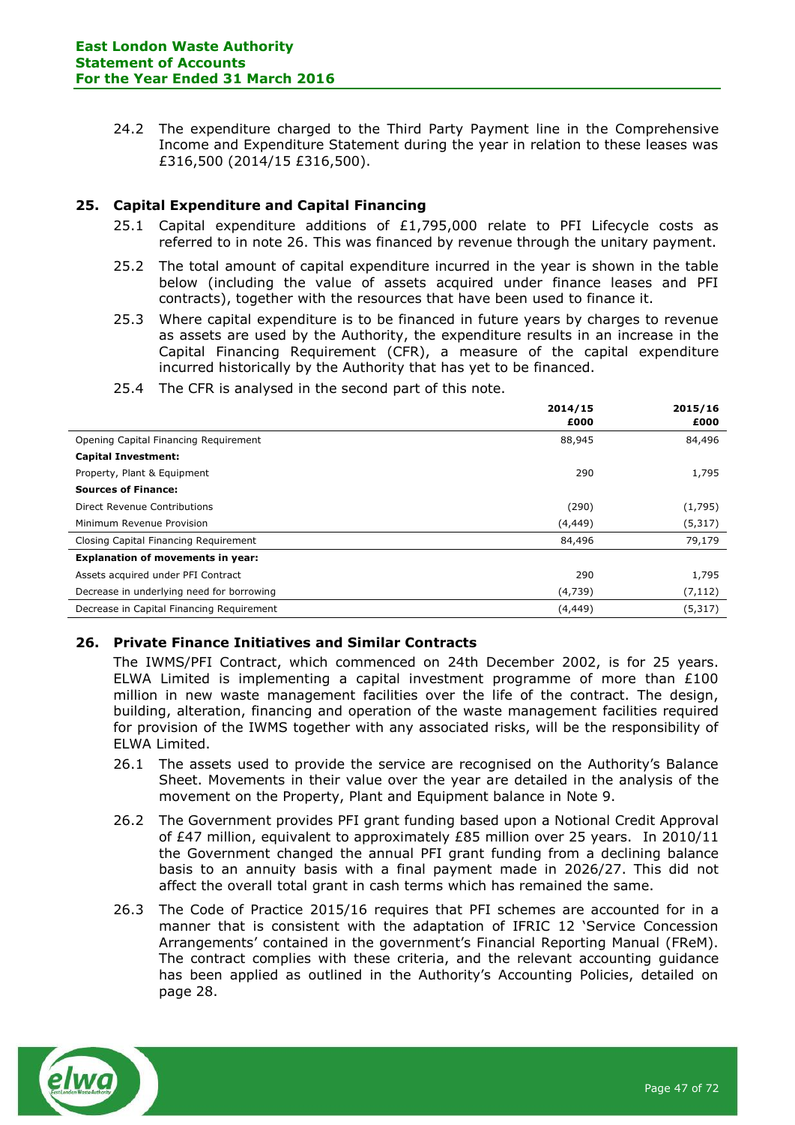24.2 The expenditure charged to the Third Party Payment line in the Comprehensive Income and Expenditure Statement during the year in relation to these leases was £316,500 (2014/15 £316,500).

# **25. Capital Expenditure and Capital Financing**

- 25.1 Capital expenditure additions of £1,795,000 relate to PFI Lifecycle costs as referred to in note 26. This was financed by revenue through the unitary payment.
- 25.2 The total amount of capital expenditure incurred in the year is shown in the table below (including the value of assets acquired under finance leases and PFI contracts), together with the resources that have been used to finance it.
- 25.3 Where capital expenditure is to be financed in future years by charges to revenue as assets are used by the Authority, the expenditure results in an increase in the Capital Financing Requirement (CFR), a measure of the capital expenditure incurred historically by the Authority that has yet to be financed.
- 25.4 The CFR is analysed in the second part of this note.

|                                           | 2014/15<br>£000 | 2015/16<br>£000 |
|-------------------------------------------|-----------------|-----------------|
| Opening Capital Financing Requirement     | 88,945          | 84,496          |
| <b>Capital Investment:</b>                |                 |                 |
| Property, Plant & Equipment               | 290             | 1,795           |
| <b>Sources of Finance:</b>                |                 |                 |
| Direct Revenue Contributions              | (290)           | (1,795)         |
| Minimum Revenue Provision                 | (4, 449)        | (5, 317)        |
| Closing Capital Financing Requirement     | 84,496          | 79,179          |
| <b>Explanation of movements in year:</b>  |                 |                 |
| Assets acquired under PFI Contract        | 290             | 1,795           |
| Decrease in underlying need for borrowing | (4,739)         | (7, 112)        |
| Decrease in Capital Financing Requirement | (4, 449)        | (5, 317)        |

## **26. Private Finance Initiatives and Similar Contracts**

The IWMS/PFI Contract, which commenced on 24th December 2002, is for 25 years. ELWA Limited is implementing a capital investment programme of more than £100 million in new waste management facilities over the life of the contract. The design, building, alteration, financing and operation of the waste management facilities required for provision of the IWMS together with any associated risks, will be the responsibility of ELWA Limited.

- 26.1 The assets used to provide the service are recognised on the Authority's Balance Sheet. Movements in their value over the year are detailed in the analysis of the movement on the Property, Plant and Equipment balance in Note 9.
- 26.2 The Government provides PFI grant funding based upon a Notional Credit Approval of £47 million, equivalent to approximately £85 million over 25 years. In 2010/11 the Government changed the annual PFI grant funding from a declining balance basis to an annuity basis with a final payment made in 2026/27. This did not affect the overall total grant in cash terms which has remained the same.
- 26.3 The Code of Practice 2015/16 requires that PFI schemes are accounted for in a manner that is consistent with the adaptation of IFRIC 12 'Service Concession Arrangements' contained in the government's Financial Reporting Manual (FReM). The contract complies with these criteria, and the relevant accounting guidance has been applied as outlined in the Authority's Accounting Policies, detailed on page 28.

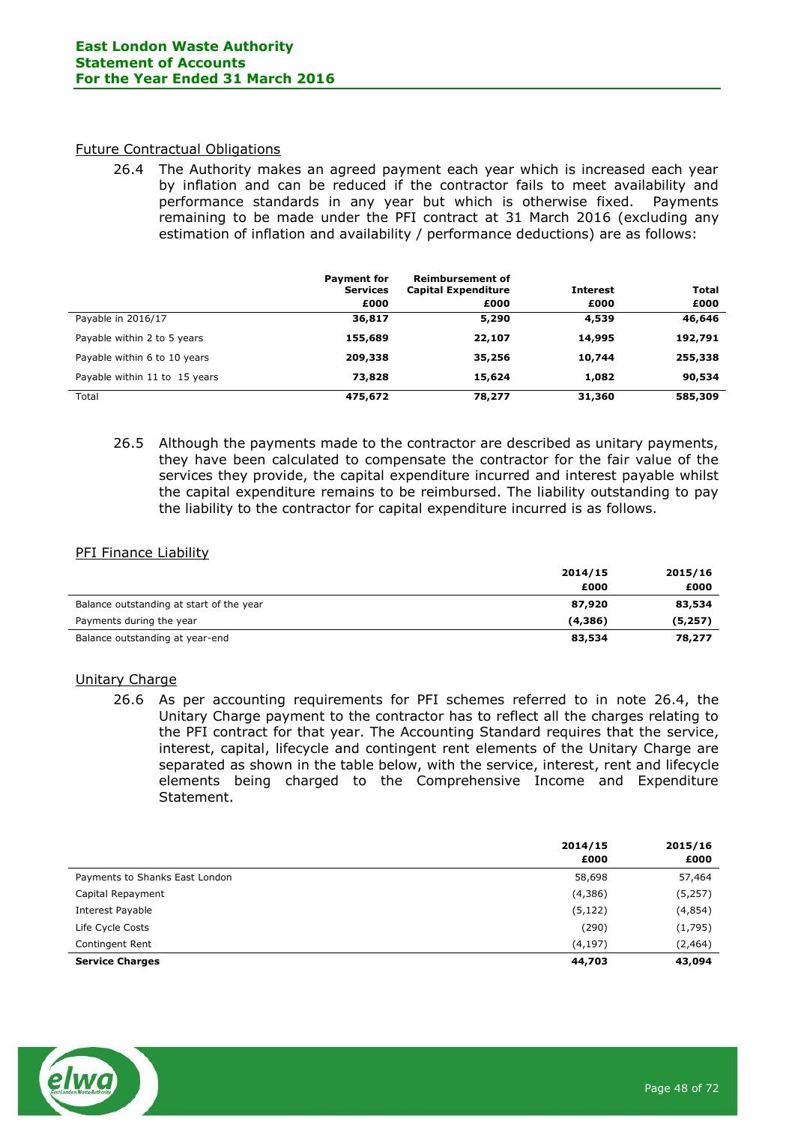#### Future Contractual Obligations

26.4 The Authority makes an agreed payment each year which is increased each year by inflation and can be reduced if the contractor fails to meet availability and performance standards in any year but which is otherwise fixed. Payments remaining to be made under the PFI contract at 31 March 2016 (excluding any estimation of inflation and availability / performance deductions) are as follows:

|                               | <b>Payment for</b><br><b>Services</b> | <b>Reimbursement of</b><br><b>Capital Expenditure</b> | <b>Interest</b> | <b>Total</b> |
|-------------------------------|---------------------------------------|-------------------------------------------------------|-----------------|--------------|
|                               | £000                                  | £000                                                  | £000            | £000         |
| Payable in 2016/17            | 36,817                                | 5,290                                                 | 4,539           | 46,646       |
| Payable within 2 to 5 years   | 155,689                               | 22,107                                                | 14,995          | 192,791      |
| Payable within 6 to 10 years  | 209,338                               | 35,256                                                | 10,744          | 255,338      |
| Payable within 11 to 15 years | 73,828                                | 15,624                                                | 1,082           | 90,534       |
| Total                         | 475,672                               | 78,277                                                | 31,360          | 585,309      |

26.5 Although the payments made to the contractor are described as unitary payments, they have been calculated to compensate the contractor for the fair value of the services they provide, the capital expenditure incurred and interest payable whilst the capital expenditure remains to be reimbursed. The liability outstanding to pay the liability to the contractor for capital expenditure incurred is as follows.

## PFI Finance Liability

|                                          | 2014/15 | 2015/16 |
|------------------------------------------|---------|---------|
|                                          | £000    | £000    |
| Balance outstanding at start of the year | 87,920  | 83,534  |
| Payments during the year                 | (4,386) | (5,257) |
| Balance outstanding at year-end          | 83,534  | 78,277  |

#### Unitary Charge

26.6 As per accounting requirements for PFI schemes referred to in note 26.4, the Unitary Charge payment to the contractor has to reflect all the charges relating to the PFI contract for that year. The Accounting Standard requires that the service, interest, capital, lifecycle and contingent rent elements of the Unitary Charge are separated as shown in the table below, with the service, interest, rent and lifecycle elements being charged to the Comprehensive Income and Expenditure Statement.

|                                | 2014/15<br>£000 | 2015/16<br>£000 |
|--------------------------------|-----------------|-----------------|
| Payments to Shanks East London | 58,698          | 57,464          |
| Capital Repayment              | (4,386)         | (5,257)         |
| Interest Payable               | (5, 122)        | (4, 854)        |
| Life Cycle Costs               | (290)           | (1,795)         |
| Contingent Rent                | (4, 197)        | (2, 464)        |
| <b>Service Charges</b>         | 44,703          | 43,094          |

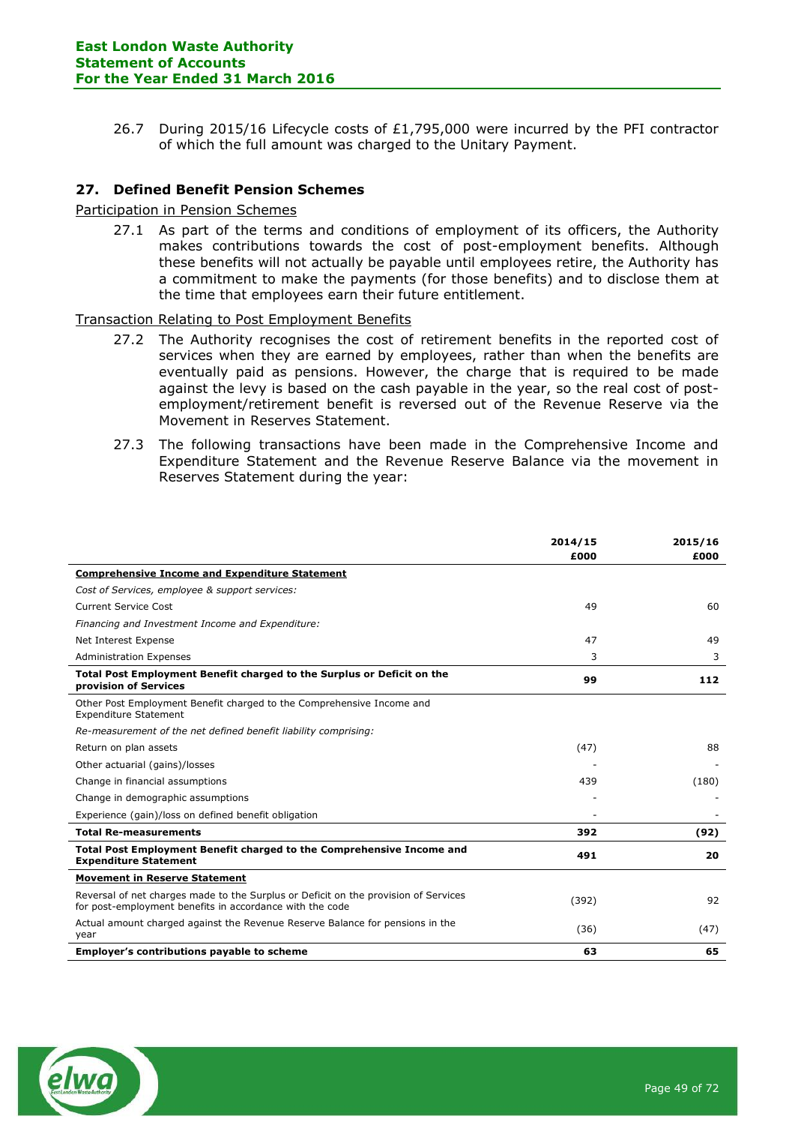26.7 During 2015/16 Lifecycle costs of £1,795,000 were incurred by the PFI contractor of which the full amount was charged to the Unitary Payment.

# **27. Defined Benefit Pension Schemes**

Participation in Pension Schemes

27.1 As part of the terms and conditions of employment of its officers, the Authority makes contributions towards the cost of post-employment benefits. Although these benefits will not actually be payable until employees retire, the Authority has a commitment to make the payments (for those benefits) and to disclose them at the time that employees earn their future entitlement.

#### Transaction Relating to Post Employment Benefits

- 27.2 The Authority recognises the cost of retirement benefits in the reported cost of services when they are earned by employees, rather than when the benefits are eventually paid as pensions. However, the charge that is required to be made against the levy is based on the cash payable in the year, so the real cost of postemployment/retirement benefit is reversed out of the Revenue Reserve via the Movement in Reserves Statement.
- 27.3 The following transactions have been made in the Comprehensive Income and Expenditure Statement and the Revenue Reserve Balance via the movement in Reserves Statement during the year:

|                                                                                                                                                 | 2014/15<br>£000 | 2015/16<br>£000 |
|-------------------------------------------------------------------------------------------------------------------------------------------------|-----------------|-----------------|
| <b>Comprehensive Income and Expenditure Statement</b>                                                                                           |                 |                 |
| Cost of Services, employee & support services:                                                                                                  |                 |                 |
| <b>Current Service Cost</b>                                                                                                                     | 49              | 60              |
| Financing and Investment Income and Expenditure:                                                                                                |                 |                 |
| Net Interest Expense                                                                                                                            | 47              | 49              |
| <b>Administration Expenses</b>                                                                                                                  | 3               | 3               |
| Total Post Employment Benefit charged to the Surplus or Deficit on the<br>provision of Services                                                 | 99              | 112             |
| Other Post Employment Benefit charged to the Comprehensive Income and<br><b>Expenditure Statement</b>                                           |                 |                 |
| Re-measurement of the net defined benefit liability comprising:                                                                                 |                 |                 |
| Return on plan assets                                                                                                                           | (47)            | 88              |
| Other actuarial (gains)/losses                                                                                                                  |                 |                 |
| Change in financial assumptions                                                                                                                 | 439             | (180)           |
| Change in demographic assumptions                                                                                                               |                 |                 |
| Experience (gain)/loss on defined benefit obligation                                                                                            |                 |                 |
| <b>Total Re-measurements</b>                                                                                                                    | 392             | (92)            |
| Total Post Employment Benefit charged to the Comprehensive Income and<br><b>Expenditure Statement</b>                                           | 491             | 20              |
| <b>Movement in Reserve Statement</b>                                                                                                            |                 |                 |
| Reversal of net charges made to the Surplus or Deficit on the provision of Services<br>for post-employment benefits in accordance with the code | (392)           | 92              |
| Actual amount charged against the Revenue Reserve Balance for pensions in the<br>year                                                           | (36)            | (47)            |
| Employer's contributions payable to scheme                                                                                                      | 63              | 65              |

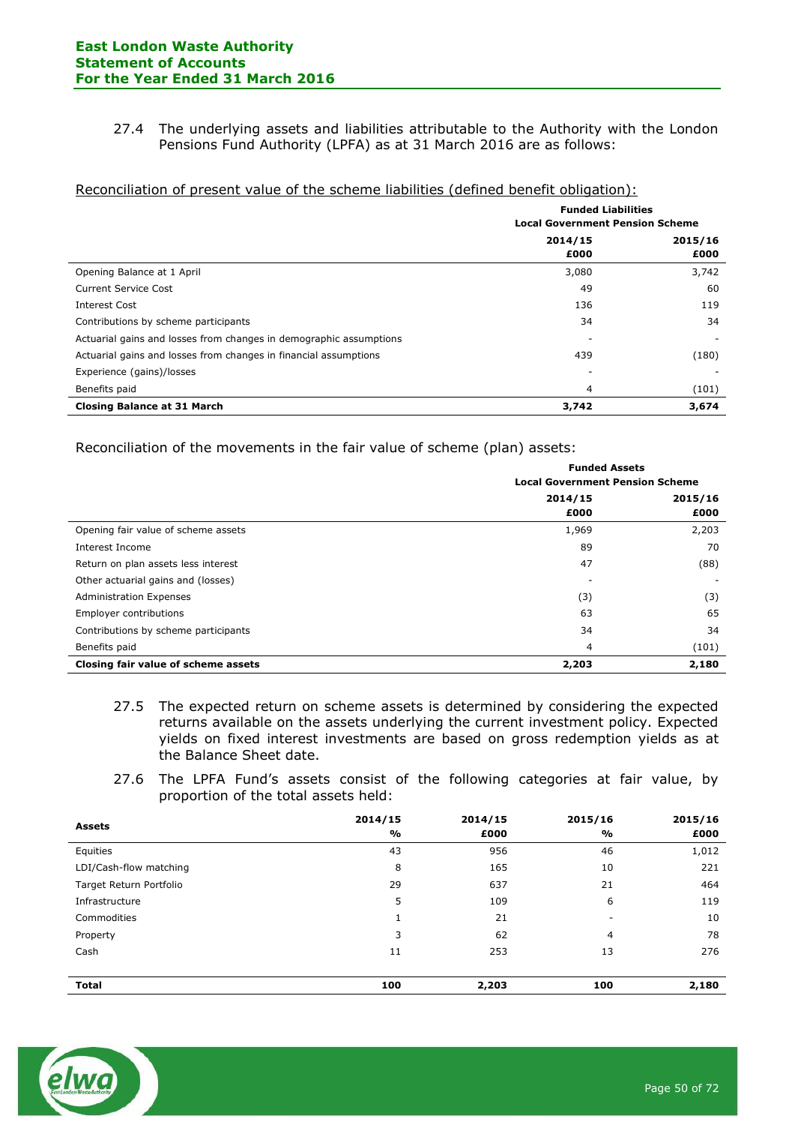27.4 The underlying assets and liabilities attributable to the Authority with the London Pensions Fund Authority (LPFA) as at 31 March 2016 are as follows:

#### Reconciliation of present value of the scheme liabilities (defined benefit obligation):

|                                                                    | <b>Funded Liabilities</b><br><b>Local Government Pension Scheme</b> |         |
|--------------------------------------------------------------------|---------------------------------------------------------------------|---------|
|                                                                    | 2014/15                                                             | 2015/16 |
|                                                                    | £000                                                                | £000    |
| Opening Balance at 1 April                                         | 3,080                                                               | 3,742   |
| <b>Current Service Cost</b>                                        | 49                                                                  | 60      |
| Interest Cost                                                      | 136                                                                 | 119     |
| Contributions by scheme participants                               | 34                                                                  | 34      |
| Actuarial gains and losses from changes in demographic assumptions |                                                                     |         |
| Actuarial gains and losses from changes in financial assumptions   | 439                                                                 | (180)   |
| Experience (gains)/losses                                          |                                                                     |         |
| Benefits paid                                                      | 4                                                                   | (101)   |
| <b>Closing Balance at 31 March</b>                                 | 3,742                                                               | 3,674   |

Reconciliation of the movements in the fair value of scheme (plan) assets:

|                                      | <b>Funded Assets</b><br><b>Local Government Pension Scheme</b> |       |
|--------------------------------------|----------------------------------------------------------------|-------|
|                                      | 2014/15                                                        |       |
|                                      | £000                                                           | £000  |
| Opening fair value of scheme assets  | 1,969                                                          | 2,203 |
| Interest Income                      | 89                                                             | 70    |
| Return on plan assets less interest  | 47                                                             | (88)  |
| Other actuarial gains and (losses)   | -                                                              |       |
| <b>Administration Expenses</b>       | (3)                                                            | (3)   |
| Employer contributions               | 63                                                             | 65    |
| Contributions by scheme participants | 34                                                             | 34    |
| Benefits paid                        | 4                                                              | (101) |
| Closing fair value of scheme assets  | 2,203                                                          | 2,180 |

- 27.5 The expected return on scheme assets is determined by considering the expected returns available on the assets underlying the current investment policy. Expected yields on fixed interest investments are based on gross redemption yields as at the Balance Sheet date.
- 27.6 The LPFA Fund's assets consist of the following categories at fair value, by proportion of the total assets held:

| <b>Assets</b>           | 2014/15<br>% | 2014/15<br>£000 | 2015/16<br>% | 2015/16<br>£000 |
|-------------------------|--------------|-----------------|--------------|-----------------|
| Equities                | 43           | 956             | 46           | 1,012           |
| LDI/Cash-flow matching  | 8            | 165             | 10           | 221             |
| Target Return Portfolio | 29           | 637             | 21           | 464             |
| Infrastructure          | 5            | 109             | 6            | 119             |
| Commodities             | J.           | 21              | -            | 10              |
| Property                | 3            | 62              | 4            | 78              |
| Cash                    | 11           | 253             | 13           | 276             |
|                         |              |                 |              |                 |
| <b>Total</b>            | 100          | 2,203           | 100          | 2,180           |

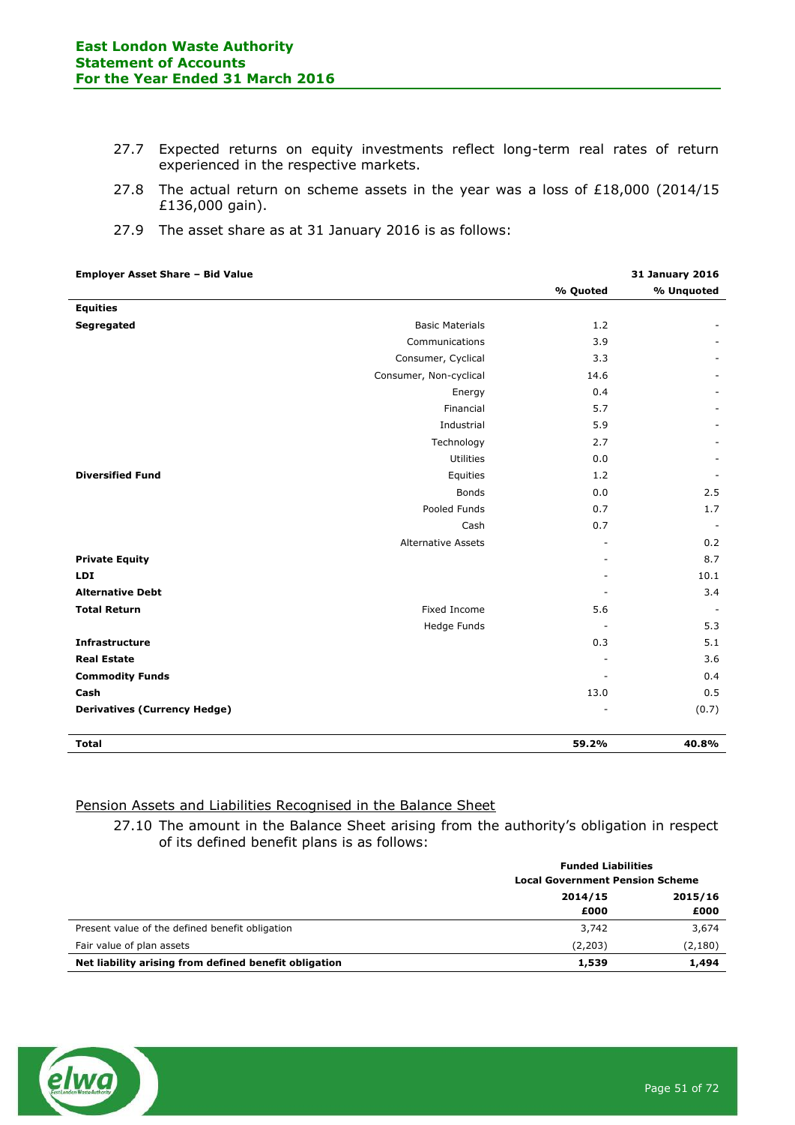- 27.7 Expected returns on equity investments reflect long-term real rates of return experienced in the respective markets.
- 27.8 The actual return on scheme assets in the year was a loss of £18,000 (2014/15 £136,000 gain).
- 27.9 The asset share as at 31 January 2016 is as follows:

| <b>Employer Asset Share - Bid Value</b> |                           |                          | <b>31 January 2016</b>   |
|-----------------------------------------|---------------------------|--------------------------|--------------------------|
|                                         |                           | % Quoted                 | % Unquoted               |
| <b>Equities</b>                         |                           |                          |                          |
| Segregated                              | <b>Basic Materials</b>    | 1.2                      |                          |
|                                         | Communications            | 3.9                      |                          |
|                                         | Consumer, Cyclical        | 3.3                      |                          |
|                                         | Consumer, Non-cyclical    | 14.6                     |                          |
|                                         | Energy                    | 0.4                      |                          |
|                                         | Financial                 | 5.7                      |                          |
|                                         | Industrial                | 5.9                      |                          |
|                                         | Technology                | 2.7                      |                          |
|                                         | Utilities                 | 0.0                      |                          |
| <b>Diversified Fund</b>                 | Equities                  | 1.2                      |                          |
|                                         | <b>Bonds</b>              | 0.0                      | 2.5                      |
|                                         | Pooled Funds              | 0.7                      | 1.7                      |
|                                         | Cash                      | 0.7                      | $\overline{\phantom{a}}$ |
|                                         | <b>Alternative Assets</b> |                          | 0.2                      |
| <b>Private Equity</b>                   |                           |                          | 8.7                      |
| LDI                                     |                           |                          | 10.1                     |
| <b>Alternative Debt</b>                 |                           | ÷.                       | 3.4                      |
| <b>Total Return</b>                     | Fixed Income              | 5.6                      |                          |
|                                         | Hedge Funds               | $\overline{\phantom{a}}$ | 5.3                      |
| <b>Infrastructure</b>                   |                           | 0.3                      | 5.1                      |
| <b>Real Estate</b>                      |                           |                          | 3.6                      |
| <b>Commodity Funds</b>                  |                           |                          | 0.4                      |
| Cash                                    |                           | 13.0                     | 0.5                      |
| <b>Derivatives (Currency Hedge)</b>     |                           |                          | (0.7)                    |
| <b>Total</b>                            |                           | 59.2%                    | 40.8%                    |

#### Pension Assets and Liabilities Recognised in the Balance Sheet

27.10 The amount in the Balance Sheet arising from the authority's obligation in respect of its defined benefit plans is as follows:

|                                                       | <b>Funded Liabilities</b><br><b>Local Government Pension Scheme</b> |                 |
|-------------------------------------------------------|---------------------------------------------------------------------|-----------------|
|                                                       | 2014/15<br>£000                                                     | 2015/16<br>£000 |
| Present value of the defined benefit obligation       | 3,742                                                               | 3,674           |
| Fair value of plan assets                             | (2,203)                                                             | (2,180)         |
| Net liability arising from defined benefit obligation | 1,539                                                               | 1,494           |

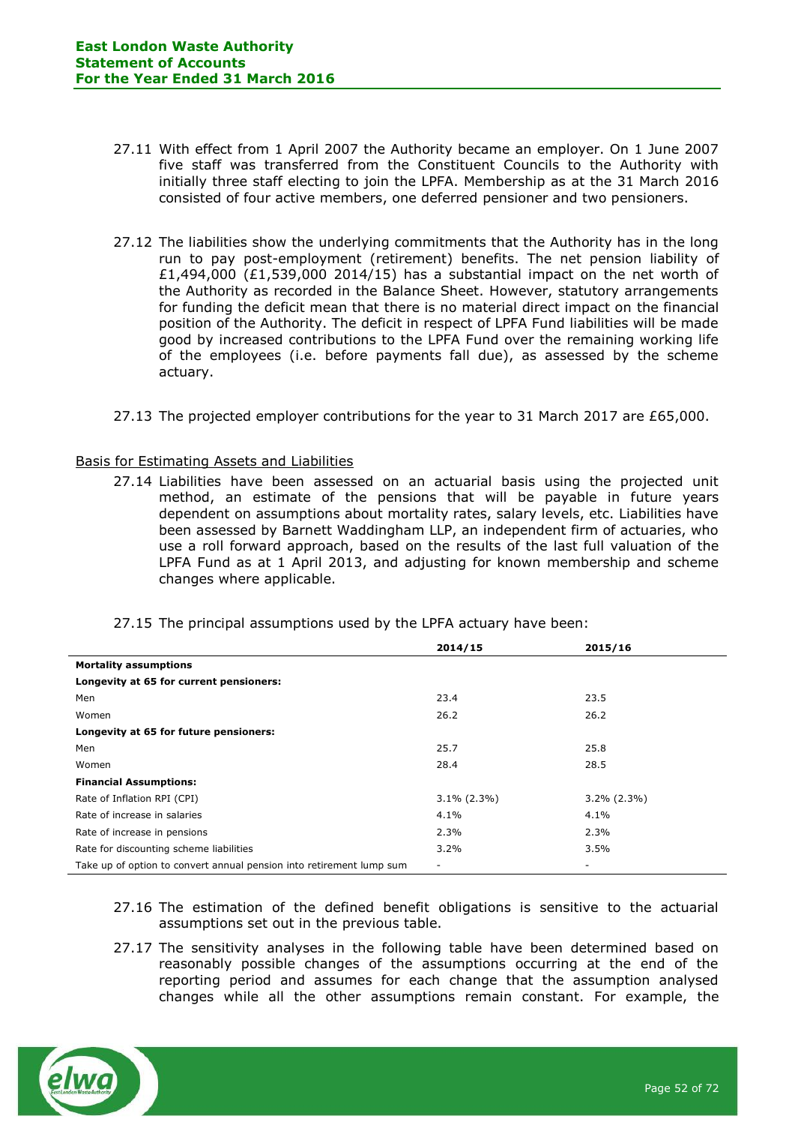- 27.11 With effect from 1 April 2007 the Authority became an employer. On 1 June 2007 five staff was transferred from the Constituent Councils to the Authority with initially three staff electing to join the LPFA. Membership as at the 31 March 2016 consisted of four active members, one deferred pensioner and two pensioners.
- 27.12 The liabilities show the underlying commitments that the Authority has in the long run to pay post-employment (retirement) benefits. The net pension liability of £1,494,000 (£1,539,000 2014/15) has a substantial impact on the net worth of the Authority as recorded in the Balance Sheet. However, statutory arrangements for funding the deficit mean that there is no material direct impact on the financial position of the Authority. The deficit in respect of LPFA Fund liabilities will be made good by increased contributions to the LPFA Fund over the remaining working life of the employees (i.e. before payments fall due), as assessed by the scheme actuary.
- 27.13 The projected employer contributions for the year to 31 March 2017 are £65,000.

#### Basis for Estimating Assets and Liabilities

27.14 Liabilities have been assessed on an actuarial basis using the projected unit method, an estimate of the pensions that will be payable in future years dependent on assumptions about mortality rates, salary levels, etc. Liabilities have been assessed by Barnett Waddingham LLP, an independent firm of actuaries, who use a roll forward approach, based on the results of the last full valuation of the LPFA Fund as at 1 April 2013, and adjusting for known membership and scheme changes where applicable.

| 27.15 The principal assumptions used by the LPFA actuary have been: |
|---------------------------------------------------------------------|
|---------------------------------------------------------------------|

|                                                                      | 2014/15        | 2015/16        |
|----------------------------------------------------------------------|----------------|----------------|
| <b>Mortality assumptions</b>                                         |                |                |
| Longevity at 65 for current pensioners:                              |                |                |
| Men                                                                  | 23.4           | 23.5           |
| Women                                                                | 26.2           | 26.2           |
| Longevity at 65 for future pensioners:                               |                |                |
| Men                                                                  | 25.7           | 25.8           |
| Women                                                                | 28.4           | 28.5           |
| <b>Financial Assumptions:</b>                                        |                |                |
| Rate of Inflation RPI (CPI)                                          | $3.1\%$ (2.3%) | $3.2\%$ (2.3%) |
| Rate of increase in salaries                                         | 4.1%           | 4.1%           |
| Rate of increase in pensions                                         | 2.3%           | 2.3%           |
| Rate for discounting scheme liabilities                              | 3.2%           | 3.5%           |
| Take up of option to convert annual pension into retirement lump sum | -              | ۰              |

# 27.16 The estimation of the defined benefit obligations is sensitive to the actuarial assumptions set out in the previous table.

27.17 The sensitivity analyses in the following table have been determined based on reasonably possible changes of the assumptions occurring at the end of the reporting period and assumes for each change that the assumption analysed changes while all the other assumptions remain constant. For example, the

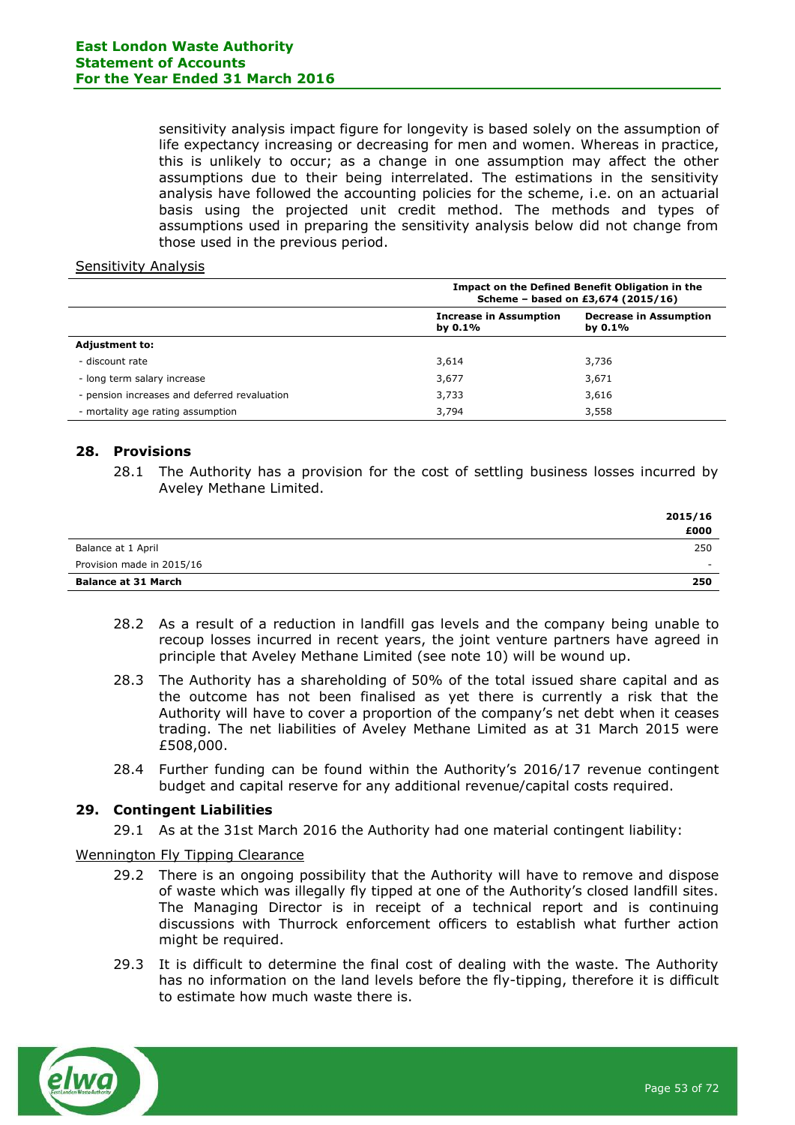sensitivity analysis impact figure for longevity is based solely on the assumption of life expectancy increasing or decreasing for men and women. Whereas in practice, this is unlikely to occur; as a change in one assumption may affect the other assumptions due to their being interrelated. The estimations in the sensitivity analysis have followed the accounting policies for the scheme, i.e. on an actuarial basis using the projected unit credit method. The methods and types of assumptions used in preparing the sensitivity analysis below did not change from those used in the previous period.

#### Sensitivity Analysis

|                                              | Impact on the Defined Benefit Obligation in the<br>Scheme - based on £3,674 (2015/16) |                                             |  |  |
|----------------------------------------------|---------------------------------------------------------------------------------------|---------------------------------------------|--|--|
|                                              | <b>Increase in Assumption</b><br>by $0.1\%$                                           | <b>Decrease in Assumption</b><br>by $0.1\%$ |  |  |
| <b>Adjustment to:</b>                        |                                                                                       |                                             |  |  |
| - discount rate                              | 3,614                                                                                 | 3,736                                       |  |  |
| - long term salary increase                  | 3,677                                                                                 | 3,671                                       |  |  |
| - pension increases and deferred revaluation | 3,733                                                                                 | 3,616                                       |  |  |
| - mortality age rating assumption            | 3,794                                                                                 | 3,558                                       |  |  |

# **28. Provisions**

28.1 The Authority has a provision for the cost of settling business losses incurred by Aveley Methane Limited.

|                            | 2015/16<br>£000          |
|----------------------------|--------------------------|
| Balance at 1 April         | 250                      |
| Provision made in 2015/16  | $\overline{\phantom{0}}$ |
| <b>Balance at 31 March</b> | 250                      |

- 28.2 As a result of a reduction in landfill gas levels and the company being unable to recoup losses incurred in recent years, the joint venture partners have agreed in principle that Aveley Methane Limited (see note 10) will be wound up.
- 28.3 The Authority has a shareholding of 50% of the total issued share capital and as the outcome has not been finalised as yet there is currently a risk that the Authority will have to cover a proportion of the company's net debt when it ceases trading. The net liabilities of Aveley Methane Limited as at 31 March 2015 were £508,000.
- 28.4 Further funding can be found within the Authority's 2016/17 revenue contingent budget and capital reserve for any additional revenue/capital costs required.

## **29. Contingent Liabilities**

29.1 As at the 31st March 2016 the Authority had one material contingent liability:

## Wennington Fly Tipping Clearance

- 29.2 There is an ongoing possibility that the Authority will have to remove and dispose of waste which was illegally fly tipped at one of the Authority's closed landfill sites. The Managing Director is in receipt of a technical report and is continuing discussions with Thurrock enforcement officers to establish what further action might be required.
- 29.3 It is difficult to determine the final cost of dealing with the waste. The Authority has no information on the land levels before the fly-tipping, therefore it is difficult to estimate how much waste there is.

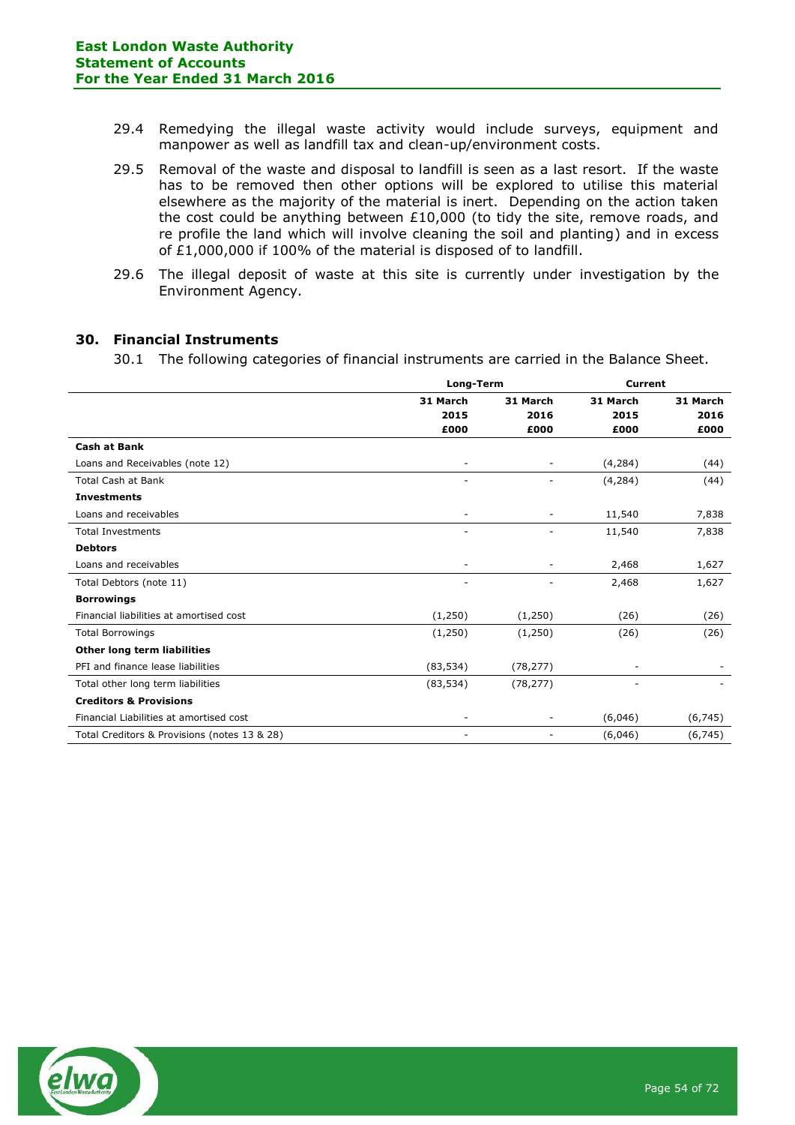- 29.4 Remedying the illegal waste activity would include surveys, equipment and manpower as well as landfill tax and clean-up/environment costs.
- 29.5 Removal of the waste and disposal to landfill is seen as a last resort. If the waste has to be removed then other options will be explored to utilise this material elsewhere as the majority of the material is inert. Depending on the action taken the cost could be anything between  $£10,000$  (to tidy the site, remove roads, and re profile the land which will involve cleaning the soil and planting) and in excess of £1,000,000 if 100% of the material is disposed of to landfill.
- 29.6 The illegal deposit of waste at this site is currently under investigation by the Environment Agency.

# **30. Financial Instruments**

30.1 The following categories of financial instruments are carried in the Balance Sheet.

|                                              | Long-Term |                          | <b>Current</b> |          |  |
|----------------------------------------------|-----------|--------------------------|----------------|----------|--|
|                                              | 31 March  | 31 March                 | 31 March       | 31 March |  |
|                                              | 2015      | 2016                     | 2015           | 2016     |  |
|                                              | £000      | £000                     | £000           | £000     |  |
| <b>Cash at Bank</b>                          |           |                          |                |          |  |
| Loans and Receivables (note 12)              | -         | $\overline{\phantom{a}}$ | (4, 284)       | (44)     |  |
| <b>Total Cash at Bank</b>                    |           | ٠                        | (4, 284)       | (44)     |  |
| <b>Investments</b>                           |           |                          |                |          |  |
| Loans and receivables                        | ٠         | $\overline{\phantom{a}}$ | 11,540         | 7,838    |  |
| <b>Total Investments</b>                     |           |                          | 11,540         | 7,838    |  |
| <b>Debtors</b>                               |           |                          |                |          |  |
| Loans and receivables                        |           |                          | 2,468          | 1,627    |  |
| Total Debtors (note 11)                      |           |                          | 2,468          | 1,627    |  |
| <b>Borrowings</b>                            |           |                          |                |          |  |
| Financial liabilities at amortised cost      | (1,250)   | (1,250)                  | (26)           | (26)     |  |
| <b>Total Borrowings</b>                      | (1,250)   | (1,250)                  | (26)           | (26)     |  |
| Other long term liabilities                  |           |                          |                |          |  |
| PFI and finance lease liabilities            | (83, 534) | (78, 277)                |                |          |  |
| Total other long term liabilities            | (83, 534) | (78, 277)                |                |          |  |
| <b>Creditors &amp; Provisions</b>            |           |                          |                |          |  |
| Financial Liabilities at amortised cost      |           | $\overline{\phantom{a}}$ | (6,046)        | (6, 745) |  |
| Total Creditors & Provisions (notes 13 & 28) | ٠         | ٠                        | (6,046)        | (6, 745) |  |

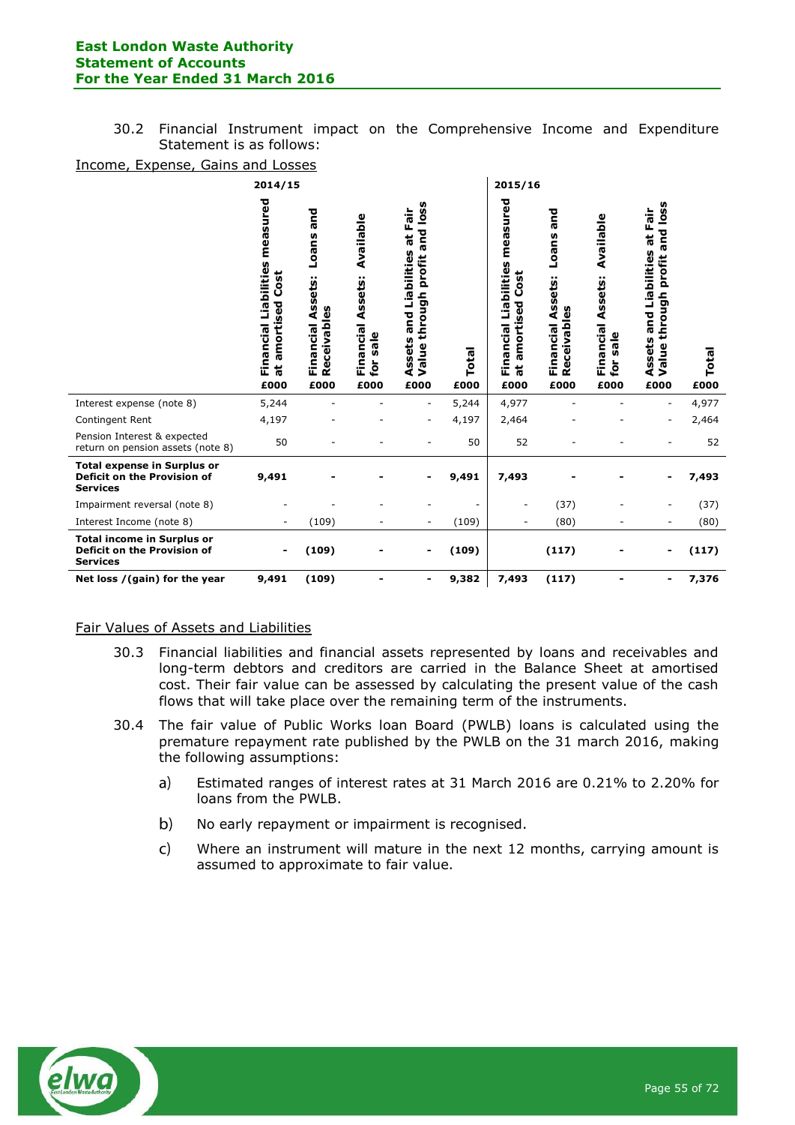## 30.2 Financial Instrument impact on the Comprehensive Income and Expenditure Statement is as follows:

## Income, Expense, Gains and Losses

|                                                                                            | 2014/15                                                               |                                                                 |                                                           |                                                                                                       |               | 2015/16                                                                  |                                                             |                                                          |                                                                                                                 |                      |
|--------------------------------------------------------------------------------------------|-----------------------------------------------------------------------|-----------------------------------------------------------------|-----------------------------------------------------------|-------------------------------------------------------------------------------------------------------|---------------|--------------------------------------------------------------------------|-------------------------------------------------------------|----------------------------------------------------------|-----------------------------------------------------------------------------------------------------------------|----------------------|
|                                                                                            | measured<br>Financial Liabilities<br>ã<br>ပ<br>amortised<br>đ<br>£000 | and<br>Loans<br><b>Financial Assets:</b><br>Receivables<br>£000 | Available<br>Assets:<br>Financial<br>$s$ ale<br>è<br>£000 | and loss<br>Fair<br>đ<br>and Liabilities<br>profit<br>through<br>Assets<br>Value <sup>®</sup><br>£000 | Total<br>£000 | measured<br>Financial Liabilities<br>amortised Cost<br>$\vec{a}$<br>£000 | and<br>Loans<br>Assets:<br>Receivables<br>Financial<br>£000 | Available<br>Assets:<br>Financial<br>sale<br>for<br>£000 | loss<br>Fair<br>and<br>G<br>$\frac{1}{6}$<br>Liabilities<br>profit<br>through<br>and<br>Assets<br>Value<br>£000 | <b>Total</b><br>£000 |
| Interest expense (note 8)                                                                  | 5,244                                                                 |                                                                 |                                                           | $\overline{\phantom{a}}$                                                                              | 5,244         | 4,977                                                                    |                                                             |                                                          | $\overline{\phantom{a}}$                                                                                        | 4,977                |
| Contingent Rent                                                                            | 4,197                                                                 |                                                                 |                                                           | ٠                                                                                                     | 4,197         | 2,464                                                                    |                                                             |                                                          | $\overline{\phantom{m}}$                                                                                        | 2,464                |
| Pension Interest & expected<br>return on pension assets (note 8)                           | 50                                                                    |                                                                 |                                                           |                                                                                                       | 50            | 52                                                                       |                                                             |                                                          |                                                                                                                 | 52                   |
| <b>Total expense in Surplus or</b><br>Deficit on the Provision of<br><b>Services</b>       | 9,491                                                                 |                                                                 |                                                           | -                                                                                                     | 9,491         | 7,493                                                                    |                                                             |                                                          | $\blacksquare$                                                                                                  | 7,493                |
| Impairment reversal (note 8)                                                               |                                                                       |                                                                 |                                                           |                                                                                                       |               |                                                                          | (37)                                                        |                                                          |                                                                                                                 | (37)                 |
| Interest Income (note 8)                                                                   | $\overline{\phantom{a}}$                                              | (109)                                                           | ۰                                                         | ٠                                                                                                     | (109)         | ٠                                                                        | (80)                                                        |                                                          | ۰                                                                                                               | (80)                 |
| <b>Total income in Surplus or</b><br><b>Deficit on the Provision of</b><br><b>Services</b> | $\overline{\phantom{a}}$                                              | (109)                                                           |                                                           |                                                                                                       | (109)         |                                                                          | (117)                                                       |                                                          |                                                                                                                 | (117)                |
| Net loss / (gain) for the year                                                             | 9,491                                                                 | (109)                                                           |                                                           |                                                                                                       | 9,382         | 7,493                                                                    | (117)                                                       |                                                          |                                                                                                                 | 7,376                |

# Fair Values of Assets and Liabilities

- 30.3 Financial liabilities and financial assets represented by loans and receivables and long-term debtors and creditors are carried in the Balance Sheet at amortised cost. Their fair value can be assessed by calculating the present value of the cash flows that will take place over the remaining term of the instruments.
- 30.4 The fair value of Public Works loan Board (PWLB) loans is calculated using the premature repayment rate published by the PWLB on the 31 march 2016, making the following assumptions:
	- $a)$ Estimated ranges of interest rates at 31 March 2016 are 0.21% to 2.20% for loans from the PWLB.
	- $b)$ No early repayment or impairment is recognised.
	- $\mathsf{C}$ Where an instrument will mature in the next 12 months, carrying amount is assumed to approximate to fair value.

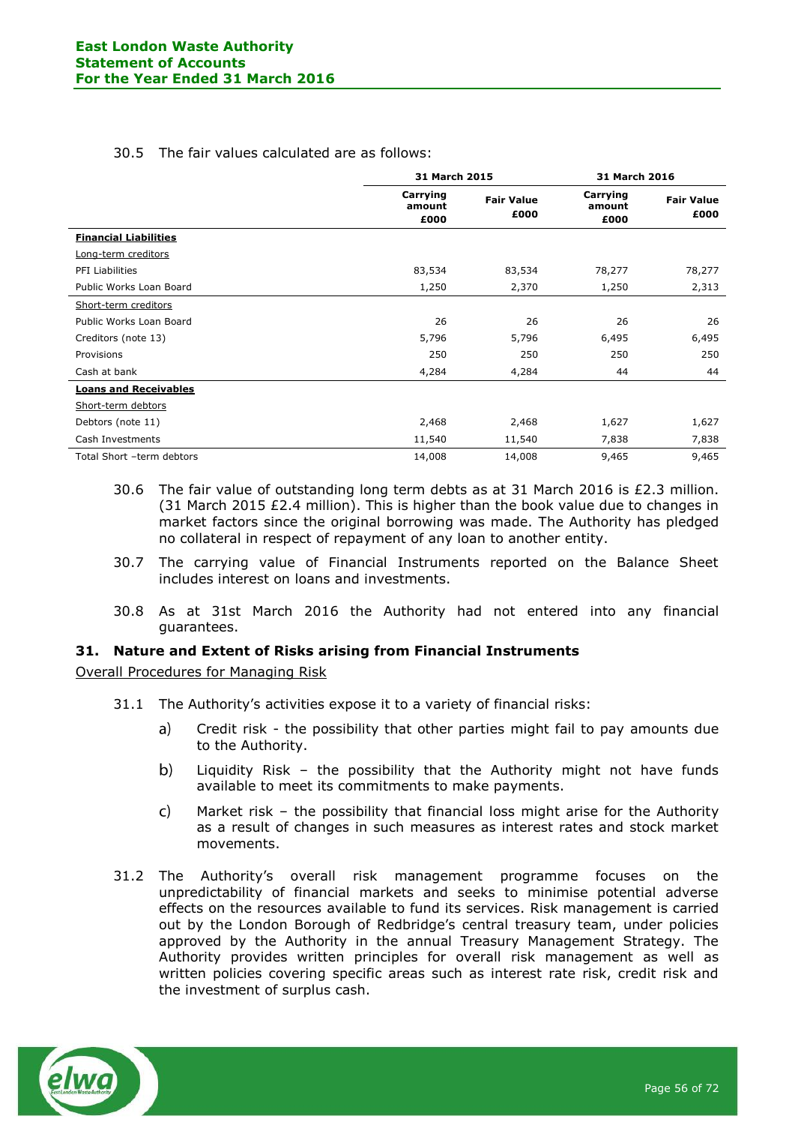|                              |                            | 31 March 2015             |                            | 31 March 2016             |
|------------------------------|----------------------------|---------------------------|----------------------------|---------------------------|
|                              | Carrying<br>amount<br>£000 | <b>Fair Value</b><br>£000 | Carrying<br>amount<br>£000 | <b>Fair Value</b><br>£000 |
| <b>Financial Liabilities</b> |                            |                           |                            |                           |
| Long-term creditors          |                            |                           |                            |                           |
| <b>PFI Liabilities</b>       | 83,534                     | 83,534                    | 78,277                     | 78,277                    |
| Public Works Loan Board      | 1,250                      | 2,370                     | 1,250                      | 2,313                     |
| Short-term creditors         |                            |                           |                            |                           |
| Public Works Loan Board      | 26                         | 26                        | 26                         | 26                        |
| Creditors (note 13)          | 5,796                      | 5,796                     | 6,495                      | 6,495                     |
| Provisions                   | 250                        | 250                       | 250                        | 250                       |
| Cash at bank                 | 4,284                      | 4,284                     | 44                         | 44                        |
| <b>Loans and Receivables</b> |                            |                           |                            |                           |
| Short-term debtors           |                            |                           |                            |                           |
| Debtors (note 11)            | 2,468                      | 2,468                     | 1,627                      | 1,627                     |
| Cash Investments             | 11,540                     | 11,540                    | 7,838                      | 7,838                     |
| Total Short -term debtors    | 14,008                     | 14,008                    | 9,465                      | 9,465                     |

## 30.5 The fair values calculated are as follows:

- 30.6 The fair value of outstanding long term debts as at 31 March 2016 is £2.3 million. (31 March 2015  $E$ 2.4 million). This is higher than the book value due to changes in market factors since the original borrowing was made. The Authority has pledged no collateral in respect of repayment of any loan to another entity.
- 30.7 The carrying value of Financial Instruments reported on the Balance Sheet includes interest on loans and investments.
- 30.8 As at 31st March 2016 the Authority had not entered into any financial guarantees.

#### **31. Nature and Extent of Risks arising from Financial Instruments**

Overall Procedures for Managing Risk

- 31.1 The Authority's activities expose it to a variety of financial risks:
	- a) Credit risk - the possibility that other parties might fail to pay amounts due to the Authority.
	- $\mathbf{b}$ Liquidity Risk – the possibility that the Authority might not have funds available to meet its commitments to make payments.
	- $\mathsf{C}$ Market risk – the possibility that financial loss might arise for the Authority as a result of changes in such measures as interest rates and stock market movements.
- 31.2 The Authority's overall risk management programme focuses on the unpredictability of financial markets and seeks to minimise potential adverse effects on the resources available to fund its services. Risk management is carried out by the London Borough of Redbridge's central treasury team, under policies approved by the Authority in the annual Treasury Management Strategy. The Authority provides written principles for overall risk management as well as written policies covering specific areas such as interest rate risk, credit risk and the investment of surplus cash.

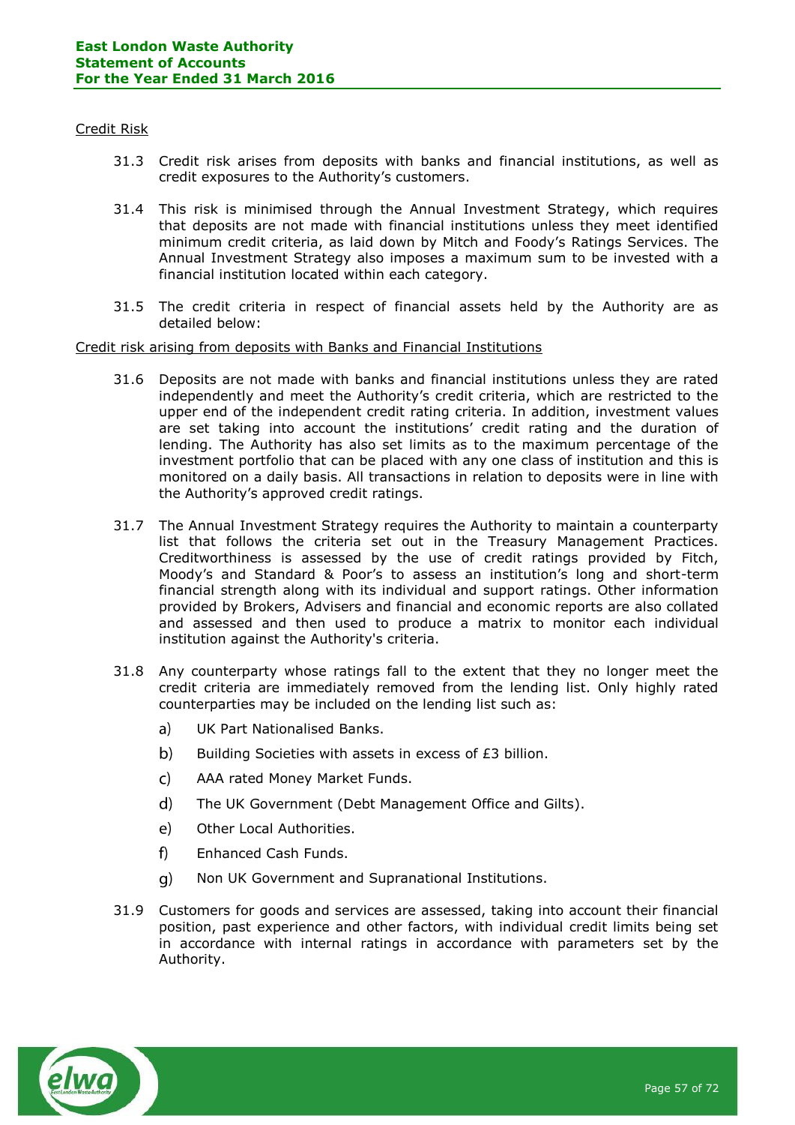### Credit Risk

- 31.3 Credit risk arises from deposits with banks and financial institutions, as well as credit exposures to the Authority's customers.
- 31.4 This risk is minimised through the Annual Investment Strategy, which requires that deposits are not made with financial institutions unless they meet identified minimum credit criteria, as laid down by Mitch and Foody's Ratings Services. The Annual Investment Strategy also imposes a maximum sum to be invested with a financial institution located within each category.
- 31.5 The credit criteria in respect of financial assets held by the Authority are as detailed below:

#### Credit risk arising from deposits with Banks and Financial Institutions

- 31.6 Deposits are not made with banks and financial institutions unless they are rated independently and meet the Authority's credit criteria, which are restricted to the upper end of the independent credit rating criteria. In addition, investment values are set taking into account the institutions' credit rating and the duration of lending. The Authority has also set limits as to the maximum percentage of the investment portfolio that can be placed with any one class of institution and this is monitored on a daily basis. All transactions in relation to deposits were in line with the Authority's approved credit ratings.
- 31.7 The Annual Investment Strategy requires the Authority to maintain a counterparty list that follows the criteria set out in the Treasury Management Practices. Creditworthiness is assessed by the use of credit ratings provided by Fitch, Moody's and Standard & Poor's to assess an institution's long and short-term financial strength along with its individual and support ratings. Other information provided by Brokers, Advisers and financial and economic reports are also collated and assessed and then used to produce a matrix to monitor each individual institution against the Authority's criteria.
- 31.8 Any counterparty whose ratings fall to the extent that they no longer meet the credit criteria are immediately removed from the lending list. Only highly rated counterparties may be included on the lending list such as:
	- UK Part Nationalised Banks.  $a)$
	- $b)$ Building Societies with assets in excess of £3 billion.
	- $\mathsf{C}$ AAA rated Money Market Funds.
	- $\mathsf{d}$ The UK Government (Debt Management Office and Gilts).
	- $e)$ Other Local Authorities.
	- $f$ Enhanced Cash Funds.
	- $q)$ Non UK Government and Supranational Institutions.
- 31.9 Customers for goods and services are assessed, taking into account their financial position, past experience and other factors, with individual credit limits being set in accordance with internal ratings in accordance with parameters set by the Authority.

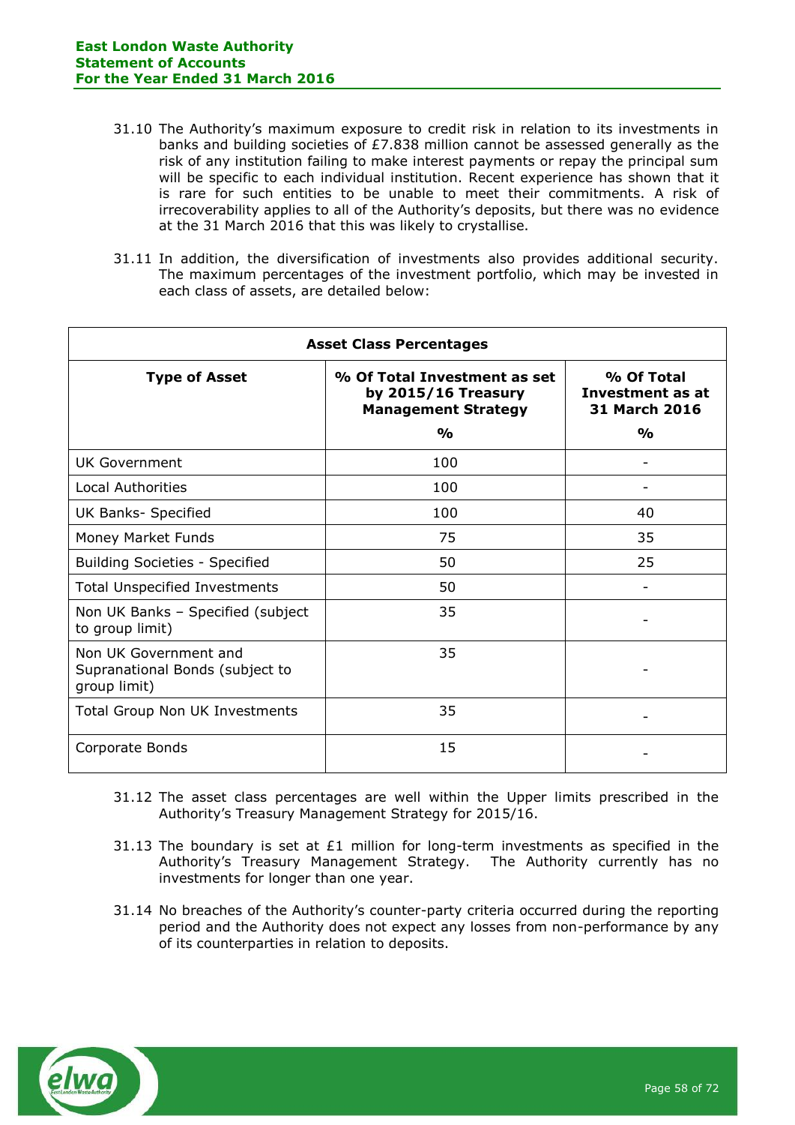- 31.10 The Authority's maximum exposure to credit risk in relation to its investments in banks and building societies of  $E7.838$  million cannot be assessed generally as the risk of any institution failing to make interest payments or repay the principal sum will be specific to each individual institution. Recent experience has shown that it is rare for such entities to be unable to meet their commitments. A risk of irrecoverability applies to all of the Authority's deposits, but there was no evidence at the 31 March 2016 that this was likely to crystallise.
- 31.11 In addition, the diversification of investments also provides additional security. The maximum percentages of the investment portfolio, which may be invested in each class of assets, are detailed below:

| <b>Asset Class Percentages</b>                                           |                                                                                   |                                                 |  |
|--------------------------------------------------------------------------|-----------------------------------------------------------------------------------|-------------------------------------------------|--|
| <b>Type of Asset</b>                                                     | % Of Total Investment as set<br>by 2015/16 Treasury<br><b>Management Strategy</b> | % Of Total<br>Investment as at<br>31 March 2016 |  |
|                                                                          | $\frac{0}{0}$                                                                     | $\frac{0}{0}$                                   |  |
| <b>UK Government</b>                                                     | 100                                                                               |                                                 |  |
| Local Authorities                                                        | 100                                                                               |                                                 |  |
| UK Banks- Specified                                                      | 100                                                                               | 40                                              |  |
| Money Market Funds                                                       | 75                                                                                | 35                                              |  |
| <b>Building Societies - Specified</b>                                    | 50                                                                                | 25                                              |  |
| <b>Total Unspecified Investments</b>                                     | 50                                                                                |                                                 |  |
| Non UK Banks - Specified (subject<br>to group limit)                     | 35                                                                                |                                                 |  |
| Non UK Government and<br>Supranational Bonds (subject to<br>group limit) | 35                                                                                |                                                 |  |
| Total Group Non UK Investments                                           | 35                                                                                |                                                 |  |
| Corporate Bonds                                                          | 15                                                                                |                                                 |  |

- 31.12 The asset class percentages are well within the Upper limits prescribed in the Authority's Treasury Management Strategy for 2015/16.
- 31.13 The boundary is set at  $£1$  million for long-term investments as specified in the Authority's Treasury Management Strategy. The Authority currently has no investments for longer than one year.
- 31.14 No breaches of the Authority's counter-party criteria occurred during the reporting period and the Authority does not expect any losses from non-performance by any of its counterparties in relation to deposits.

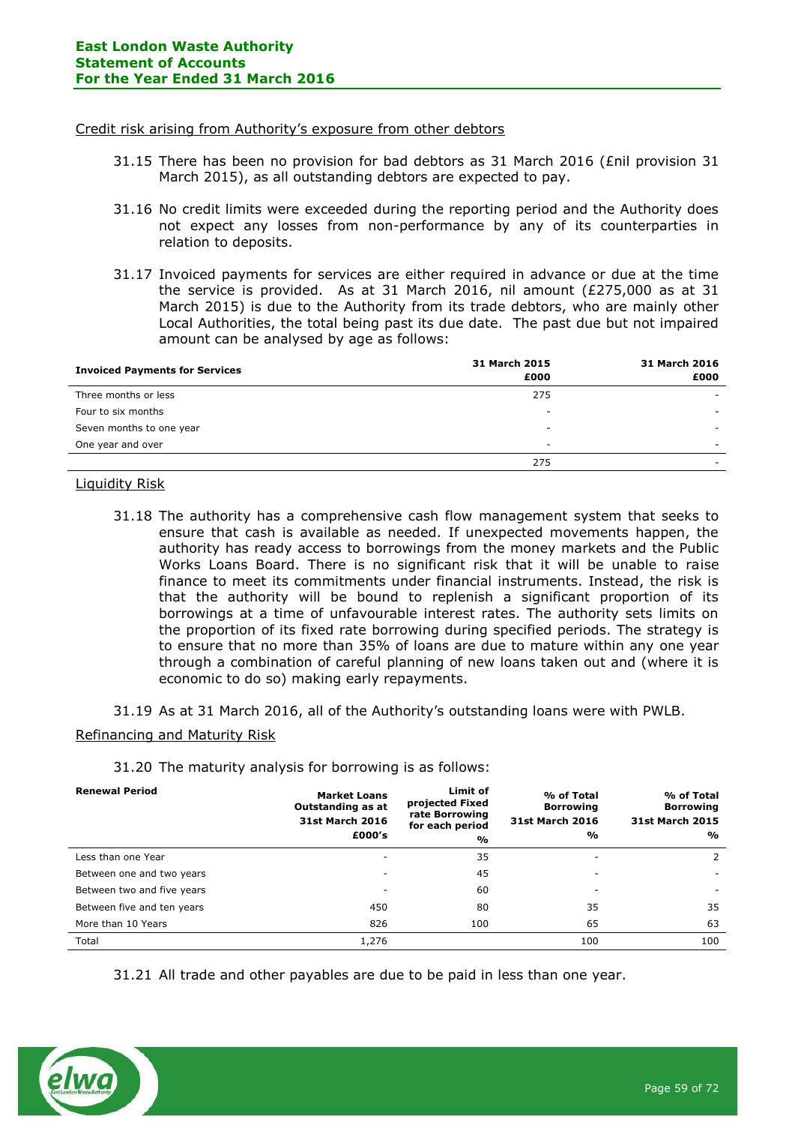#### Credit risk arising from Authority's exposure from other debtors

- 31.15 There has been no provision for bad debtors as 31 March 2016 (£nil provision 31 March 2015), as all outstanding debtors are expected to pay.
- 31.16 No credit limits were exceeded during the reporting period and the Authority does not expect any losses from non-performance by any of its counterparties in relation to deposits.
- 31.17 Invoiced payments for services are either required in advance or due at the time the service is provided. As at 31 March 2016, nil amount (£275,000 as at 31 March 2015) is due to the Authority from its trade debtors, who are mainly other Local Authorities, the total being past its due date. The past due but not impaired amount can be analysed by age as follows:

| <b>Invoiced Payments for Services</b> | 31 March 2015<br>£000 | 31 March 2016<br>£000 |
|---------------------------------------|-----------------------|-----------------------|
| Three months or less                  | 275                   |                       |
| Four to six months                    | ۰                     |                       |
| Seven months to one year              | ۰                     |                       |
| One year and over                     | -                     |                       |
|                                       | 275                   |                       |

#### Liquidity Risk

- 31.18 The authority has a comprehensive cash flow management system that seeks to ensure that cash is available as needed. If unexpected movements happen, the authority has ready access to borrowings from the money markets and the Public Works Loans Board. There is no significant risk that it will be unable to raise finance to meet its commitments under financial instruments. Instead, the risk is that the authority will be bound to replenish a significant proportion of its borrowings at a time of unfavourable interest rates. The authority sets limits on the proportion of its fixed rate borrowing during specified periods. The strategy is to ensure that no more than 35% of loans are due to mature within any one year through a combination of careful planning of new loans taken out and (where it is economic to do so) making early repayments.
- 31.19 As at 31 March 2016, all of the Authority's outstanding loans were with PWLB.

## Refinancing and Maturity Risk

## 31.20 The maturity analysis for borrowing is as follows:

| <b>Renewal Period</b>      | <b>Market Loans</b><br>Outstanding as at<br><b>31st March 2016</b><br>£000's | Limit of<br>projected Fixed<br>rate Borrowing<br>for each period<br>$\frac{0}{0}$ | % of Total<br><b>Borrowing</b><br><b>31st March 2016</b><br>$\frac{1}{2}$ | % of Total<br><b>Borrowing</b><br><b>31st March 2015</b><br>$\frac{1}{2}$ |
|----------------------------|------------------------------------------------------------------------------|-----------------------------------------------------------------------------------|---------------------------------------------------------------------------|---------------------------------------------------------------------------|
| Less than one Year         |                                                                              | 35                                                                                | ۰                                                                         |                                                                           |
| Between one and two years  |                                                                              | 45                                                                                |                                                                           |                                                                           |
| Between two and five years |                                                                              | 60                                                                                |                                                                           |                                                                           |
| Between five and ten years | 450                                                                          | 80                                                                                | 35                                                                        | 35                                                                        |
| More than 10 Years         | 826                                                                          | 100                                                                               | 65                                                                        | 63                                                                        |
| Total                      | 1,276                                                                        |                                                                                   | 100                                                                       | 100                                                                       |

31.21 All trade and other payables are due to be paid in less than one year.

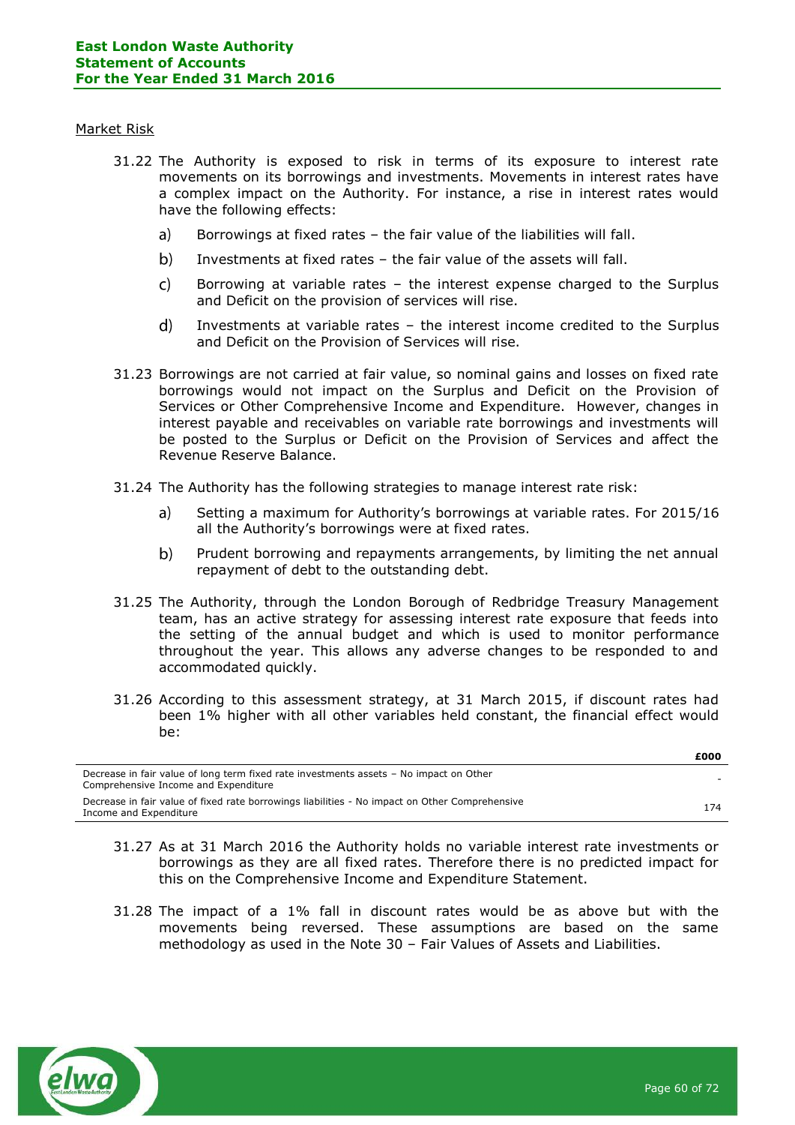### Market Risk

- 31.22 The Authority is exposed to risk in terms of its exposure to interest rate movements on its borrowings and investments. Movements in interest rates have a complex impact on the Authority. For instance, a rise in interest rates would have the following effects:
	- $a)$ Borrowings at fixed rates – the fair value of the liabilities will fall.
	- Investments at fixed rates the fair value of the assets will fall.  $b)$
	- Borrowing at variable rates the interest expense charged to the Surplus  $\mathsf{C}$ and Deficit on the provision of services will rise.
	- $\mathsf{d}$ Investments at variable rates – the interest income credited to the Surplus and Deficit on the Provision of Services will rise.
- 31.23 Borrowings are not carried at fair value, so nominal gains and losses on fixed rate borrowings would not impact on the Surplus and Deficit on the Provision of Services or Other Comprehensive Income and Expenditure. However, changes in interest payable and receivables on variable rate borrowings and investments will be posted to the Surplus or Deficit on the Provision of Services and affect the Revenue Reserve Balance.
- 31.24 The Authority has the following strategies to manage interest rate risk:
	- $a)$ Setting a maximum for Authority's borrowings at variable rates. For 2015/16 all the Authority's borrowings were at fixed rates.
	- $b)$ Prudent borrowing and repayments arrangements, by limiting the net annual repayment of debt to the outstanding debt.
- 31.25 The Authority, through the London Borough of Redbridge Treasury Management team, has an active strategy for assessing interest rate exposure that feeds into the setting of the annual budget and which is used to monitor performance throughout the year. This allows any adverse changes to be responded to and accommodated quickly.
- 31.26 According to this assessment strategy, at 31 March 2015, if discount rates had been 1% higher with all other variables held constant, the financial effect would be:

|                                                                                                                                | £000 |
|--------------------------------------------------------------------------------------------------------------------------------|------|
| Decrease in fair value of long term fixed rate investments assets - No impact on Other<br>Comprehensive Income and Expenditure |      |
| Decrease in fair value of fixed rate borrowings liabilities - No impact on Other Comprehensive<br>Income and Expenditure       | 174  |

- 31.27 As at 31 March 2016 the Authority holds no variable interest rate investments or borrowings as they are all fixed rates. Therefore there is no predicted impact for this on the Comprehensive Income and Expenditure Statement.
- 31.28 The impact of a 1% fall in discount rates would be as above but with the movements being reversed. These assumptions are based on the same methodology as used in the Note 30 – Fair Values of Assets and Liabilities.

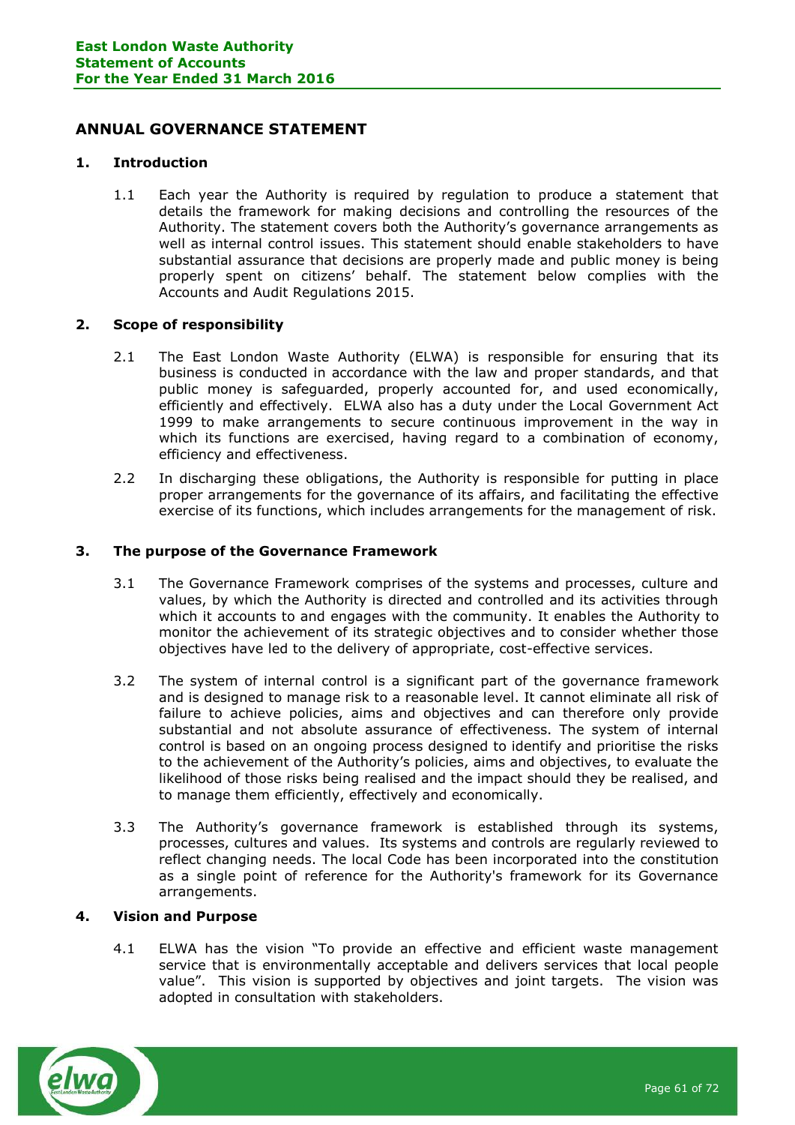# **ANNUAL GOVERNANCE STATEMENT**

## **1. Introduction**

1.1 Each year the Authority is required by regulation to produce a statement that details the framework for making decisions and controlling the resources of the Authority. The statement covers both the Authority's governance arrangements as well as internal control issues. This statement should enable stakeholders to have substantial assurance that decisions are properly made and public money is being properly spent on citizens' behalf. The statement below complies with the Accounts and Audit Regulations 2015.

## **2. Scope of responsibility**

- 2.1 The East London Waste Authority (ELWA) is responsible for ensuring that its business is conducted in accordance with the law and proper standards, and that public money is safeguarded, properly accounted for, and used economically, efficiently and effectively. ELWA also has a duty under the Local Government Act 1999 to make arrangements to secure continuous improvement in the way in which its functions are exercised, having regard to a combination of economy, efficiency and effectiveness.
- 2.2 In discharging these obligations, the Authority is responsible for putting in place proper arrangements for the governance of its affairs, and facilitating the effective exercise of its functions, which includes arrangements for the management of risk.

#### **3. The purpose of the Governance Framework**

- 3.1 The Governance Framework comprises of the systems and processes, culture and values, by which the Authority is directed and controlled and its activities through which it accounts to and engages with the community. It enables the Authority to monitor the achievement of its strategic objectives and to consider whether those objectives have led to the delivery of appropriate, cost-effective services.
- 3.2 The system of internal control is a significant part of the governance framework and is designed to manage risk to a reasonable level. It cannot eliminate all risk of failure to achieve policies, aims and objectives and can therefore only provide substantial and not absolute assurance of effectiveness. The system of internal control is based on an ongoing process designed to identify and prioritise the risks to the achievement of the Authority's policies, aims and objectives, to evaluate the likelihood of those risks being realised and the impact should they be realised, and to manage them efficiently, effectively and economically.
- 3.3 The Authority's governance framework is established through its systems, processes, cultures and values. Its systems and controls are regularly reviewed to reflect changing needs. The local Code has been incorporated into the constitution as a single point of reference for the Authority's framework for its Governance arrangements.

# **4. Vision and Purpose**

4.1 ELWA has the vision "To provide an effective and efficient waste management service that is environmentally acceptable and delivers services that local people value". This vision is supported by objectives and joint targets. The vision was adopted in consultation with stakeholders.

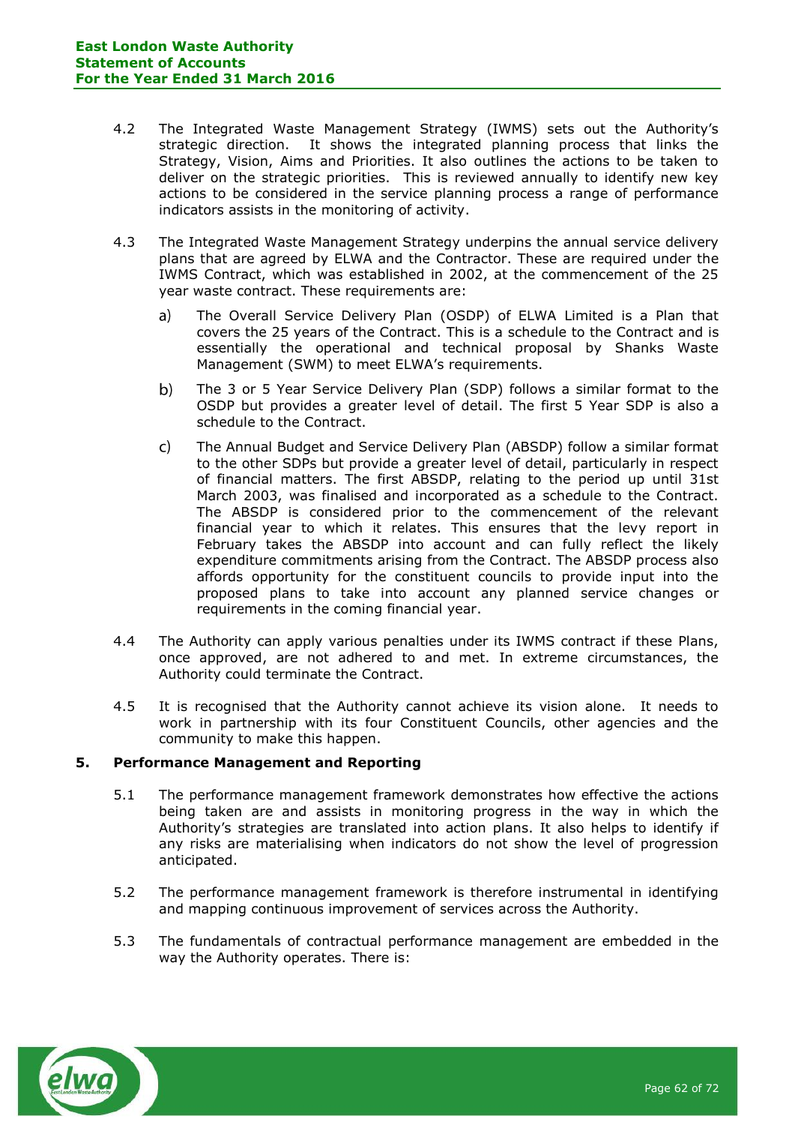- 4.2 The Integrated Waste Management Strategy (IWMS) sets out the Authority's strategic direction. It shows the integrated planning process that links the Strategy, Vision, Aims and Priorities. It also outlines the actions to be taken to deliver on the strategic priorities. This is reviewed annually to identify new key actions to be considered in the service planning process a range of performance indicators assists in the monitoring of activity.
- 4.3 The Integrated Waste Management Strategy underpins the annual service delivery plans that are agreed by ELWA and the Contractor. These are required under the IWMS Contract, which was established in 2002, at the commencement of the 25 year waste contract. These requirements are:
	- The Overall Service Delivery Plan (OSDP) of ELWA Limited is a Plan that  $a)$ covers the 25 years of the Contract. This is a schedule to the Contract and is essentially the operational and technical proposal by Shanks Waste Management (SWM) to meet ELWA's requirements.
	- $b)$ The 3 or 5 Year Service Delivery Plan (SDP) follows a similar format to the OSDP but provides a greater level of detail. The first 5 Year SDP is also a schedule to the Contract.
	- $\mathsf{C}$ The Annual Budget and Service Delivery Plan (ABSDP) follow a similar format to the other SDPs but provide a greater level of detail, particularly in respect of financial matters. The first ABSDP, relating to the period up until 31st March 2003, was finalised and incorporated as a schedule to the Contract. The ABSDP is considered prior to the commencement of the relevant financial year to which it relates. This ensures that the levy report in February takes the ABSDP into account and can fully reflect the likely expenditure commitments arising from the Contract. The ABSDP process also affords opportunity for the constituent councils to provide input into the proposed plans to take into account any planned service changes or requirements in the coming financial year.
- 4.4 The Authority can apply various penalties under its IWMS contract if these Plans, once approved, are not adhered to and met. In extreme circumstances, the Authority could terminate the Contract.
- 4.5 It is recognised that the Authority cannot achieve its vision alone. It needs to work in partnership with its four Constituent Councils, other agencies and the community to make this happen.

# **5. Performance Management and Reporting**

- 5.1 The performance management framework demonstrates how effective the actions being taken are and assists in monitoring progress in the way in which the Authority's strategies are translated into action plans. It also helps to identify if any risks are materialising when indicators do not show the level of progression anticipated.
- 5.2 The performance management framework is therefore instrumental in identifying and mapping continuous improvement of services across the Authority.
- 5.3 The fundamentals of contractual performance management are embedded in the way the Authority operates. There is:

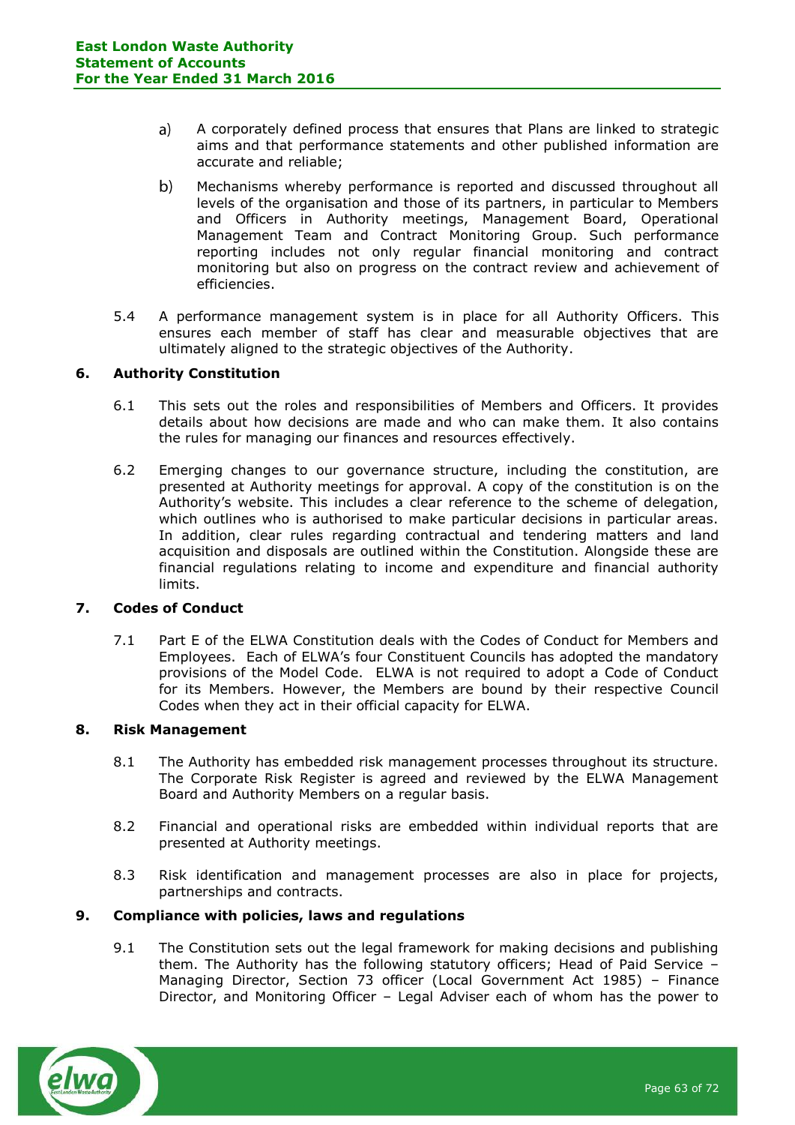- $a)$ A corporately defined process that ensures that Plans are linked to strategic aims and that performance statements and other published information are accurate and reliable;
- $b)$ Mechanisms whereby performance is reported and discussed throughout all levels of the organisation and those of its partners, in particular to Members and Officers in Authority meetings, Management Board, Operational Management Team and Contract Monitoring Group. Such performance reporting includes not only regular financial monitoring and contract monitoring but also on progress on the contract review and achievement of efficiencies.
- 5.4 A performance management system is in place for all Authority Officers. This ensures each member of staff has clear and measurable objectives that are ultimately aligned to the strategic objectives of the Authority.

# **6. Authority Constitution**

- 6.1 This sets out the roles and responsibilities of Members and Officers. It provides details about how decisions are made and who can make them. It also contains the rules for managing our finances and resources effectively.
- 6.2 Emerging changes to our governance structure, including the constitution, are presented at Authority meetings for approval. A copy of the constitution is on the Authority's website. This includes a clear reference to the scheme of delegation, which outlines who is authorised to make particular decisions in particular areas. In addition, clear rules regarding contractual and tendering matters and land acquisition and disposals are outlined within the Constitution. Alongside these are financial regulations relating to income and expenditure and financial authority limits.

# **7. Codes of Conduct**

7.1 Part E of the ELWA Constitution deals with the Codes of Conduct for Members and Employees. Each of ELWA's four Constituent Councils has adopted the mandatory provisions of the Model Code. ELWA is not required to adopt a Code of Conduct for its Members. However, the Members are bound by their respective Council Codes when they act in their official capacity for ELWA.

# **8. Risk Management**

- 8.1 The Authority has embedded risk management processes throughout its structure. The Corporate Risk Register is agreed and reviewed by the ELWA Management Board and Authority Members on a regular basis.
- 8.2 Financial and operational risks are embedded within individual reports that are presented at Authority meetings.
- 8.3 Risk identification and management processes are also in place for projects, partnerships and contracts.

# **9. Compliance with policies, laws and regulations**

9.1 The Constitution sets out the legal framework for making decisions and publishing them. The Authority has the following statutory officers; Head of Paid Service – Managing Director, Section 73 officer (Local Government Act 1985) – Finance Director, and Monitoring Officer – Legal Adviser each of whom has the power to

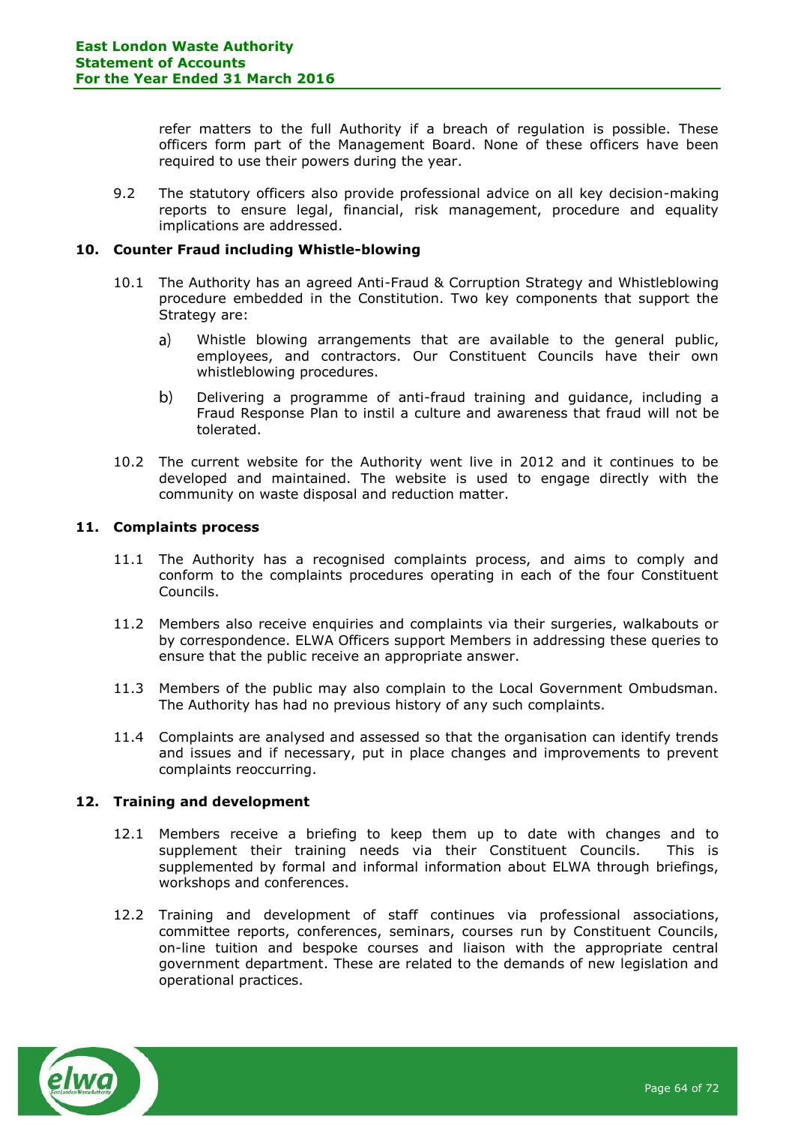refer matters to the full Authority if a breach of regulation is possible. These officers form part of the Management Board. None of these officers have been required to use their powers during the year.

9.2 The statutory officers also provide professional advice on all key decision-making reports to ensure legal, financial, risk management, procedure and equality implications are addressed.

## **10. Counter Fraud including Whistle-blowing**

- 10.1 The Authority has an agreed Anti-Fraud & Corruption Strategy and Whistleblowing procedure embedded in the Constitution. Two key components that support the Strategy are:
	- Whistle blowing arrangements that are available to the general public, a) employees, and contractors. Our Constituent Councils have their own whistleblowing procedures.
	- $b)$ Delivering a programme of anti-fraud training and guidance, including a Fraud Response Plan to instil a culture and awareness that fraud will not be tolerated.
- 10.2 The current website for the Authority went live in 2012 and it continues to be developed and maintained. The website is used to engage directly with the community on waste disposal and reduction matter.

## **11. Complaints process**

- 11.1 The Authority has a recognised complaints process, and aims to comply and conform to the complaints procedures operating in each of the four Constituent Councils.
- 11.2 Members also receive enquiries and complaints via their surgeries, walkabouts or by correspondence. ELWA Officers support Members in addressing these queries to ensure that the public receive an appropriate answer.
- 11.3 Members of the public may also complain to the Local Government Ombudsman. The Authority has had no previous history of any such complaints.
- 11.4 Complaints are analysed and assessed so that the organisation can identify trends and issues and if necessary, put in place changes and improvements to prevent complaints reoccurring.

## **12. Training and development**

- 12.1 Members receive a briefing to keep them up to date with changes and to supplement their training needs via their Constituent Councils. This is supplemented by formal and informal information about ELWA through briefings, workshops and conferences.
- 12.2 Training and development of staff continues via professional associations, committee reports, conferences, seminars, courses run by Constituent Councils, on-line tuition and bespoke courses and liaison with the appropriate central government department. These are related to the demands of new legislation and operational practices.

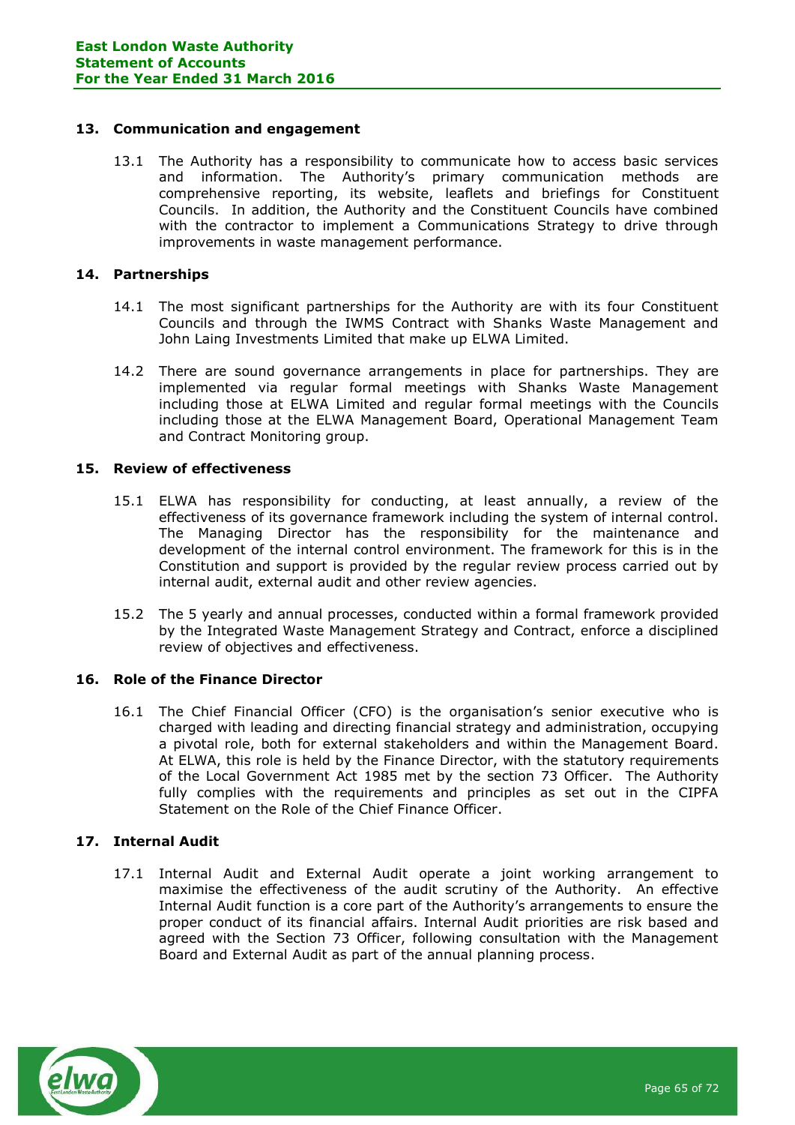## **13. Communication and engagement**

13.1 The Authority has a responsibility to communicate how to access basic services and information. The Authority's primary communication methods are comprehensive reporting, its website, leaflets and briefings for Constituent Councils. In addition, the Authority and the Constituent Councils have combined with the contractor to implement a Communications Strategy to drive through improvements in waste management performance.

# **14. Partnerships**

- 14.1 The most significant partnerships for the Authority are with its four Constituent Councils and through the IWMS Contract with Shanks Waste Management and John Laing Investments Limited that make up ELWA Limited.
- 14.2 There are sound governance arrangements in place for partnerships. They are implemented via regular formal meetings with Shanks Waste Management including those at ELWA Limited and regular formal meetings with the Councils including those at the ELWA Management Board, Operational Management Team and Contract Monitoring group.

# **15. Review of effectiveness**

- 15.1 ELWA has responsibility for conducting, at least annually, a review of the effectiveness of its governance framework including the system of internal control. The Managing Director has the responsibility for the maintenance and development of the internal control environment. The framework for this is in the Constitution and support is provided by the regular review process carried out by internal audit, external audit and other review agencies.
- 15.2 The 5 yearly and annual processes, conducted within a formal framework provided by the Integrated Waste Management Strategy and Contract, enforce a disciplined review of objectives and effectiveness.

## **16. Role of the Finance Director**

16.1 The Chief Financial Officer (CFO) is the organisation's senior executive who is charged with leading and directing financial strategy and administration, occupying a pivotal role, both for external stakeholders and within the Management Board. At ELWA, this role is held by the Finance Director, with the statutory requirements of the Local Government Act 1985 met by the section 73 Officer. The Authority fully complies with the requirements and principles as set out in the CIPFA Statement on the Role of the Chief Finance Officer.

# **17. Internal Audit**

17.1 Internal Audit and External Audit operate a joint working arrangement to maximise the effectiveness of the audit scrutiny of the Authority. An effective Internal Audit function is a core part of the Authority's arrangements to ensure the proper conduct of its financial affairs. Internal Audit priorities are risk based and agreed with the Section 73 Officer, following consultation with the Management Board and External Audit as part of the annual planning process.

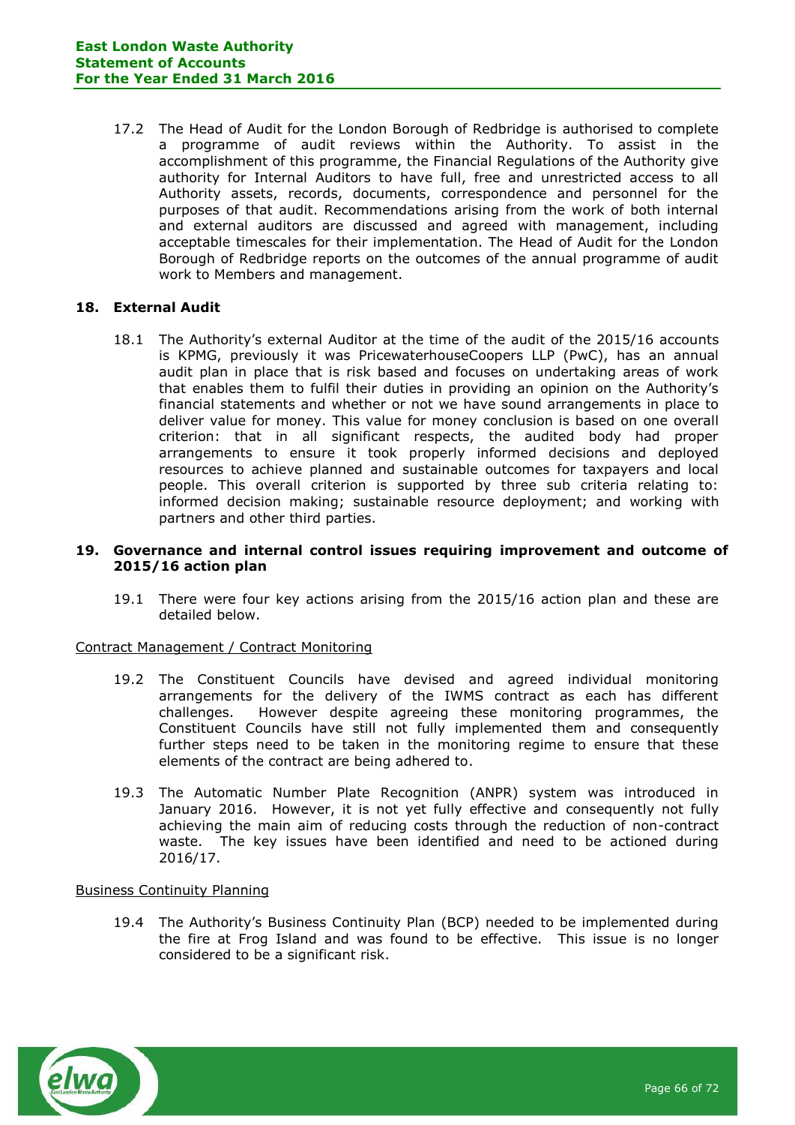17.2 The Head of Audit for the London Borough of Redbridge is authorised to complete a programme of audit reviews within the Authority. To assist in the accomplishment of this programme, the Financial Regulations of the Authority give authority for Internal Auditors to have full, free and unrestricted access to all Authority assets, records, documents, correspondence and personnel for the purposes of that audit. Recommendations arising from the work of both internal and external auditors are discussed and agreed with management, including acceptable timescales for their implementation. The Head of Audit for the London Borough of Redbridge reports on the outcomes of the annual programme of audit work to Members and management.

# **18. External Audit**

18.1 The Authority's external Auditor at the time of the audit of the 2015/16 accounts is KPMG, previously it was PricewaterhouseCoopers LLP (PwC), has an annual audit plan in place that is risk based and focuses on undertaking areas of work that enables them to fulfil their duties in providing an opinion on the Authority's financial statements and whether or not we have sound arrangements in place to deliver value for money. This value for money conclusion is based on one overall criterion: that in all significant respects, the audited body had proper arrangements to ensure it took properly informed decisions and deployed resources to achieve planned and sustainable outcomes for taxpayers and local people. This overall criterion is supported by three sub criteria relating to: informed decision making; sustainable resource deployment; and working with partners and other third parties.

## **19. Governance and internal control issues requiring improvement and outcome of 2015/16 action plan**

19.1 There were four key actions arising from the 2015/16 action plan and these are detailed below.

## Contract Management / Contract Monitoring

- 19.2 The Constituent Councils have devised and agreed individual monitoring arrangements for the delivery of the IWMS contract as each has different challenges. However despite agreeing these monitoring programmes, the Constituent Councils have still not fully implemented them and consequently further steps need to be taken in the monitoring regime to ensure that these elements of the contract are being adhered to.
- 19.3 The Automatic Number Plate Recognition (ANPR) system was introduced in January 2016. However, it is not yet fully effective and consequently not fully achieving the main aim of reducing costs through the reduction of non-contract waste. The key issues have been identified and need to be actioned during 2016/17.

#### Business Continuity Planning

19.4 The Authority's Business Continuity Plan (BCP) needed to be implemented during the fire at Frog Island and was found to be effective. This issue is no longer considered to be a significant risk.

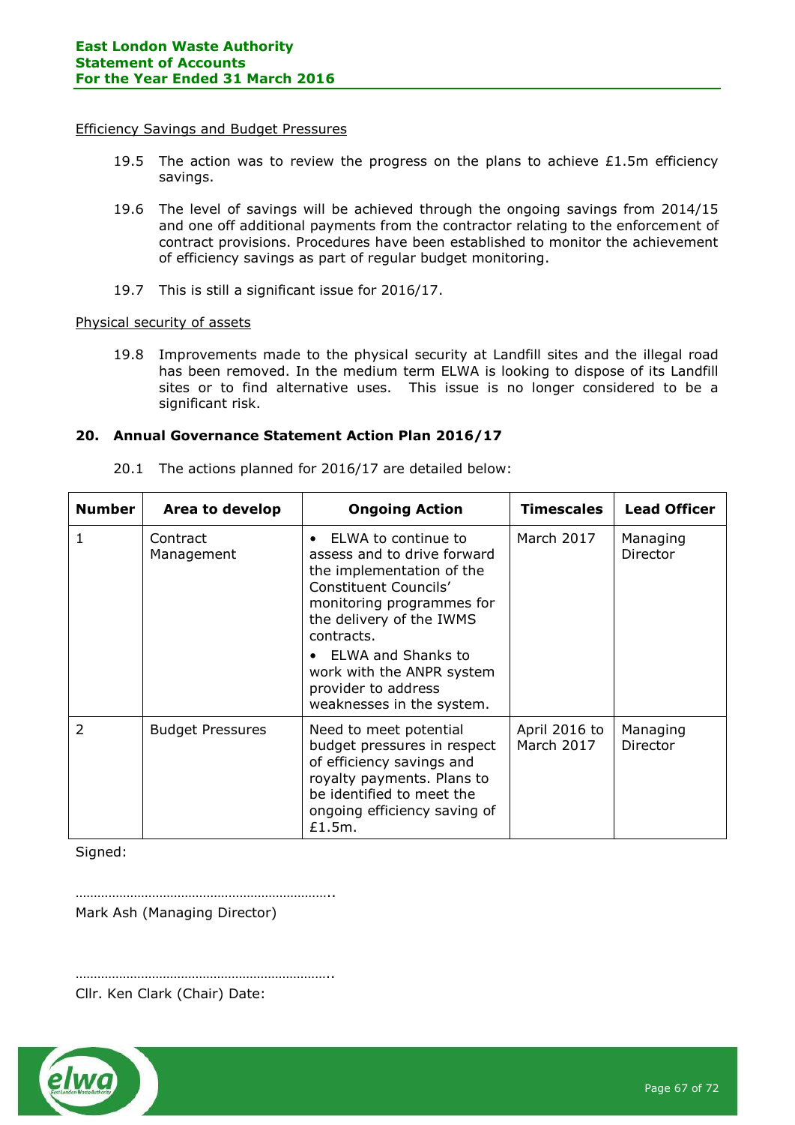#### Efficiency Savings and Budget Pressures

- 19.5 The action was to review the progress on the plans to achieve  $£1.5m$  efficiency savings.
- 19.6 The level of savings will be achieved through the ongoing savings from 2014/15 and one off additional payments from the contractor relating to the enforcement of contract provisions. Procedures have been established to monitor the achievement of efficiency savings as part of regular budget monitoring.
- 19.7 This is still a significant issue for 2016/17.

## Physical security of assets

19.8 Improvements made to the physical security at Landfill sites and the illegal road has been removed. In the medium term ELWA is looking to dispose of its Landfill sites or to find alternative uses. This issue is no longer considered to be a significant risk.

## **20. Annual Governance Statement Action Plan 2016/17**

| <b>Number</b>  | Area to develop         | <b>Ongoing Action</b>                                                                                                                                                                                                                                                                               | <b>Timescales</b>           | <b>Lead Officer</b>  |
|----------------|-------------------------|-----------------------------------------------------------------------------------------------------------------------------------------------------------------------------------------------------------------------------------------------------------------------------------------------------|-----------------------------|----------------------|
| $\mathbf{1}$   | Contract<br>Management  | ELWA to continue to<br>$\bullet$<br>assess and to drive forward<br>the implementation of the<br>Constituent Councils'<br>monitoring programmes for<br>the delivery of the IWMS<br>contracts.<br>ELWA and Shanks to<br>work with the ANPR system<br>provider to address<br>weaknesses in the system. | March 2017                  | Managing<br>Director |
| $\overline{2}$ | <b>Budget Pressures</b> | Need to meet potential<br>budget pressures in respect<br>of efficiency savings and<br>royalty payments. Plans to<br>be identified to meet the<br>ongoing efficiency saving of<br>£1.5m.                                                                                                             | April 2016 to<br>March 2017 | Managing<br>Director |

20.1 The actions planned for 2016/17 are detailed below:

Signed:

…………………………………………………………….. Mark Ash (Managing Director)

…………………………………………………………….. Cllr. Ken Clark (Chair) Date:

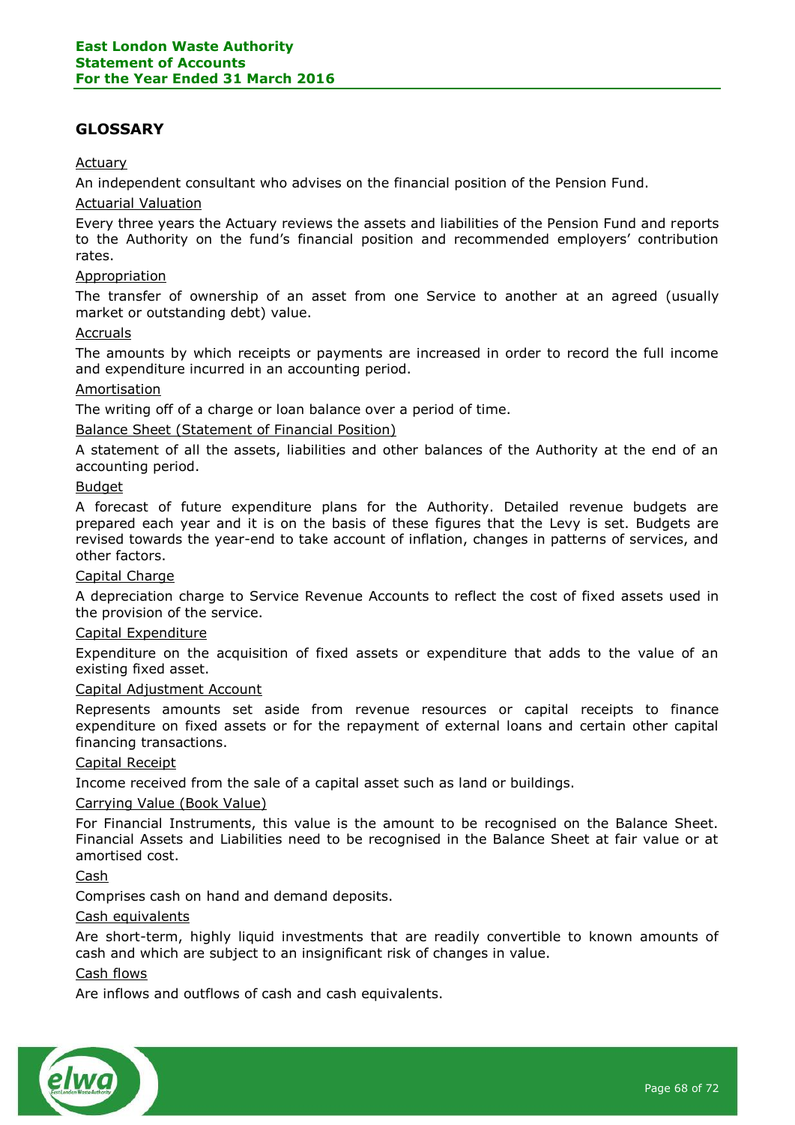# **GLOSSARY**

# Actuary

An independent consultant who advises on the financial position of the Pension Fund.

## Actuarial Valuation

Every three years the Actuary reviews the assets and liabilities of the Pension Fund and reports to the Authority on the fund's financial position and recommended employers' contribution rates.

## Appropriation

The transfer of ownership of an asset from one Service to another at an agreed (usually market or outstanding debt) value.

## Accruals

The amounts by which receipts or payments are increased in order to record the full income and expenditure incurred in an accounting period.

#### Amortisation

The writing off of a charge or loan balance over a period of time.

## Balance Sheet (Statement of Financial Position)

A statement of all the assets, liabilities and other balances of the Authority at the end of an accounting period.

## Budget

A forecast of future expenditure plans for the Authority. Detailed revenue budgets are prepared each year and it is on the basis of these figures that the Levy is set. Budgets are revised towards the year-end to take account of inflation, changes in patterns of services, and other factors.

#### Capital Charge

A depreciation charge to Service Revenue Accounts to reflect the cost of fixed assets used in the provision of the service.

## Capital Expenditure

Expenditure on the acquisition of fixed assets or expenditure that adds to the value of an existing fixed asset.

#### Capital Adjustment Account

Represents amounts set aside from revenue resources or capital receipts to finance expenditure on fixed assets or for the repayment of external loans and certain other capital financing transactions.

#### Capital Receipt

Income received from the sale of a capital asset such as land or buildings.

#### Carrying Value (Book Value)

For Financial Instruments, this value is the amount to be recognised on the Balance Sheet. Financial Assets and Liabilities need to be recognised in the Balance Sheet at fair value or at amortised cost.

Cash

Comprises cash on hand and demand deposits.

#### Cash equivalents

Are short-term, highly liquid investments that are readily convertible to known amounts of cash and which are subject to an insignificant risk of changes in value.

## Cash flows

Are inflows and outflows of cash and cash equivalents.

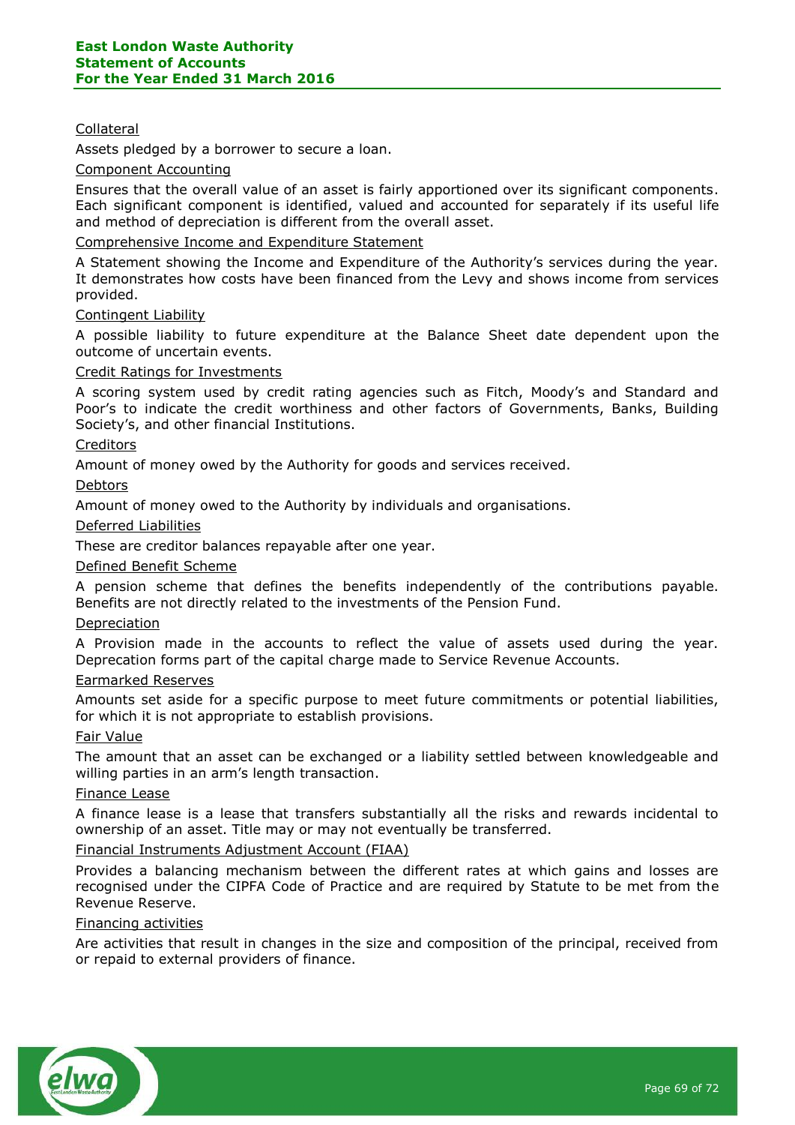## Collateral

Assets pledged by a borrower to secure a loan.

## Component Accounting

Ensures that the overall value of an asset is fairly apportioned over its significant components. Each significant component is identified, valued and accounted for separately if its useful life and method of depreciation is different from the overall asset.

## Comprehensive Income and Expenditure Statement

A Statement showing the Income and Expenditure of the Authority's services during the year. It demonstrates how costs have been financed from the Levy and shows income from services provided.

## Contingent Liability

A possible liability to future expenditure at the Balance Sheet date dependent upon the outcome of uncertain events.

## Credit Ratings for Investments

A scoring system used by credit rating agencies such as Fitch, Moody's and Standard and Poor's to indicate the credit worthiness and other factors of Governments, Banks, Building Society's, and other financial Institutions.

# **Creditors**

Amount of money owed by the Authority for goods and services received.

## Debtors

Amount of money owed to the Authority by individuals and organisations.

## Deferred Liabilities

These are creditor balances repayable after one year.

## Defined Benefit Scheme

A pension scheme that defines the benefits independently of the contributions payable. Benefits are not directly related to the investments of the Pension Fund.

## Depreciation

A Provision made in the accounts to reflect the value of assets used during the year. Deprecation forms part of the capital charge made to Service Revenue Accounts.

#### Earmarked Reserves

Amounts set aside for a specific purpose to meet future commitments or potential liabilities, for which it is not appropriate to establish provisions.

## Fair Value

The amount that an asset can be exchanged or a liability settled between knowledgeable and willing parties in an arm's length transaction.

#### Finance Lease

A finance lease is a lease that transfers substantially all the risks and rewards incidental to ownership of an asset. Title may or may not eventually be transferred.

## Financial Instruments Adjustment Account (FIAA)

Provides a balancing mechanism between the different rates at which gains and losses are recognised under the CIPFA Code of Practice and are required by Statute to be met from the Revenue Reserve.

#### Financing activities

Are activities that result in changes in the size and composition of the principal, received from or repaid to external providers of finance.

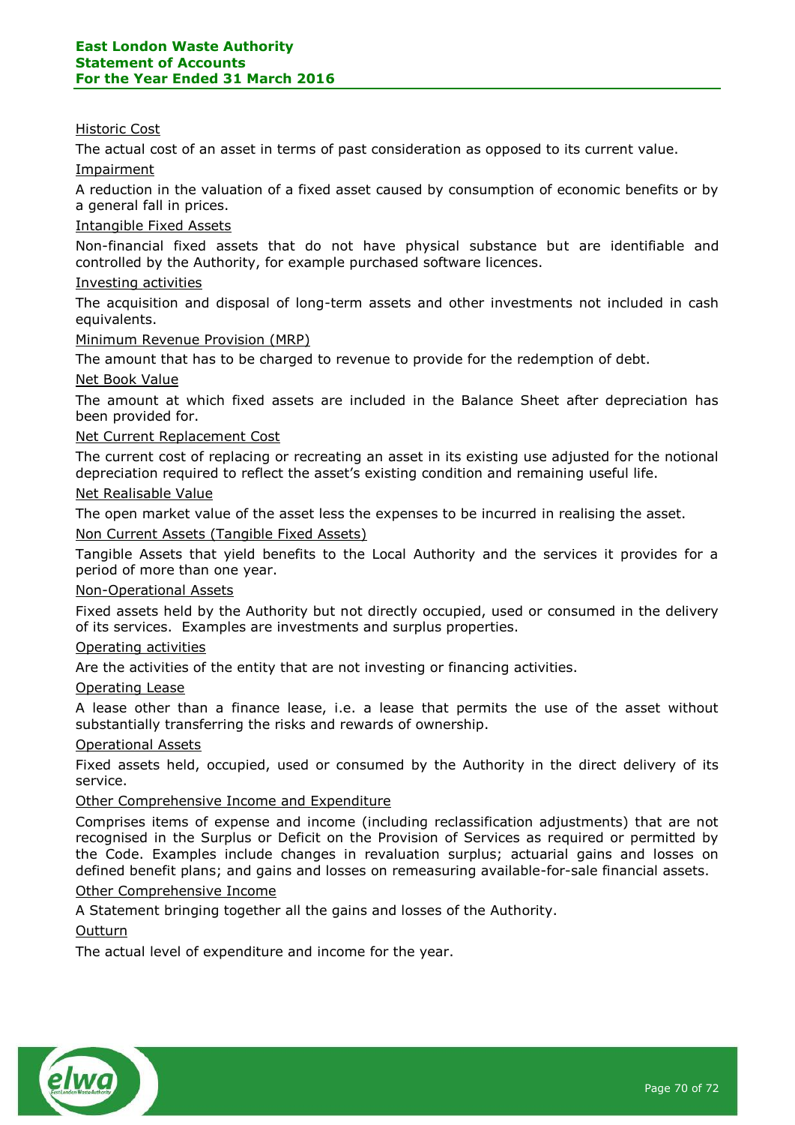## Historic Cost

The actual cost of an asset in terms of past consideration as opposed to its current value.

Impairment

A reduction in the valuation of a fixed asset caused by consumption of economic benefits or by a general fall in prices.

## Intangible Fixed Assets

Non-financial fixed assets that do not have physical substance but are identifiable and controlled by the Authority, for example purchased software licences.

## Investing activities

The acquisition and disposal of long-term assets and other investments not included in cash equivalents.

## Minimum Revenue Provision (MRP)

The amount that has to be charged to revenue to provide for the redemption of debt.

## Net Book Value

The amount at which fixed assets are included in the Balance Sheet after depreciation has been provided for.

## Net Current Replacement Cost

The current cost of replacing or recreating an asset in its existing use adjusted for the notional depreciation required to reflect the asset's existing condition and remaining useful life.

#### Net Realisable Value

The open market value of the asset less the expenses to be incurred in realising the asset.

Non Current Assets (Tangible Fixed Assets)

Tangible Assets that yield benefits to the Local Authority and the services it provides for a period of more than one year.

## Non-Operational Assets

Fixed assets held by the Authority but not directly occupied, used or consumed in the delivery of its services. Examples are investments and surplus properties.

## Operating activities

Are the activities of the entity that are not investing or financing activities.

#### Operating Lease

A lease other than a finance lease, i.e. a lease that permits the use of the asset without substantially transferring the risks and rewards of ownership.

#### Operational Assets

Fixed assets held, occupied, used or consumed by the Authority in the direct delivery of its service.

## Other Comprehensive Income and Expenditure

Comprises items of expense and income (including reclassification adjustments) that are not recognised in the Surplus or Deficit on the Provision of Services as required or permitted by the Code. Examples include changes in revaluation surplus; actuarial gains and losses on defined benefit plans; and gains and losses on remeasuring available-for-sale financial assets.

# Other Comprehensive Income

A Statement bringing together all the gains and losses of the Authority.

#### **Outturn**

The actual level of expenditure and income for the year.

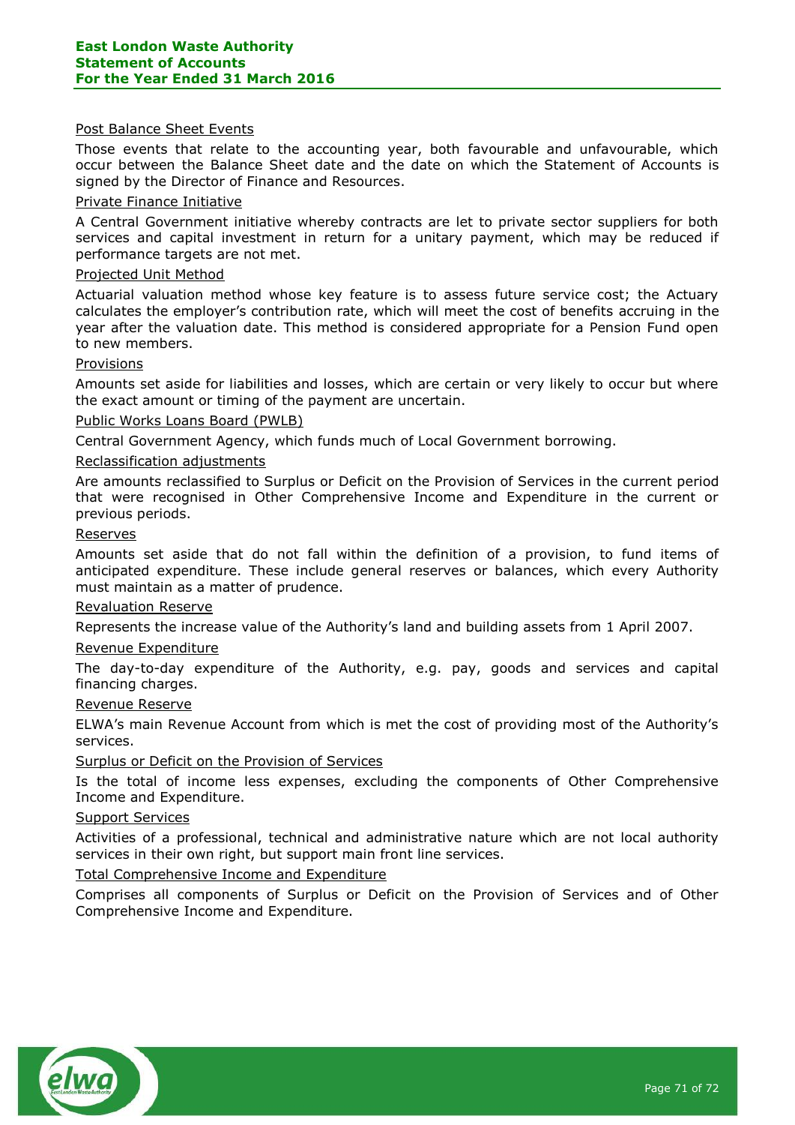#### Post Balance Sheet Events

Those events that relate to the accounting year, both favourable and unfavourable, which occur between the Balance Sheet date and the date on which the Statement of Accounts is signed by the Director of Finance and Resources.

#### Private Finance Initiative

A Central Government initiative whereby contracts are let to private sector suppliers for both services and capital investment in return for a unitary payment, which may be reduced if performance targets are not met.

#### Projected Unit Method

Actuarial valuation method whose key feature is to assess future service cost; the Actuary calculates the employer's contribution rate, which will meet the cost of benefits accruing in the year after the valuation date. This method is considered appropriate for a Pension Fund open to new members.

#### Provisions

Amounts set aside for liabilities and losses, which are certain or very likely to occur but where the exact amount or timing of the payment are uncertain.

#### Public Works Loans Board (PWLB)

Central Government Agency, which funds much of Local Government borrowing.

#### Reclassification adjustments

Are amounts reclassified to Surplus or Deficit on the Provision of Services in the current period that were recognised in Other Comprehensive Income and Expenditure in the current or previous periods.

#### Reserves

Amounts set aside that do not fall within the definition of a provision, to fund items of anticipated expenditure. These include general reserves or balances, which every Authority must maintain as a matter of prudence.

#### Revaluation Reserve

Represents the increase value of the Authority's land and building assets from 1 April 2007.

## Revenue Expenditure

The day-to-day expenditure of the Authority, e.g. pay, goods and services and capital financing charges.

#### Revenue Reserve

ELWA's main Revenue Account from which is met the cost of providing most of the Authority's services.

#### Surplus or Deficit on the Provision of Services

Is the total of income less expenses, excluding the components of Other Comprehensive Income and Expenditure.

#### Support Services

Activities of a professional, technical and administrative nature which are not local authority services in their own right, but support main front line services.

## Total Comprehensive Income and Expenditure

Comprises all components of Surplus or Deficit on the Provision of Services and of Other Comprehensive Income and Expenditure.